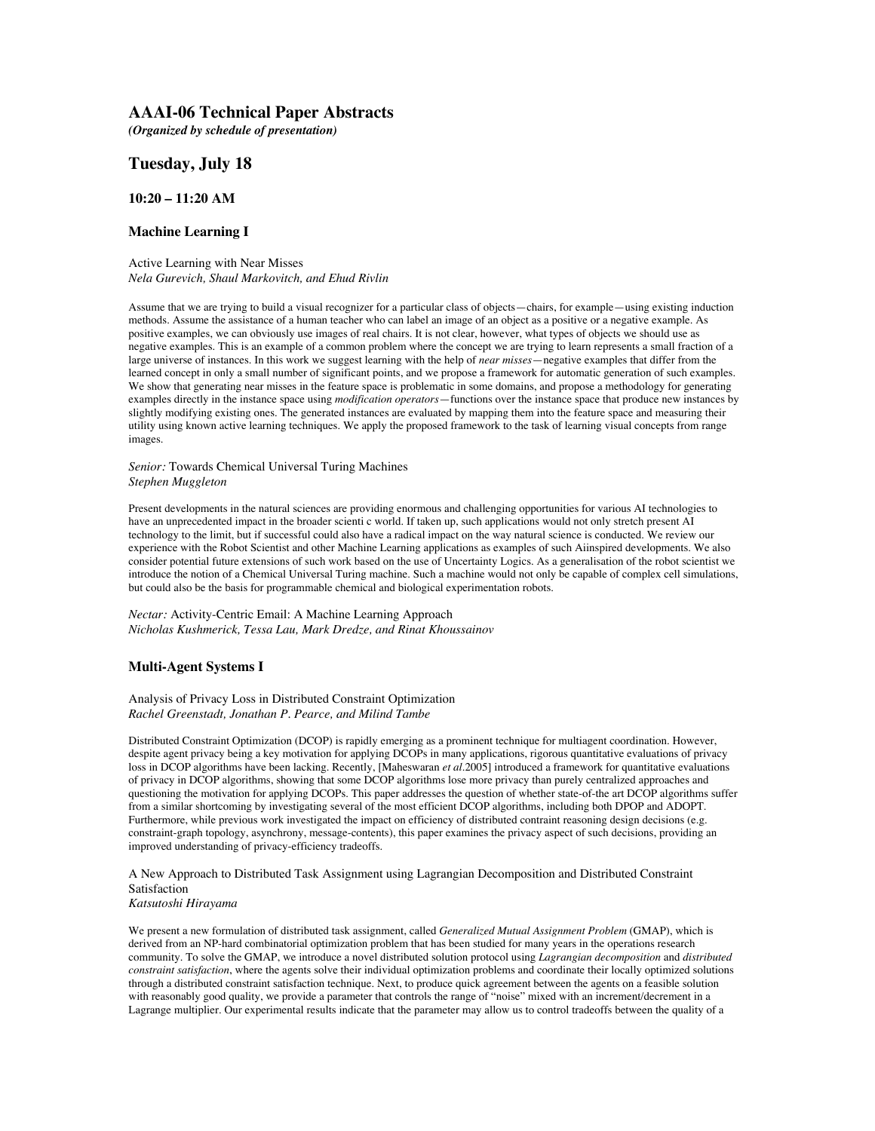# **AAAI-06 Technical Paper Abstracts**

*(Organized by schedule of presentation)*

# **Tuesday, July 18**

## **10:20 – 11:20 AM**

## **Machine Learning I**

Active Learning with Near Misses *Nela Gurevich, Shaul Markovitch, and Ehud Rivlin*

Assume that we are trying to build a visual recognizer for a particular class of objects—chairs, for example—using existing induction methods. Assume the assistance of a human teacher who can label an image of an object as a positive or a negative example. As positive examples, we can obviously use images of real chairs. It is not clear, however, what types of objects we should use as negative examples. This is an example of a common problem where the concept we are trying to learn represents a small fraction of a large universe of instances. In this work we suggest learning with the help of *near misses*—negative examples that differ from the learned concept in only a small number of significant points, and we propose a framework for automatic generation of such examples. We show that generating near misses in the feature space is problematic in some domains, and propose a methodology for generating examples directly in the instance space using *modification operators*—functions over the instance space that produce new instances by slightly modifying existing ones. The generated instances are evaluated by mapping them into the feature space and measuring their utility using known active learning techniques. We apply the proposed framework to the task of learning visual concepts from range images.

*Senior:* Towards Chemical Universal Turing Machines *Stephen Muggleton*

Present developments in the natural sciences are providing enormous and challenging opportunities for various AI technologies to have an unprecedented impact in the broader scienti c world. If taken up, such applications would not only stretch present AI technology to the limit, but if successful could also have a radical impact on the way natural science is conducted. We review our experience with the Robot Scientist and other Machine Learning applications as examples of such Aiinspired developments. We also consider potential future extensions of such work based on the use of Uncertainty Logics. As a generalisation of the robot scientist we introduce the notion of a Chemical Universal Turing machine. Such a machine would not only be capable of complex cell simulations, but could also be the basis for programmable chemical and biological experimentation robots.

*Nectar:* Activity-Centric Email: A Machine Learning Approach *Nicholas Kushmerick, Tessa Lau, Mark Dredze, and Rinat Khoussainov*

## **Multi-Agent Systems I**

#### Analysis of Privacy Loss in Distributed Constraint Optimization *Rachel Greenstadt, Jonathan P. Pearce, and Milind Tambe*

Distributed Constraint Optimization (DCOP) is rapidly emerging as a prominent technique for multiagent coordination. However, despite agent privacy being a key motivation for applying DCOPs in many applications, rigorous quantitative evaluations of privacy loss in DCOP algorithms have been lacking. Recently, [Maheswaran *et al.*2005] introduced a framework for quantitative evaluations of privacy in DCOP algorithms, showing that some DCOP algorithms lose more privacy than purely centralized approaches and questioning the motivation for applying DCOPs. This paper addresses the question of whether state-of-the art DCOP algorithms suffer from a similar shortcoming by investigating several of the most efficient DCOP algorithms, including both DPOP and ADOPT. Furthermore, while previous work investigated the impact on efficiency of distributed contraint reasoning design decisions (e.g. constraint-graph topology, asynchrony, message-contents), this paper examines the privacy aspect of such decisions, providing an improved understanding of privacy-efficiency tradeoffs.

A New Approach to Distributed Task Assignment using Lagrangian Decomposition and Distributed Constraint Satisfaction

*Katsutoshi Hirayama*

We present a new formulation of distributed task assignment, called *Generalized Mutual Assignment Problem* (GMAP), which is derived from an NP-hard combinatorial optimization problem that has been studied for many years in the operations research community. To solve the GMAP, we introduce a novel distributed solution protocol using *Lagrangian decomposition* and *distributed constraint satisfaction*, where the agents solve their individual optimization problems and coordinate their locally optimized solutions through a distributed constraint satisfaction technique. Next, to produce quick agreement between the agents on a feasible solution with reasonably good quality, we provide a parameter that controls the range of "noise" mixed with an increment/decrement in a Lagrange multiplier. Our experimental results indicate that the parameter may allow us to control tradeoffs between the quality of a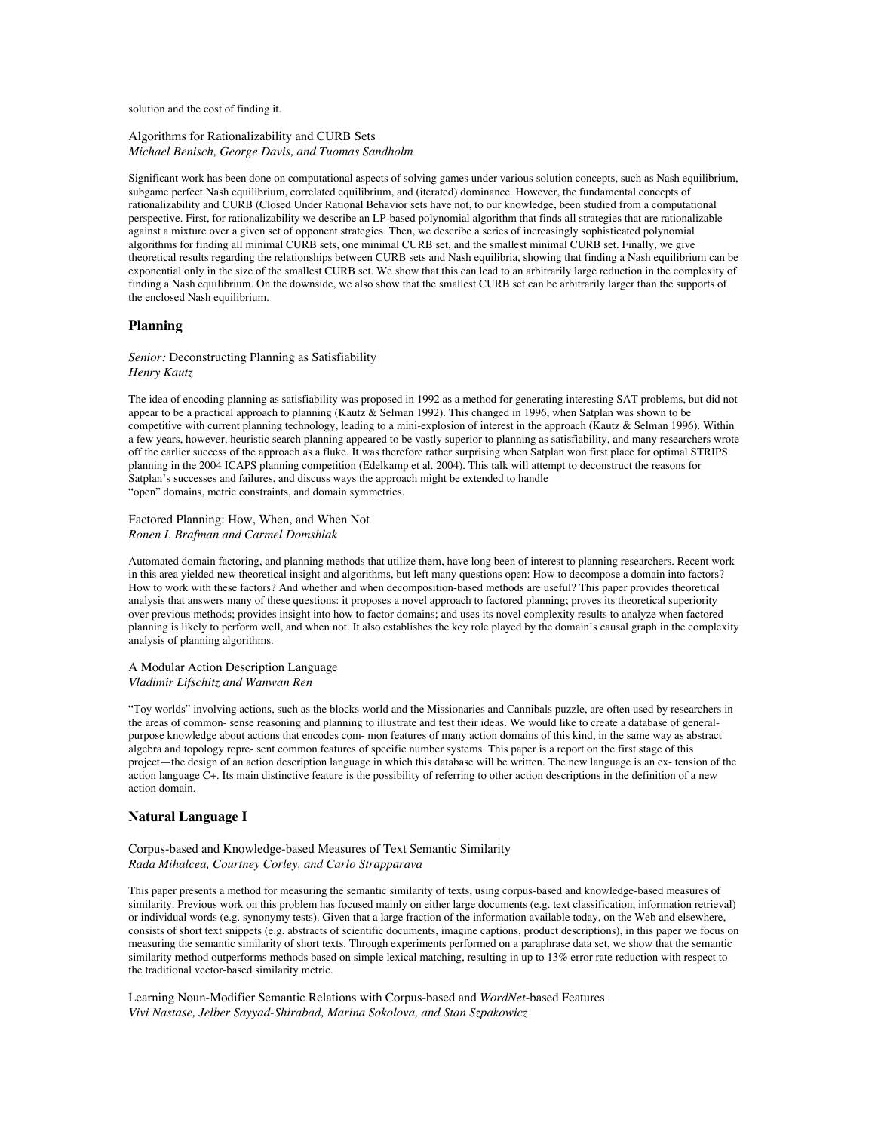solution and the cost of finding it.

#### Algorithms for Rationalizability and CURB Sets *Michael Benisch, George Davis, and Tuomas Sandholm*

Significant work has been done on computational aspects of solving games under various solution concepts, such as Nash equilibrium, subgame perfect Nash equilibrium, correlated equilibrium, and (iterated) dominance. However, the fundamental concepts of rationalizability and CURB (Closed Under Rational Behavior sets have not, to our knowledge, been studied from a computational perspective. First, for rationalizability we describe an LP-based polynomial algorithm that finds all strategies that are rationalizable against a mixture over a given set of opponent strategies. Then, we describe a series of increasingly sophisticated polynomial algorithms for finding all minimal CURB sets, one minimal CURB set, and the smallest minimal CURB set. Finally, we give theoretical results regarding the relationships between CURB sets and Nash equilibria, showing that finding a Nash equilibrium can be exponential only in the size of the smallest CURB set. We show that this can lead to an arbitrarily large reduction in the complexity of finding a Nash equilibrium. On the downside, we also show that the smallest CURB set can be arbitrarily larger than the supports of the enclosed Nash equilibrium.

### **Planning**

#### *Senior:* Deconstructing Planning as Satisfiability *Henry Kautz*

The idea of encoding planning as satisfiability was proposed in 1992 as a method for generating interesting SAT problems, but did not appear to be a practical approach to planning (Kautz & Selman 1992). This changed in 1996, when Satplan was shown to be competitive with current planning technology, leading to a mini-explosion of interest in the approach (Kautz & Selman 1996). Within a few years, however, heuristic search planning appeared to be vastly superior to planning as satisfiability, and many researchers wrote off the earlier success of the approach as a fluke. It was therefore rather surprising when Satplan won first place for optimal STRIPS planning in the 2004 ICAPS planning competition (Edelkamp et al. 2004). This talk will attempt to deconstruct the reasons for Satplan's successes and failures, and discuss ways the approach might be extended to handle "open" domains, metric constraints, and domain symmetries.

#### Factored Planning: How, When, and When Not *Ronen I. Brafman and Carmel Domshlak*

Automated domain factoring, and planning methods that utilize them, have long been of interest to planning researchers. Recent work in this area yielded new theoretical insight and algorithms, but left many questions open: How to decompose a domain into factors? How to work with these factors? And whether and when decomposition-based methods are useful? This paper provides theoretical analysis that answers many of these questions: it proposes a novel approach to factored planning; proves its theoretical superiority over previous methods; provides insight into how to factor domains; and uses its novel complexity results to analyze when factored planning is likely to perform well, and when not. It also establishes the key role played by the domain's causal graph in the complexity analysis of planning algorithms.

### A Modular Action Description Language *Vladimir Lifschitz and Wanwan Ren*

"Toy worlds" involving actions, such as the blocks world and the Missionaries and Cannibals puzzle, are often used by researchers in the areas of common- sense reasoning and planning to illustrate and test their ideas. We would like to create a database of generalpurpose knowledge about actions that encodes com- mon features of many action domains of this kind, in the same way as abstract algebra and topology repre- sent common features of specific number systems. This paper is a report on the first stage of this project—the design of an action description language in which this database will be written. The new language is an ex- tension of the action language C+. Its main distinctive feature is the possibility of referring to other action descriptions in the definition of a new action domain.

## **Natural Language I**

### Corpus-based and Knowledge-based Measures of Text Semantic Similarity *Rada Mihalcea, Courtney Corley, and Carlo Strapparava*

This paper presents a method for measuring the semantic similarity of texts, using corpus-based and knowledge-based measures of similarity. Previous work on this problem has focused mainly on either large documents (e.g. text classification, information retrieval) or individual words (e.g. synonymy tests). Given that a large fraction of the information available today, on the Web and elsewhere, consists of short text snippets (e.g. abstracts of scientific documents, imagine captions, product descriptions), in this paper we focus on measuring the semantic similarity of short texts. Through experiments performed on a paraphrase data set, we show that the semantic similarity method outperforms methods based on simple lexical matching, resulting in up to 13% error rate reduction with respect to the traditional vector-based similarity metric.

Learning Noun-Modifier Semantic Relations with Corpus-based and *WordNet*-based Features *Vivi Nastase, Jelber Sayyad-Shirabad, Marina Sokolova, and Stan Szpakowicz*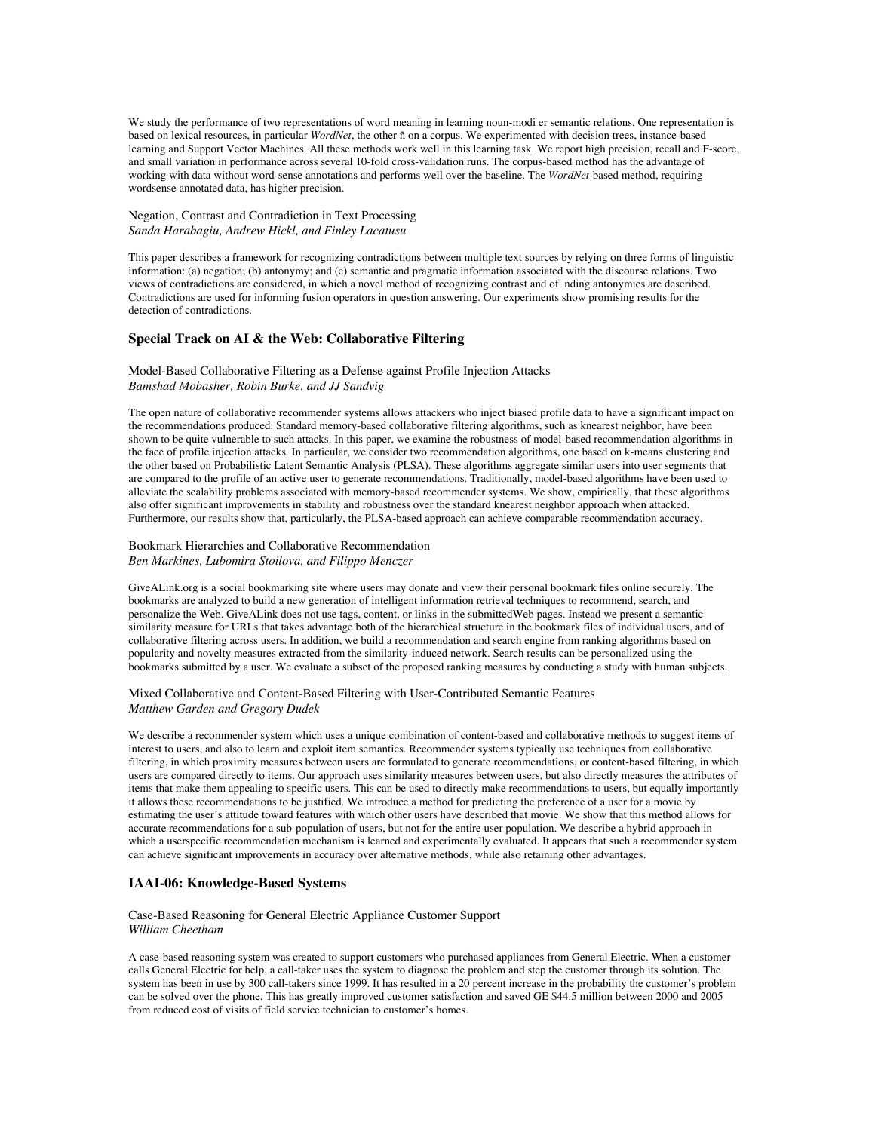We study the performance of two representations of word meaning in learning noun-modi er semantic relations. One representation is based on lexical resources, in particular *WordNet*, the other ñ on a corpus. We experimented with decision trees, instance-based learning and Support Vector Machines. All these methods work well in this learning task. We report high precision, recall and F-score, and small variation in performance across several 10-fold cross-validation runs. The corpus-based method has the advantage of working with data without word-sense annotations and performs well over the baseline. The *WordNet*-based method, requiring wordsense annotated data, has higher precision.

#### Negation, Contrast and Contradiction in Text Processing *Sanda Harabagiu, Andrew Hickl, and Finley Lacatusu*

This paper describes a framework for recognizing contradictions between multiple text sources by relying on three forms of linguistic information: (a) negation; (b) antonymy; and (c) semantic and pragmatic information associated with the discourse relations. Two views of contradictions are considered, in which a novel method of recognizing contrast and of nding antonymies are described. Contradictions are used for informing fusion operators in question answering. Our experiments show promising results for the detection of contradictions.

### **Special Track on AI & the Web: Collaborative Filtering**

### Model-Based Collaborative Filtering as a Defense against Profile Injection Attacks *Bamshad Mobasher, Robin Burke, and JJ Sandvig*

The open nature of collaborative recommender systems allows attackers who inject biased profile data to have a significant impact on the recommendations produced. Standard memory-based collaborative filtering algorithms, such as knearest neighbor, have been shown to be quite vulnerable to such attacks. In this paper, we examine the robustness of model-based recommendation algorithms in the face of profile injection attacks. In particular, we consider two recommendation algorithms, one based on k-means clustering and the other based on Probabilistic Latent Semantic Analysis (PLSA). These algorithms aggregate similar users into user segments that are compared to the profile of an active user to generate recommendations. Traditionally, model-based algorithms have been used to alleviate the scalability problems associated with memory-based recommender systems. We show, empirically, that these algorithms also offer significant improvements in stability and robustness over the standard knearest neighbor approach when attacked. Furthermore, our results show that, particularly, the PLSA-based approach can achieve comparable recommendation accuracy.

### Bookmark Hierarchies and Collaborative Recommendation *Ben Markines, Lubomira Stoilova, and Filippo Menczer*

GiveALink.org is a social bookmarking site where users may donate and view their personal bookmark files online securely. The bookmarks are analyzed to build a new generation of intelligent information retrieval techniques to recommend, search, and personalize the Web. GiveALink does not use tags, content, or links in the submittedWeb pages. Instead we present a semantic similarity measure for URLs that takes advantage both of the hierarchical structure in the bookmark files of individual users, and of collaborative filtering across users. In addition, we build a recommendation and search engine from ranking algorithms based on popularity and novelty measures extracted from the similarity-induced network. Search results can be personalized using the bookmarks submitted by a user. We evaluate a subset of the proposed ranking measures by conducting a study with human subjects.

### Mixed Collaborative and Content-Based Filtering with User-Contributed Semantic Features *Matthew Garden and Gregory Dudek*

We describe a recommender system which uses a unique combination of content-based and collaborative methods to suggest items of interest to users, and also to learn and exploit item semantics. Recommender systems typically use techniques from collaborative filtering, in which proximity measures between users are formulated to generate recommendations, or content-based filtering, in which users are compared directly to items. Our approach uses similarity measures between users, but also directly measures the attributes of items that make them appealing to specific users. This can be used to directly make recommendations to users, but equally importantly it allows these recommendations to be justified. We introduce a method for predicting the preference of a user for a movie by estimating the user's attitude toward features with which other users have described that movie. We show that this method allows for accurate recommendations for a sub-population of users, but not for the entire user population. We describe a hybrid approach in which a userspecific recommendation mechanism is learned and experimentally evaluated. It appears that such a recommender system can achieve significant improvements in accuracy over alternative methods, while also retaining other advantages.

## **IAAI-06: Knowledge-Based Systems**

#### Case-Based Reasoning for General Electric Appliance Customer Support *William Cheetham*

A case-based reasoning system was created to support customers who purchased appliances from General Electric. When a customer calls General Electric for help, a call-taker uses the system to diagnose the problem and step the customer through its solution. The system has been in use by 300 call-takers since 1999. It has resulted in a 20 percent increase in the probability the customer's problem can be solved over the phone. This has greatly improved customer satisfaction and saved GE \$44.5 million between 2000 and 2005 from reduced cost of visits of field service technician to customer's homes.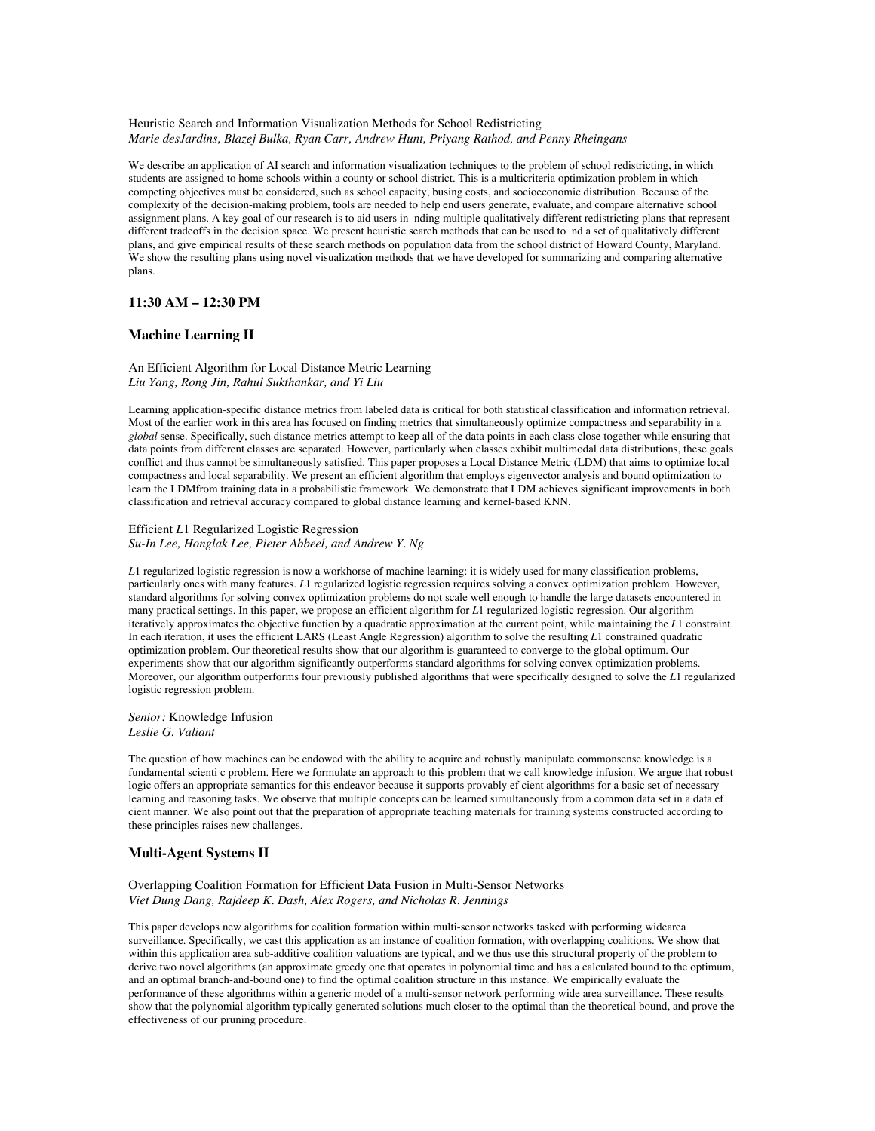### Heuristic Search and Information Visualization Methods for School Redistricting *Marie desJardins, Blazej Bulka, Ryan Carr, Andrew Hunt, Priyang Rathod, and Penny Rheingans*

We describe an application of AI search and information visualization techniques to the problem of school redistricting, in which students are assigned to home schools within a county or school district. This is a multicriteria optimization problem in which competing objectives must be considered, such as school capacity, busing costs, and socioeconomic distribution. Because of the complexity of the decision-making problem, tools are needed to help end users generate, evaluate, and compare alternative school assignment plans. A key goal of our research is to aid users in nding multiple qualitatively different redistricting plans that represent different tradeoffs in the decision space. We present heuristic search methods that can be used to nd a set of qualitatively different plans, and give empirical results of these search methods on population data from the school district of Howard County, Maryland. We show the resulting plans using novel visualization methods that we have developed for summarizing and comparing alternative plans.

# **11:30 AM – 12:30 PM**

## **Machine Learning II**

An Efficient Algorithm for Local Distance Metric Learning *Liu Yang, Rong Jin, Rahul Sukthankar, and Yi Liu*

Learning application-specific distance metrics from labeled data is critical for both statistical classification and information retrieval. Most of the earlier work in this area has focused on finding metrics that simultaneously optimize compactness and separability in a *global* sense. Specifically, such distance metrics attempt to keep all of the data points in each class close together while ensuring that data points from different classes are separated. However, particularly when classes exhibit multimodal data distributions, these goals conflict and thus cannot be simultaneously satisfied. This paper proposes a Local Distance Metric (LDM) that aims to optimize local compactness and local separability. We present an efficient algorithm that employs eigenvector analysis and bound optimization to learn the LDMfrom training data in a probabilistic framework. We demonstrate that LDM achieves significant improvements in both classification and retrieval accuracy compared to global distance learning and kernel-based KNN.

### Efficient *L*1 Regularized Logistic Regression *Su-In Lee, Honglak Lee, Pieter Abbeel, and Andrew Y. Ng*

*L*1 regularized logistic regression is now a workhorse of machine learning: it is widely used for many classification problems, particularly ones with many features. *L*1 regularized logistic regression requires solving a convex optimization problem. However, standard algorithms for solving convex optimization problems do not scale well enough to handle the large datasets encountered in many practical settings. In this paper, we propose an efficient algorithm for *L*1 regularized logistic regression. Our algorithm iteratively approximates the objective function by a quadratic approximation at the current point, while maintaining the *L*1 constraint. In each iteration, it uses the efficient LARS (Least Angle Regression) algorithm to solve the resulting *L*1 constrained quadratic optimization problem. Our theoretical results show that our algorithm is guaranteed to converge to the global optimum. Our experiments show that our algorithm significantly outperforms standard algorithms for solving convex optimization problems. Moreover, our algorithm outperforms four previously published algorithms that were specifically designed to solve the *L*1 regularized logistic regression problem.

*Senior:* Knowledge Infusion *Leslie G. Valiant*

The question of how machines can be endowed with the ability to acquire and robustly manipulate commonsense knowledge is a fundamental scienti c problem. Here we formulate an approach to this problem that we call knowledge infusion. We argue that robust logic offers an appropriate semantics for this endeavor because it supports provably ef cient algorithms for a basic set of necessary learning and reasoning tasks. We observe that multiple concepts can be learned simultaneously from a common data set in a data ef cient manner. We also point out that the preparation of appropriate teaching materials for training systems constructed according to these principles raises new challenges.

## **Multi-Agent Systems II**

### Overlapping Coalition Formation for Efficient Data Fusion in Multi-Sensor Networks *Viet Dung Dang, Rajdeep K. Dash, Alex Rogers, and Nicholas R. Jennings*

This paper develops new algorithms for coalition formation within multi-sensor networks tasked with performing widearea surveillance. Specifically, we cast this application as an instance of coalition formation, with overlapping coalitions. We show that within this application area sub-additive coalition valuations are typical, and we thus use this structural property of the problem to derive two novel algorithms (an approximate greedy one that operates in polynomial time and has a calculated bound to the optimum, and an optimal branch-and-bound one) to find the optimal coalition structure in this instance. We empirically evaluate the performance of these algorithms within a generic model of a multi-sensor network performing wide area surveillance. These results show that the polynomial algorithm typically generated solutions much closer to the optimal than the theoretical bound, and prove the effectiveness of our pruning procedure.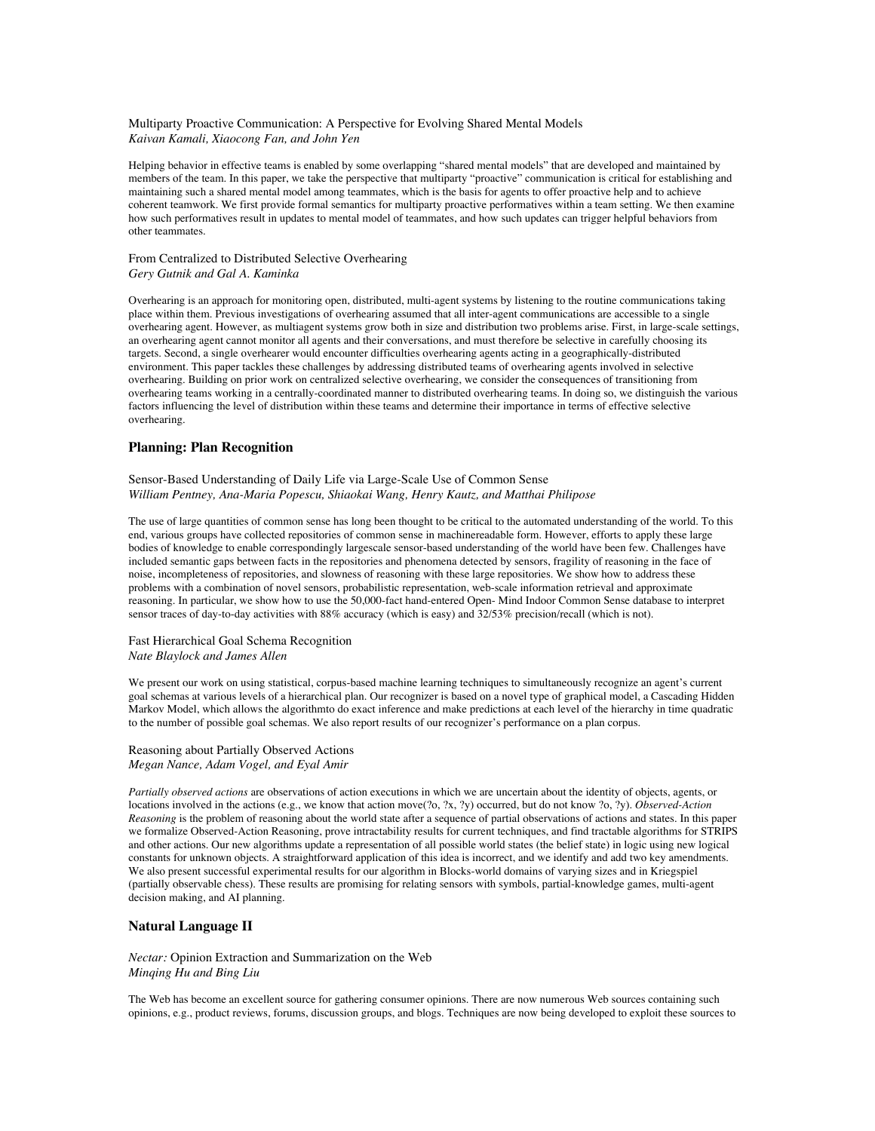### Multiparty Proactive Communication: A Perspective for Evolving Shared Mental Models *Kaivan Kamali, Xiaocong Fan, and John Yen*

Helping behavior in effective teams is enabled by some overlapping "shared mental models" that are developed and maintained by members of the team. In this paper, we take the perspective that multiparty "proactive" communication is critical for establishing and maintaining such a shared mental model among teammates, which is the basis for agents to offer proactive help and to achieve coherent teamwork. We first provide formal semantics for multiparty proactive performatives within a team setting. We then examine how such performatives result in updates to mental model of teammates, and how such updates can trigger helpful behaviors from other teammates.

## From Centralized to Distributed Selective Overhearing *Gery Gutnik and Gal A. Kaminka*

Overhearing is an approach for monitoring open, distributed, multi-agent systems by listening to the routine communications taking place within them. Previous investigations of overhearing assumed that all inter-agent communications are accessible to a single overhearing agent. However, as multiagent systems grow both in size and distribution two problems arise. First, in large-scale settings, an overhearing agent cannot monitor all agents and their conversations, and must therefore be selective in carefully choosing its targets. Second, a single overhearer would encounter difficulties overhearing agents acting in a geographically-distributed environment. This paper tackles these challenges by addressing distributed teams of overhearing agents involved in selective overhearing. Building on prior work on centralized selective overhearing, we consider the consequences of transitioning from overhearing teams working in a centrally-coordinated manner to distributed overhearing teams. In doing so, we distinguish the various factors influencing the level of distribution within these teams and determine their importance in terms of effective selective overhearing.

## **Planning: Plan Recognition**

Sensor-Based Understanding of Daily Life via Large-Scale Use of Common Sense *William Pentney, Ana-Maria Popescu, Shiaokai Wang, Henry Kautz, and Matthai Philipose*

The use of large quantities of common sense has long been thought to be critical to the automated understanding of the world. To this end, various groups have collected repositories of common sense in machinereadable form. However, efforts to apply these large bodies of knowledge to enable correspondingly largescale sensor-based understanding of the world have been few. Challenges have included semantic gaps between facts in the repositories and phenomena detected by sensors, fragility of reasoning in the face of noise, incompleteness of repositories, and slowness of reasoning with these large repositories. We show how to address these problems with a combination of novel sensors, probabilistic representation, web-scale information retrieval and approximate reasoning. In particular, we show how to use the 50,000-fact hand-entered Open- Mind Indoor Common Sense database to interpret sensor traces of day-to-day activities with 88% accuracy (which is easy) and 32/53% precision/recall (which is not).

## Fast Hierarchical Goal Schema Recognition *Nate Blaylock and James Allen*

We present our work on using statistical, corpus-based machine learning techniques to simultaneously recognize an agent's current goal schemas at various levels of a hierarchical plan. Our recognizer is based on a novel type of graphical model, a Cascading Hidden Markov Model, which allows the algorithmto do exact inference and make predictions at each level of the hierarchy in time quadratic to the number of possible goal schemas. We also report results of our recognizer's performance on a plan corpus.

## Reasoning about Partially Observed Actions *Megan Nance, Adam Vogel, and Eyal Amir*

*Partially observed actions* are observations of action executions in which we are uncertain about the identity of objects, agents, or locations involved in the actions (e.g., we know that action move(?o, ?x, ?y) occurred, but do not know ?o, ?y). *Observed-Action Reasoning* is the problem of reasoning about the world state after a sequence of partial observations of actions and states. In this paper we formalize Observed-Action Reasoning, prove intractability results for current techniques, and find tractable algorithms for STRIPS and other actions. Our new algorithms update a representation of all possible world states (the belief state) in logic using new logical constants for unknown objects. A straightforward application of this idea is incorrect, and we identify and add two key amendments. We also present successful experimental results for our algorithm in Blocks-world domains of varying sizes and in Kriegspiel (partially observable chess). These results are promising for relating sensors with symbols, partial-knowledge games, multi-agent decision making, and AI planning.

# **Natural Language II**

*Nectar:* Opinion Extraction and Summarization on the Web *Minqing Hu and Bing Liu*

The Web has become an excellent source for gathering consumer opinions. There are now numerous Web sources containing such opinions, e.g., product reviews, forums, discussion groups, and blogs. Techniques are now being developed to exploit these sources to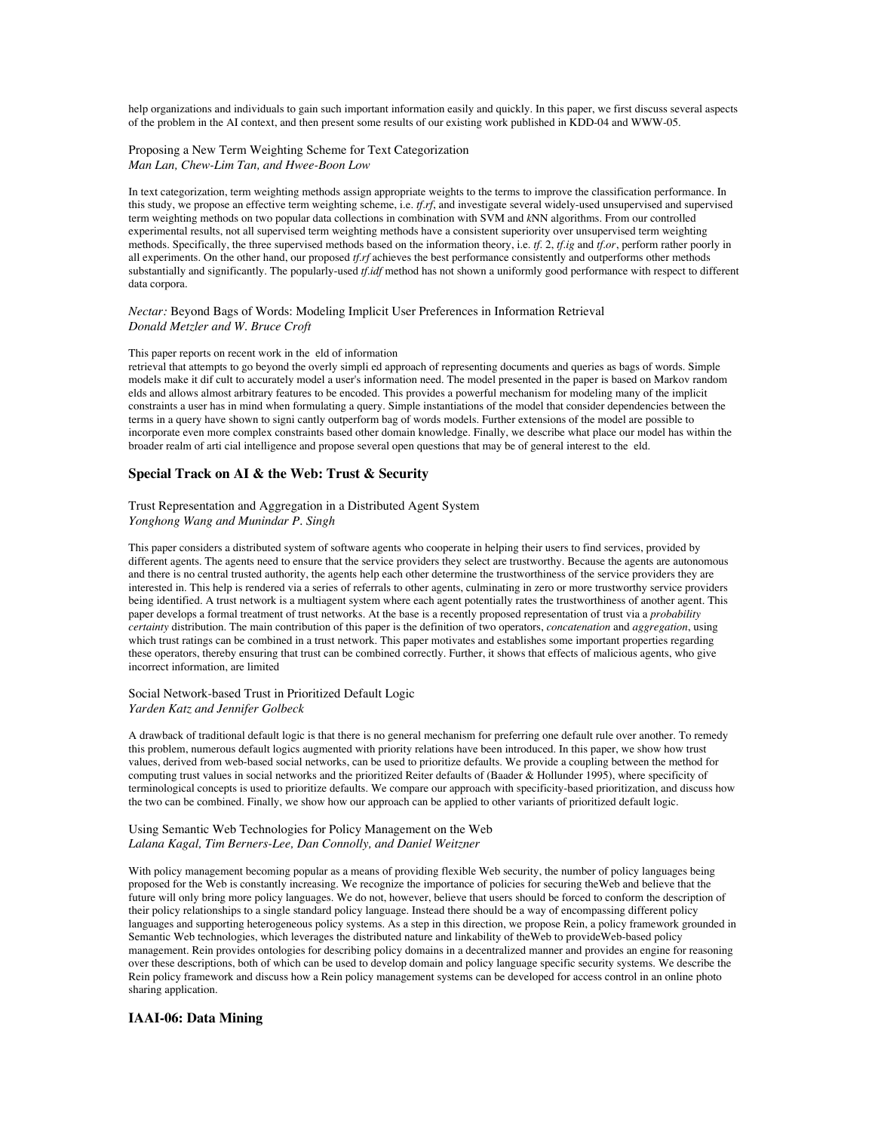help organizations and individuals to gain such important information easily and quickly. In this paper, we first discuss several aspects of the problem in the AI context, and then present some results of our existing work published in KDD-04 and WWW-05.

### Proposing a New Term Weighting Scheme for Text Categorization *Man Lan, Chew-Lim Tan, and Hwee-Boon Low*

In text categorization, term weighting methods assign appropriate weights to the terms to improve the classification performance. In this study, we propose an effective term weighting scheme, i.e. *tf.rf*, and investigate several widely-used unsupervised and supervised term weighting methods on two popular data collections in combination with SVM and *k*NN algorithms. From our controlled experimental results, not all supervised term weighting methods have a consistent superiority over unsupervised term weighting methods. Specifically, the three supervised methods based on the information theory, i.e. *tf.* 2, *tf.ig* and *tf.or*, perform rather poorly in all experiments. On the other hand, our proposed *tf.rf* achieves the best performance consistently and outperforms other methods substantially and significantly. The popularly-used *tf.idf* method has not shown a uniformly good performance with respect to different data corpora.

#### *Nectar:* Beyond Bags of Words: Modeling Implicit User Preferences in Information Retrieval *Donald Metzler and W. Bruce Croft*

#### This paper reports on recent work in the eld of information

retrieval that attempts to go beyond the overly simpli ed approach of representing documents and queries as bags of words. Simple models make it dif cult to accurately model a user's information need. The model presented in the paper is based on Markov random elds and allows almost arbitrary features to be encoded. This provides a powerful mechanism for modeling many of the implicit constraints a user has in mind when formulating a query. Simple instantiations of the model that consider dependencies between the terms in a query have shown to signi cantly outperform bag of words models. Further extensions of the model are possible to incorporate even more complex constraints based other domain knowledge. Finally, we describe what place our model has within the broader realm of arti cial intelligence and propose several open questions that may be of general interest to the eld.

### **Special Track on AI & the Web: Trust & Security**

#### Trust Representation and Aggregation in a Distributed Agent System *Yonghong Wang and Munindar P. Singh*

This paper considers a distributed system of software agents who cooperate in helping their users to find services, provided by different agents. The agents need to ensure that the service providers they select are trustworthy. Because the agents are autonomous and there is no central trusted authority, the agents help each other determine the trustworthiness of the service providers they are interested in. This help is rendered via a series of referrals to other agents, culminating in zero or more trustworthy service providers being identified. A trust network is a multiagent system where each agent potentially rates the trustworthiness of another agent. This paper develops a formal treatment of trust networks. At the base is a recently proposed representation of trust via a *probability certainty* distribution. The main contribution of this paper is the definition of two operators, *concatenation* and *aggregation*, using which trust ratings can be combined in a trust network. This paper motivates and establishes some important properties regarding these operators, thereby ensuring that trust can be combined correctly. Further, it shows that effects of malicious agents, who give incorrect information, are limited

#### Social Network-based Trust in Prioritized Default Logic *Yarden Katz and Jennifer Golbeck*

A drawback of traditional default logic is that there is no general mechanism for preferring one default rule over another. To remedy this problem, numerous default logics augmented with priority relations have been introduced. In this paper, we show how trust values, derived from web-based social networks, can be used to prioritize defaults. We provide a coupling between the method for computing trust values in social networks and the prioritized Reiter defaults of (Baader & Hollunder 1995), where specificity of terminological concepts is used to prioritize defaults. We compare our approach with specificity-based prioritization, and discuss how the two can be combined. Finally, we show how our approach can be applied to other variants of prioritized default logic.

#### Using Semantic Web Technologies for Policy Management on the Web *Lalana Kagal, Tim Berners-Lee, Dan Connolly, and Daniel Weitzner*

With policy management becoming popular as a means of providing flexible Web security, the number of policy languages being proposed for the Web is constantly increasing. We recognize the importance of policies for securing theWeb and believe that the future will only bring more policy languages. We do not, however, believe that users should be forced to conform the description of their policy relationships to a single standard policy language. Instead there should be a way of encompassing different policy languages and supporting heterogeneous policy systems. As a step in this direction, we propose Rein, a policy framework grounded in Semantic Web technologies, which leverages the distributed nature and linkability of theWeb to provideWeb-based policy management. Rein provides ontologies for describing policy domains in a decentralized manner and provides an engine for reasoning over these descriptions, both of which can be used to develop domain and policy language specific security systems. We describe the Rein policy framework and discuss how a Rein policy management systems can be developed for access control in an online photo sharing application.

## **IAAI-06: Data Mining**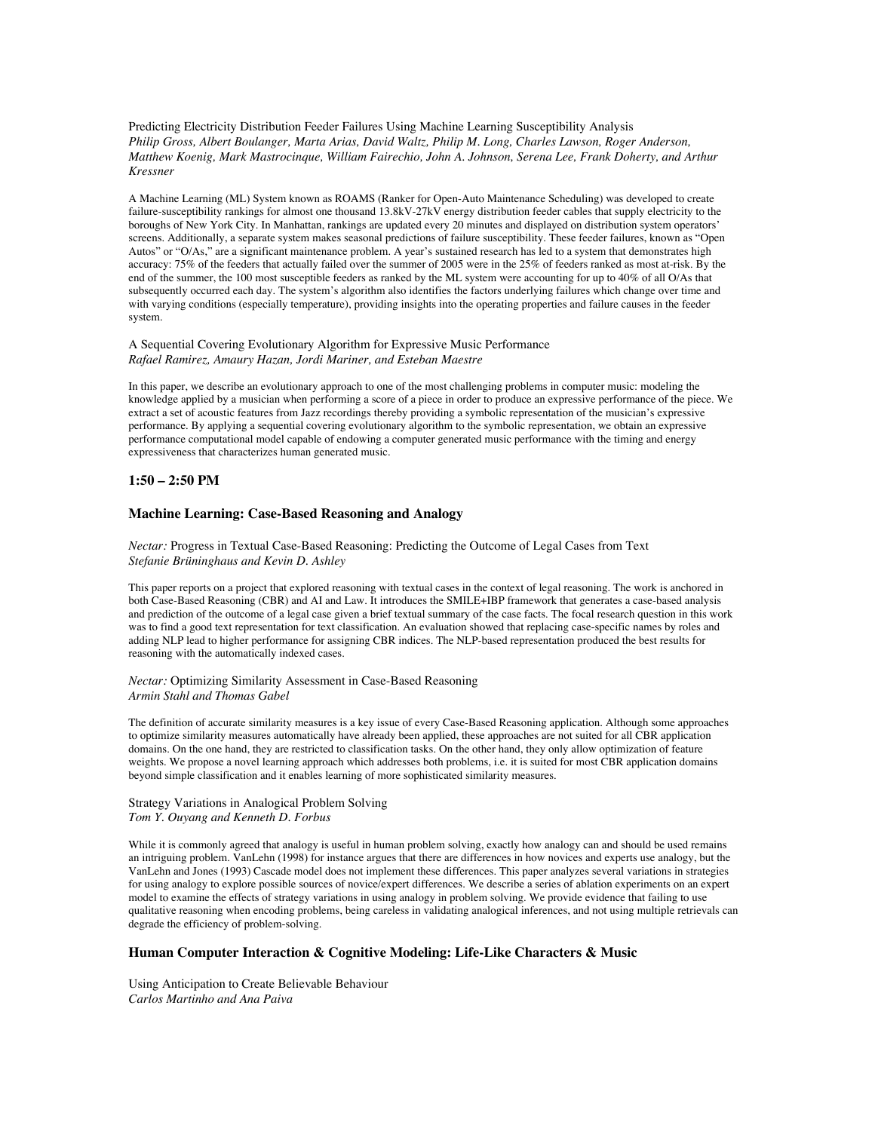Predicting Electricity Distribution Feeder Failures Using Machine Learning Susceptibility Analysis *Philip Gross, Albert Boulanger, Marta Arias, David Waltz, Philip M. Long, Charles Lawson, Roger Anderson, Matthew Koenig, Mark Mastrocinque, William Fairechio, John A. Johnson, Serena Lee, Frank Doherty, and Arthur Kressner*

A Machine Learning (ML) System known as ROAMS (Ranker for Open-Auto Maintenance Scheduling) was developed to create failure-susceptibility rankings for almost one thousand 13.8kV-27kV energy distribution feeder cables that supply electricity to the boroughs of New York City. In Manhattan, rankings are updated every 20 minutes and displayed on distribution system operators' screens. Additionally, a separate system makes seasonal predictions of failure susceptibility. These feeder failures, known as "Open Autos" or "O/As," are a significant maintenance problem. A year's sustained research has led to a system that demonstrates high accuracy: 75% of the feeders that actually failed over the summer of 2005 were in the 25% of feeders ranked as most at-risk. By the end of the summer, the 100 most susceptible feeders as ranked by the ML system were accounting for up to 40% of all O/As that subsequently occurred each day. The system's algorithm also identifies the factors underlying failures which change over time and with varying conditions (especially temperature), providing insights into the operating properties and failure causes in the feeder system.

## A Sequential Covering Evolutionary Algorithm for Expressive Music Performance *Rafael Ramirez, Amaury Hazan, Jordi Mariner, and Esteban Maestre*

In this paper, we describe an evolutionary approach to one of the most challenging problems in computer music: modeling the knowledge applied by a musician when performing a score of a piece in order to produce an expressive performance of the piece. We extract a set of acoustic features from Jazz recordings thereby providing a symbolic representation of the musician's expressive performance. By applying a sequential covering evolutionary algorithm to the symbolic representation, we obtain an expressive performance computational model capable of endowing a computer generated music performance with the timing and energy expressiveness that characterizes human generated music.

## **1:50 – 2:50 PM**

## **Machine Learning: Case-Based Reasoning and Analogy**

*Nectar:* Progress in Textual Case-Based Reasoning: Predicting the Outcome of Legal Cases from Text *Stefanie Brüninghaus and Kevin D. Ashley*

This paper reports on a project that explored reasoning with textual cases in the context of legal reasoning. The work is anchored in both Case-Based Reasoning (CBR) and AI and Law. It introduces the SMILE+IBP framework that generates a case-based analysis and prediction of the outcome of a legal case given a brief textual summary of the case facts. The focal research question in this work was to find a good text representation for text classification. An evaluation showed that replacing case-specific names by roles and adding NLP lead to higher performance for assigning CBR indices. The NLP-based representation produced the best results for reasoning with the automatically indexed cases.

*Nectar:* Optimizing Similarity Assessment in Case-Based Reasoning *Armin Stahl and Thomas Gabel*

The definition of accurate similarity measures is a key issue of every Case-Based Reasoning application. Although some approaches to optimize similarity measures automatically have already been applied, these approaches are not suited for all CBR application domains. On the one hand, they are restricted to classification tasks. On the other hand, they only allow optimization of feature weights. We propose a novel learning approach which addresses both problems, i.e. it is suited for most CBR application domains beyond simple classification and it enables learning of more sophisticated similarity measures.

Strategy Variations in Analogical Problem Solving *Tom Y. Ouyang and Kenneth D. Forbus*

While it is commonly agreed that analogy is useful in human problem solving, exactly how analogy can and should be used remains an intriguing problem. VanLehn (1998) for instance argues that there are differences in how novices and experts use analogy, but the VanLehn and Jones (1993) Cascade model does not implement these differences. This paper analyzes several variations in strategies for using analogy to explore possible sources of novice/expert differences. We describe a series of ablation experiments on an expert model to examine the effects of strategy variations in using analogy in problem solving. We provide evidence that failing to use qualitative reasoning when encoding problems, being careless in validating analogical inferences, and not using multiple retrievals can degrade the efficiency of problem-solving.

## **Human Computer Interaction & Cognitive Modeling: Life-Like Characters & Music**

Using Anticipation to Create Believable Behaviour *Carlos Martinho and Ana Paiva*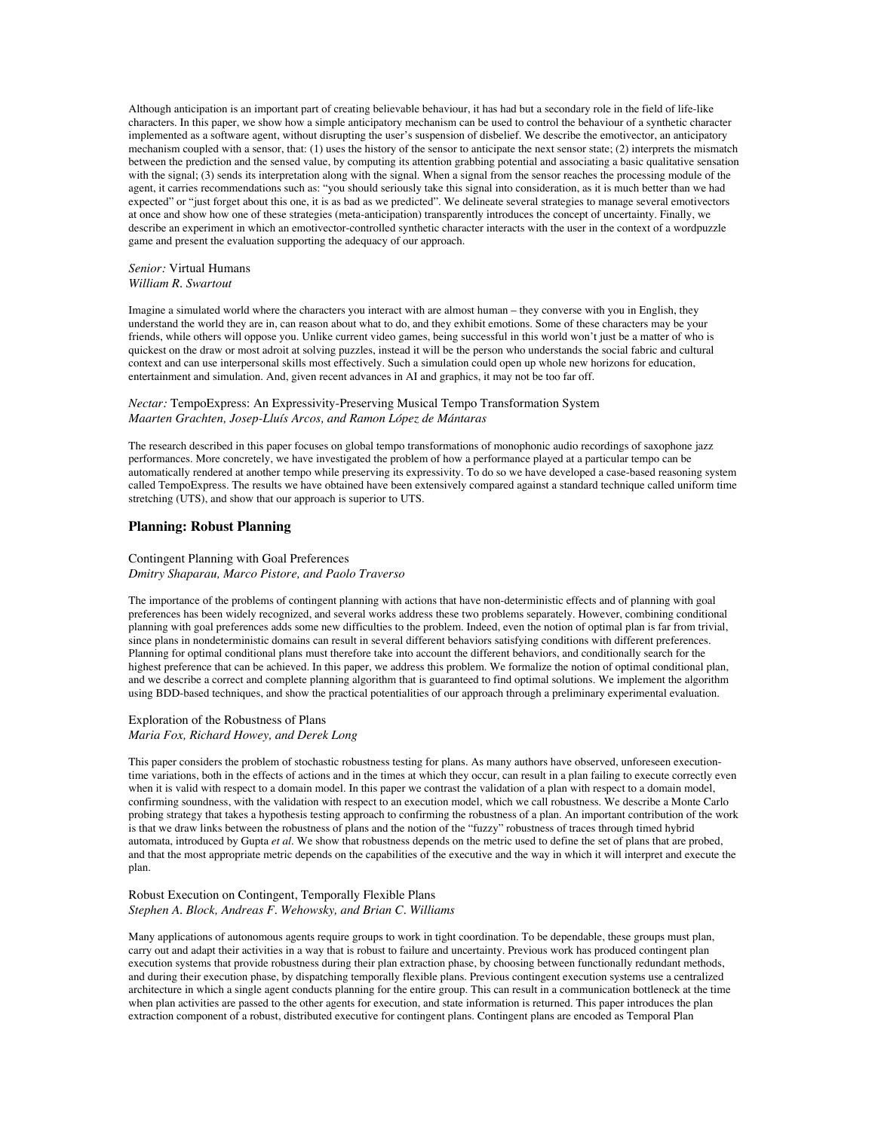Although anticipation is an important part of creating believable behaviour, it has had but a secondary role in the field of life-like characters. In this paper, we show how a simple anticipatory mechanism can be used to control the behaviour of a synthetic character implemented as a software agent, without disrupting the user's suspension of disbelief. We describe the emotivector, an anticipatory mechanism coupled with a sensor, that: (1) uses the history of the sensor to anticipate the next sensor state; (2) interprets the mismatch between the prediction and the sensed value, by computing its attention grabbing potential and associating a basic qualitative sensation with the signal; (3) sends its interpretation along with the signal. When a signal from the sensor reaches the processing module of the agent, it carries recommendations such as: "you should seriously take this signal into consideration, as it is much better than we had expected" or "just forget about this one, it is as bad as we predicted". We delineate several strategies to manage several emotivectors at once and show how one of these strategies (meta-anticipation) transparently introduces the concept of uncertainty. Finally, we describe an experiment in which an emotivector-controlled synthetic character interacts with the user in the context of a wordpuzzle game and present the evaluation supporting the adequacy of our approach.

### *Senior:* Virtual Humans *William R. Swartout*

Imagine a simulated world where the characters you interact with are almost human – they converse with you in English, they understand the world they are in, can reason about what to do, and they exhibit emotions. Some of these characters may be your friends, while others will oppose you. Unlike current video games, being successful in this world won't just be a matter of who is quickest on the draw or most adroit at solving puzzles, instead it will be the person who understands the social fabric and cultural context and can use interpersonal skills most effectively. Such a simulation could open up whole new horizons for education, entertainment and simulation. And, given recent advances in AI and graphics, it may not be too far off.

#### *Nectar:* TempoExpress: An Expressivity-Preserving Musical Tempo Transformation System *Maarten Grachten, Josep-Lluís Arcos, and Ramon López de Mántaras*

The research described in this paper focuses on global tempo transformations of monophonic audio recordings of saxophone jazz performances. More concretely, we have investigated the problem of how a performance played at a particular tempo can be automatically rendered at another tempo while preserving its expressivity. To do so we have developed a case-based reasoning system called TempoExpress. The results we have obtained have been extensively compared against a standard technique called uniform time stretching (UTS), and show that our approach is superior to UTS.

## **Planning: Robust Planning**

### Contingent Planning with Goal Preferences *Dmitry Shaparau, Marco Pistore, and Paolo Traverso*

The importance of the problems of contingent planning with actions that have non-deterministic effects and of planning with goal preferences has been widely recognized, and several works address these two problems separately. However, combining conditional planning with goal preferences adds some new difficulties to the problem. Indeed, even the notion of optimal plan is far from trivial, since plans in nondeterministic domains can result in several different behaviors satisfying conditions with different preferences. Planning for optimal conditional plans must therefore take into account the different behaviors, and conditionally search for the highest preference that can be achieved. In this paper, we address this problem. We formalize the notion of optimal conditional plan, and we describe a correct and complete planning algorithm that is guaranteed to find optimal solutions. We implement the algorithm using BDD-based techniques, and show the practical potentialities of our approach through a preliminary experimental evaluation.

### Exploration of the Robustness of Plans *Maria Fox, Richard Howey, and Derek Long*

This paper considers the problem of stochastic robustness testing for plans. As many authors have observed, unforeseen executiontime variations, both in the effects of actions and in the times at which they occur, can result in a plan failing to execute correctly even when it is valid with respect to a domain model. In this paper we contrast the validation of a plan with respect to a domain model, confirming soundness, with the validation with respect to an execution model, which we call robustness. We describe a Monte Carlo probing strategy that takes a hypothesis testing approach to confirming the robustness of a plan. An important contribution of the work is that we draw links between the robustness of plans and the notion of the "fuzzy" robustness of traces through timed hybrid automata, introduced by Gupta *et al*. We show that robustness depends on the metric used to define the set of plans that are probed, and that the most appropriate metric depends on the capabilities of the executive and the way in which it will interpret and execute the plan.

### Robust Execution on Contingent, Temporally Flexible Plans *Stephen A. Block, Andreas F. Wehowsky, and Brian C. Williams*

Many applications of autonomous agents require groups to work in tight coordination. To be dependable, these groups must plan, carry out and adapt their activities in a way that is robust to failure and uncertainty. Previous work has produced contingent plan execution systems that provide robustness during their plan extraction phase, by choosing between functionally redundant methods, and during their execution phase, by dispatching temporally flexible plans. Previous contingent execution systems use a centralized architecture in which a single agent conducts planning for the entire group. This can result in a communication bottleneck at the time when plan activities are passed to the other agents for execution, and state information is returned. This paper introduces the plan extraction component of a robust, distributed executive for contingent plans. Contingent plans are encoded as Temporal Plan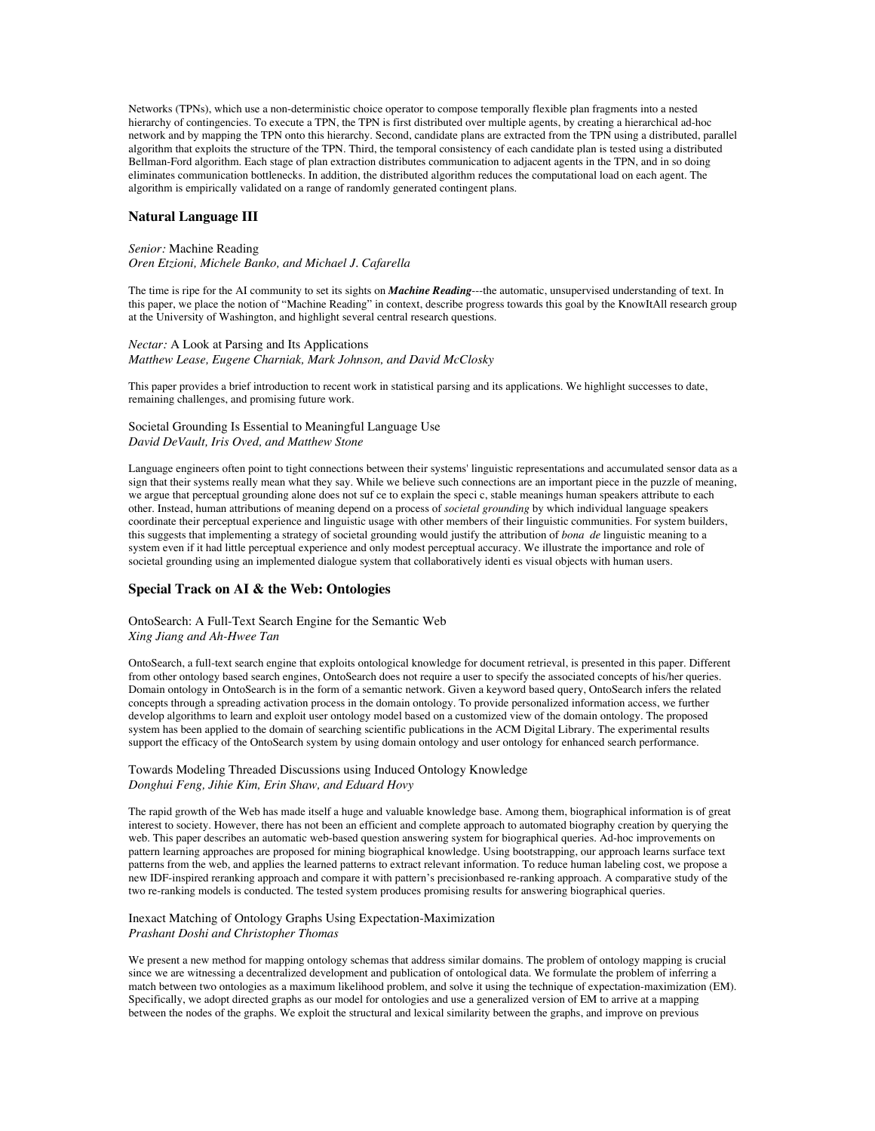Networks (TPNs), which use a non-deterministic choice operator to compose temporally flexible plan fragments into a nested hierarchy of contingencies. To execute a TPN, the TPN is first distributed over multiple agents, by creating a hierarchical ad-hoc network and by mapping the TPN onto this hierarchy. Second, candidate plans are extracted from the TPN using a distributed, parallel algorithm that exploits the structure of the TPN. Third, the temporal consistency of each candidate plan is tested using a distributed Bellman-Ford algorithm. Each stage of plan extraction distributes communication to adjacent agents in the TPN, and in so doing eliminates communication bottlenecks. In addition, the distributed algorithm reduces the computational load on each agent. The algorithm is empirically validated on a range of randomly generated contingent plans.

### **Natural Language III**

### *Senior:* Machine Reading *Oren Etzioni, Michele Banko, and Michael J. Cafarella*

The time is ripe for the AI community to set its sights on *Machine Reading*---the automatic, unsupervised understanding of text. In this paper, we place the notion of "Machine Reading" in context, describe progress towards this goal by the KnowItAll research group at the University of Washington, and highlight several central research questions.

# *Nectar:* A Look at Parsing and Its Applications *Matthew Lease, Eugene Charniak, Mark Johnson, and David McClosky*

This paper provides a brief introduction to recent work in statistical parsing and its applications. We highlight successes to date, remaining challenges, and promising future work.

Societal Grounding Is Essential to Meaningful Language Use *David DeVault, Iris Oved, and Matthew Stone*

Language engineers often point to tight connections between their systems' linguistic representations and accumulated sensor data as a sign that their systems really mean what they say. While we believe such connections are an important piece in the puzzle of meaning, we argue that perceptual grounding alone does not suf ce to explain the speci c, stable meanings human speakers attribute to each other. Instead, human attributions of meaning depend on a process of *societal grounding* by which individual language speakers coordinate their perceptual experience and linguistic usage with other members of their linguistic communities. For system builders, this suggests that implementing a strategy of societal grounding would justify the attribution of *bona de* linguistic meaning to a system even if it had little perceptual experience and only modest perceptual accuracy. We illustrate the importance and role of societal grounding using an implemented dialogue system that collaboratively identi es visual objects with human users.

## **Special Track on AI & the Web: Ontologies**

OntoSearch: A Full-Text Search Engine for the Semantic Web *Xing Jiang and Ah-Hwee Tan*

OntoSearch, a full-text search engine that exploits ontological knowledge for document retrieval, is presented in this paper. Different from other ontology based search engines, OntoSearch does not require a user to specify the associated concepts of his/her queries. Domain ontology in OntoSearch is in the form of a semantic network. Given a keyword based query, OntoSearch infers the related concepts through a spreading activation process in the domain ontology. To provide personalized information access, we further develop algorithms to learn and exploit user ontology model based on a customized view of the domain ontology. The proposed system has been applied to the domain of searching scientific publications in the ACM Digital Library. The experimental results support the efficacy of the OntoSearch system by using domain ontology and user ontology for enhanced search performance.

## Towards Modeling Threaded Discussions using Induced Ontology Knowledge *Donghui Feng, Jihie Kim, Erin Shaw, and Eduard Hovy*

The rapid growth of the Web has made itself a huge and valuable knowledge base. Among them, biographical information is of great interest to society. However, there has not been an efficient and complete approach to automated biography creation by querying the web. This paper describes an automatic web-based question answering system for biographical queries. Ad-hoc improvements on pattern learning approaches are proposed for mining biographical knowledge. Using bootstrapping, our approach learns surface text patterns from the web, and applies the learned patterns to extract relevant information. To reduce human labeling cost, we propose a new IDF-inspired reranking approach and compare it with pattern's precisionbased re-ranking approach. A comparative study of the two re-ranking models is conducted. The tested system produces promising results for answering biographical queries.

#### Inexact Matching of Ontology Graphs Using Expectation-Maximization *Prashant Doshi and Christopher Thomas*

We present a new method for mapping ontology schemas that address similar domains. The problem of ontology mapping is crucial since we are witnessing a decentralized development and publication of ontological data. We formulate the problem of inferring a match between two ontologies as a maximum likelihood problem, and solve it using the technique of expectation-maximization (EM). Specifically, we adopt directed graphs as our model for ontologies and use a generalized version of EM to arrive at a mapping between the nodes of the graphs. We exploit the structural and lexical similarity between the graphs, and improve on previous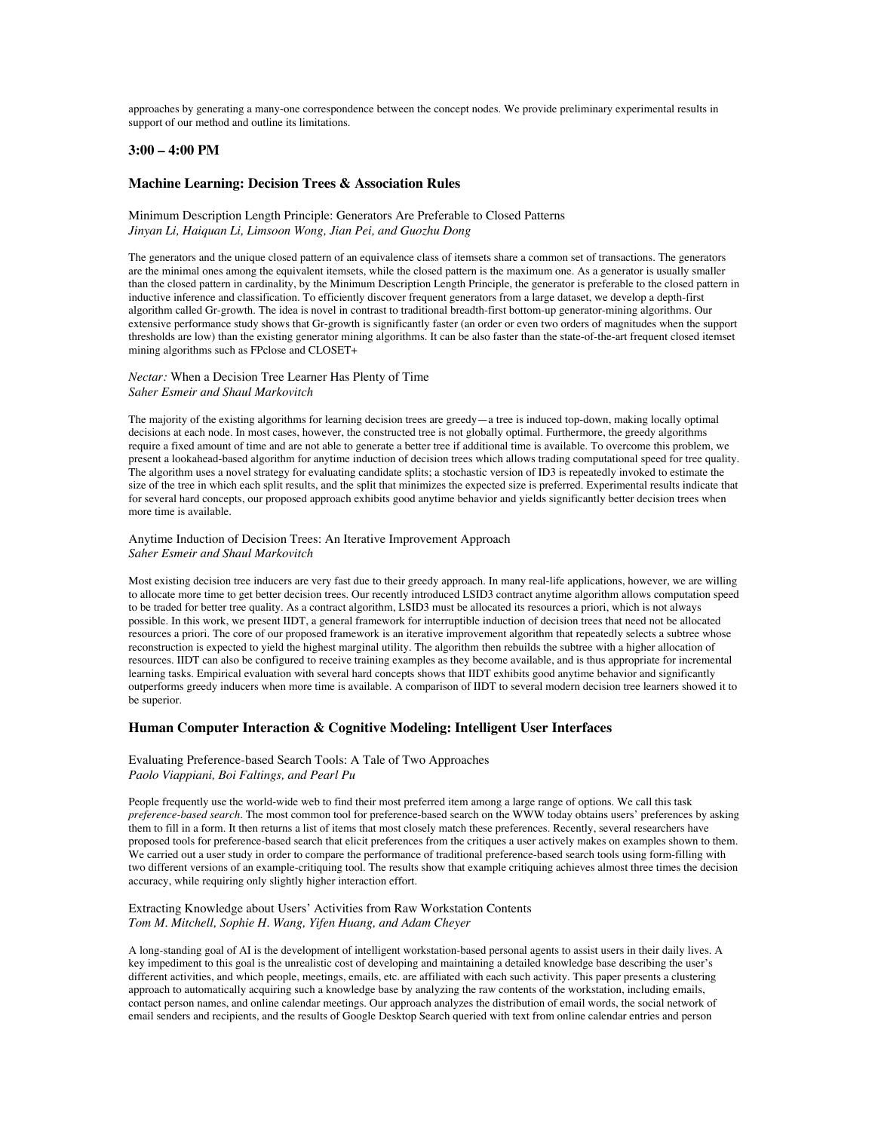approaches by generating a many-one correspondence between the concept nodes. We provide preliminary experimental results in support of our method and outline its limitations.

### **3:00 – 4:00 PM**

### **Machine Learning: Decision Trees & Association Rules**

### Minimum Description Length Principle: Generators Are Preferable to Closed Patterns *Jinyan Li, Haiquan Li, Limsoon Wong, Jian Pei, and Guozhu Dong*

The generators and the unique closed pattern of an equivalence class of itemsets share a common set of transactions. The generators are the minimal ones among the equivalent itemsets, while the closed pattern is the maximum one. As a generator is usually smaller than the closed pattern in cardinality, by the Minimum Description Length Principle, the generator is preferable to the closed pattern in inductive inference and classification. To efficiently discover frequent generators from a large dataset, we develop a depth-first algorithm called Gr-growth. The idea is novel in contrast to traditional breadth-first bottom-up generator-mining algorithms. Our extensive performance study shows that Gr-growth is significantly faster (an order or even two orders of magnitudes when the support thresholds are low) than the existing generator mining algorithms. It can be also faster than the state-of-the-art frequent closed itemset mining algorithms such as FPclose and CLOSET+

### *Nectar:* When a Decision Tree Learner Has Plenty of Time *Saher Esmeir and Shaul Markovitch*

The majority of the existing algorithms for learning decision trees are greedy—a tree is induced top-down, making locally optimal decisions at each node. In most cases, however, the constructed tree is not globally optimal. Furthermore, the greedy algorithms require a fixed amount of time and are not able to generate a better tree if additional time is available. To overcome this problem, we present a lookahead-based algorithm for anytime induction of decision trees which allows trading computational speed for tree quality. The algorithm uses a novel strategy for evaluating candidate splits; a stochastic version of ID3 is repeatedly invoked to estimate the size of the tree in which each split results, and the split that minimizes the expected size is preferred. Experimental results indicate that for several hard concepts, our proposed approach exhibits good anytime behavior and yields significantly better decision trees when more time is available.

#### Anytime Induction of Decision Trees: An Iterative Improvement Approach *Saher Esmeir and Shaul Markovitch*

Most existing decision tree inducers are very fast due to their greedy approach. In many real-life applications, however, we are willing to allocate more time to get better decision trees. Our recently introduced LSID3 contract anytime algorithm allows computation speed to be traded for better tree quality. As a contract algorithm, LSID3 must be allocated its resources a priori, which is not always possible. In this work, we present IIDT, a general framework for interruptible induction of decision trees that need not be allocated resources a priori. The core of our proposed framework is an iterative improvement algorithm that repeatedly selects a subtree whose reconstruction is expected to yield the highest marginal utility. The algorithm then rebuilds the subtree with a higher allocation of resources. IIDT can also be configured to receive training examples as they become available, and is thus appropriate for incremental learning tasks. Empirical evaluation with several hard concepts shows that IIDT exhibits good anytime behavior and significantly outperforms greedy inducers when more time is available. A comparison of IIDT to several modern decision tree learners showed it to be superior.

## **Human Computer Interaction & Cognitive Modeling: Intelligent User Interfaces**

### Evaluating Preference-based Search Tools: A Tale of Two Approaches *Paolo Viappiani, Boi Faltings, and Pearl Pu*

People frequently use the world-wide web to find their most preferred item among a large range of options. We call this task *preference-based search*. The most common tool for preference-based search on the WWW today obtains users' preferences by asking them to fill in a form. It then returns a list of items that most closely match these preferences. Recently, several researchers have proposed tools for preference-based search that elicit preferences from the critiques a user actively makes on examples shown to them. We carried out a user study in order to compare the performance of traditional preference-based search tools using form-filling with two different versions of an example-critiquing tool. The results show that example critiquing achieves almost three times the decision accuracy, while requiring only slightly higher interaction effort.

### Extracting Knowledge about Users' Activities from Raw Workstation Contents *Tom M. Mitchell, Sophie H. Wang, Yifen Huang, and Adam Cheyer*

A long-standing goal of AI is the development of intelligent workstation-based personal agents to assist users in their daily lives. A key impediment to this goal is the unrealistic cost of developing and maintaining a detailed knowledge base describing the user's different activities, and which people, meetings, emails, etc. are affiliated with each such activity. This paper presents a clustering approach to automatically acquiring such a knowledge base by analyzing the raw contents of the workstation, including emails, contact person names, and online calendar meetings. Our approach analyzes the distribution of email words, the social network of email senders and recipients, and the results of Google Desktop Search queried with text from online calendar entries and person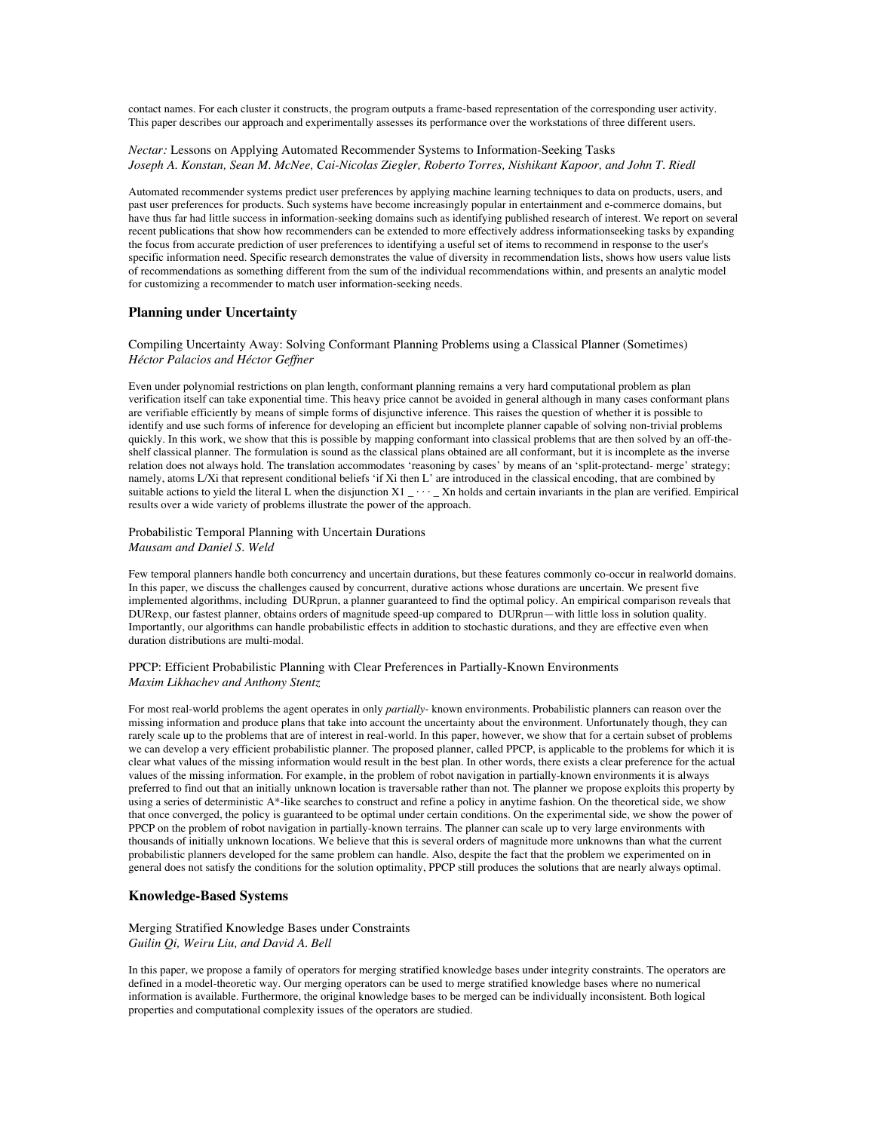contact names. For each cluster it constructs, the program outputs a frame-based representation of the corresponding user activity. This paper describes our approach and experimentally assesses its performance over the workstations of three different users.

*Nectar:* Lessons on Applying Automated Recommender Systems to Information-Seeking Tasks *Joseph A. Konstan, Sean M. McNee, Cai-Nicolas Ziegler, Roberto Torres, Nishikant Kapoor, and John T. Riedl*

Automated recommender systems predict user preferences by applying machine learning techniques to data on products, users, and past user preferences for products. Such systems have become increasingly popular in entertainment and e-commerce domains, but have thus far had little success in information-seeking domains such as identifying published research of interest. We report on several recent publications that show how recommenders can be extended to more effectively address informationseeking tasks by expanding the focus from accurate prediction of user preferences to identifying a useful set of items to recommend in response to the user's specific information need. Specific research demonstrates the value of diversity in recommendation lists, shows how users value lists of recommendations as something different from the sum of the individual recommendations within, and presents an analytic model for customizing a recommender to match user information-seeking needs.

## **Planning under Uncertainty**

Compiling Uncertainty Away: Solving Conformant Planning Problems using a Classical Planner (Sometimes) *Héctor Palacios and Héctor Geffner*

Even under polynomial restrictions on plan length, conformant planning remains a very hard computational problem as plan verification itself can take exponential time. This heavy price cannot be avoided in general although in many cases conformant plans are verifiable efficiently by means of simple forms of disjunctive inference. This raises the question of whether it is possible to identify and use such forms of inference for developing an efficient but incomplete planner capable of solving non-trivial problems quickly. In this work, we show that this is possible by mapping conformant into classical problems that are then solved by an off-theshelf classical planner. The formulation is sound as the classical plans obtained are all conformant, but it is incomplete as the inverse relation does not always hold. The translation accommodates 'reasoning by cases' by means of an 'split-protectand- merge' strategy; namely, atoms L/Xi that represent conditional beliefs 'if Xi then L' are introduced in the classical encoding, that are combined by suitable actions to yield the literal L when the disjunction  $X1 - \cdots - Xn$  holds and certain invariants in the plan are verified. Empirical results over a wide variety of problems illustrate the power of the approach.

Probabilistic Temporal Planning with Uncertain Durations *Mausam and Daniel S. Weld*

Few temporal planners handle both concurrency and uncertain durations, but these features commonly co-occur in realworld domains. In this paper, we discuss the challenges caused by concurrent, durative actions whose durations are uncertain. We present five implemented algorithms, including DURprun, a planner guaranteed to find the optimal policy. An empirical comparison reveals that DURexp, our fastest planner, obtains orders of magnitude speed-up compared to DURprun—with little loss in solution quality. Importantly, our algorithms can handle probabilistic effects in addition to stochastic durations, and they are effective even when duration distributions are multi-modal.

PPCP: Efficient Probabilistic Planning with Clear Preferences in Partially-Known Environments *Maxim Likhachev and Anthony Stentz*

For most real-world problems the agent operates in only *partially*- known environments. Probabilistic planners can reason over the missing information and produce plans that take into account the uncertainty about the environment. Unfortunately though, they can rarely scale up to the problems that are of interest in real-world. In this paper, however, we show that for a certain subset of problems we can develop a very efficient probabilistic planner. The proposed planner, called PPCP, is applicable to the problems for which it is clear what values of the missing information would result in the best plan. In other words, there exists a clear preference for the actual values of the missing information. For example, in the problem of robot navigation in partially-known environments it is always preferred to find out that an initially unknown location is traversable rather than not. The planner we propose exploits this property by using a series of deterministic A\*-like searches to construct and refine a policy in anytime fashion. On the theoretical side, we show that once converged, the policy is guaranteed to be optimal under certain conditions. On the experimental side, we show the power of PPCP on the problem of robot navigation in partially-known terrains. The planner can scale up to very large environments with thousands of initially unknown locations. We believe that this is several orders of magnitude more unknowns than what the current probabilistic planners developed for the same problem can handle. Also, despite the fact that the problem we experimented on in general does not satisfy the conditions for the solution optimality, PPCP still produces the solutions that are nearly always optimal.

#### **Knowledge-Based Systems**

Merging Stratified Knowledge Bases under Constraints *Guilin Qi, Weiru Liu, and David A. Bell*

In this paper, we propose a family of operators for merging stratified knowledge bases under integrity constraints. The operators are defined in a model-theoretic way. Our merging operators can be used to merge stratified knowledge bases where no numerical information is available. Furthermore, the original knowledge bases to be merged can be individually inconsistent. Both logical properties and computational complexity issues of the operators are studied.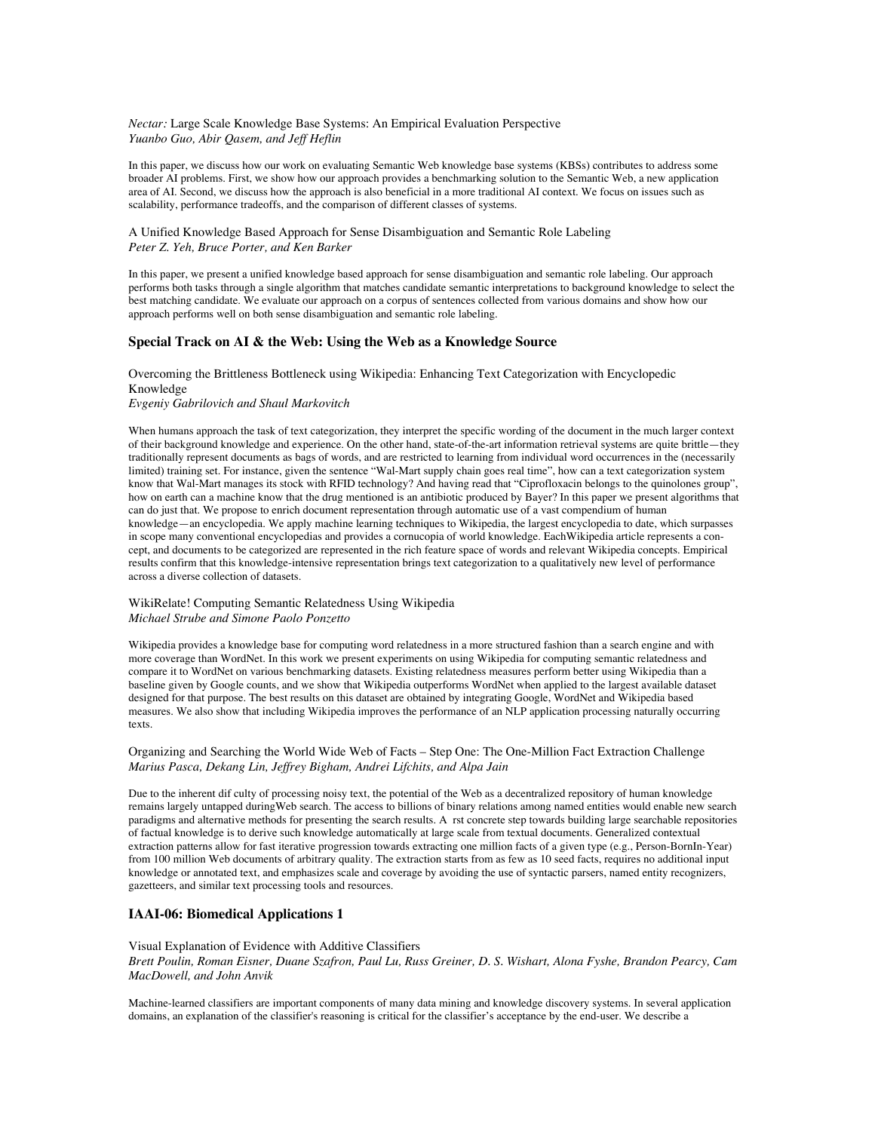*Nectar:* Large Scale Knowledge Base Systems: An Empirical Evaluation Perspective *Yuanbo Guo, Abir Qasem, and Jeff Heflin*

In this paper, we discuss how our work on evaluating Semantic Web knowledge base systems (KBSs) contributes to address some broader AI problems. First, we show how our approach provides a benchmarking solution to the Semantic Web, a new application area of AI. Second, we discuss how the approach is also beneficial in a more traditional AI context. We focus on issues such as scalability, performance tradeoffs, and the comparison of different classes of systems.

A Unified Knowledge Based Approach for Sense Disambiguation and Semantic Role Labeling *Peter Z. Yeh, Bruce Porter, and Ken Barker*

In this paper, we present a unified knowledge based approach for sense disambiguation and semantic role labeling. Our approach performs both tasks through a single algorithm that matches candidate semantic interpretations to background knowledge to select the best matching candidate. We evaluate our approach on a corpus of sentences collected from various domains and show how our approach performs well on both sense disambiguation and semantic role labeling.

### **Special Track on AI & the Web: Using the Web as a Knowledge Source**

# Overcoming the Brittleness Bottleneck using Wikipedia: Enhancing Text Categorization with Encyclopedic Knowledge

*Evgeniy Gabrilovich and Shaul Markovitch*

When humans approach the task of text categorization, they interpret the specific wording of the document in the much larger context of their background knowledge and experience. On the other hand, state-of-the-art information retrieval systems are quite brittle—they traditionally represent documents as bags of words, and are restricted to learning from individual word occurrences in the (necessarily limited) training set. For instance, given the sentence "Wal-Mart supply chain goes real time", how can a text categorization system know that Wal-Mart manages its stock with RFID technology? And having read that "Ciprofloxacin belongs to the quinolones group", how on earth can a machine know that the drug mentioned is an antibiotic produced by Bayer? In this paper we present algorithms that can do just that. We propose to enrich document representation through automatic use of a vast compendium of human knowledge—an encyclopedia. We apply machine learning techniques to Wikipedia, the largest encyclopedia to date, which surpasses in scope many conventional encyclopedias and provides a cornucopia of world knowledge. EachWikipedia article represents a concept, and documents to be categorized are represented in the rich feature space of words and relevant Wikipedia concepts. Empirical results confirm that this knowledge-intensive representation brings text categorization to a qualitatively new level of performance across a diverse collection of datasets.

WikiRelate! Computing Semantic Relatedness Using Wikipedia *Michael Strube and Simone Paolo Ponzetto*

Wikipedia provides a knowledge base for computing word relatedness in a more structured fashion than a search engine and with more coverage than WordNet. In this work we present experiments on using Wikipedia for computing semantic relatedness and compare it to WordNet on various benchmarking datasets. Existing relatedness measures perform better using Wikipedia than a baseline given by Google counts, and we show that Wikipedia outperforms WordNet when applied to the largest available dataset designed for that purpose. The best results on this dataset are obtained by integrating Google, WordNet and Wikipedia based measures. We also show that including Wikipedia improves the performance of an NLP application processing naturally occurring texts.

## Organizing and Searching the World Wide Web of Facts – Step One: The One-Million Fact Extraction Challenge *Marius Pasca, Dekang Lin, Jeffrey Bigham, Andrei Lifchits, and Alpa Jain*

Due to the inherent dif culty of processing noisy text, the potential of the Web as a decentralized repository of human knowledge remains largely untapped duringWeb search. The access to billions of binary relations among named entities would enable new search paradigms and alternative methods for presenting the search results. A rst concrete step towards building large searchable repositories of factual knowledge is to derive such knowledge automatically at large scale from textual documents. Generalized contextual extraction patterns allow for fast iterative progression towards extracting one million facts of a given type (e.g., Person-BornIn-Year) from 100 million Web documents of arbitrary quality. The extraction starts from as few as 10 seed facts, requires no additional input knowledge or annotated text, and emphasizes scale and coverage by avoiding the use of syntactic parsers, named entity recognizers, gazetteers, and similar text processing tools and resources.

## **IAAI-06: Biomedical Applications 1**

## Visual Explanation of Evidence with Additive Classifiers *Brett Poulin, Roman Eisner, Duane Szafron, Paul Lu, Russ Greiner, D. S. Wishart, Alona Fyshe, Brandon Pearcy, Cam MacDowell, and John Anvik*

Machine-learned classifiers are important components of many data mining and knowledge discovery systems. In several application domains, an explanation of the classifier's reasoning is critical for the classifier's acceptance by the end-user. We describe a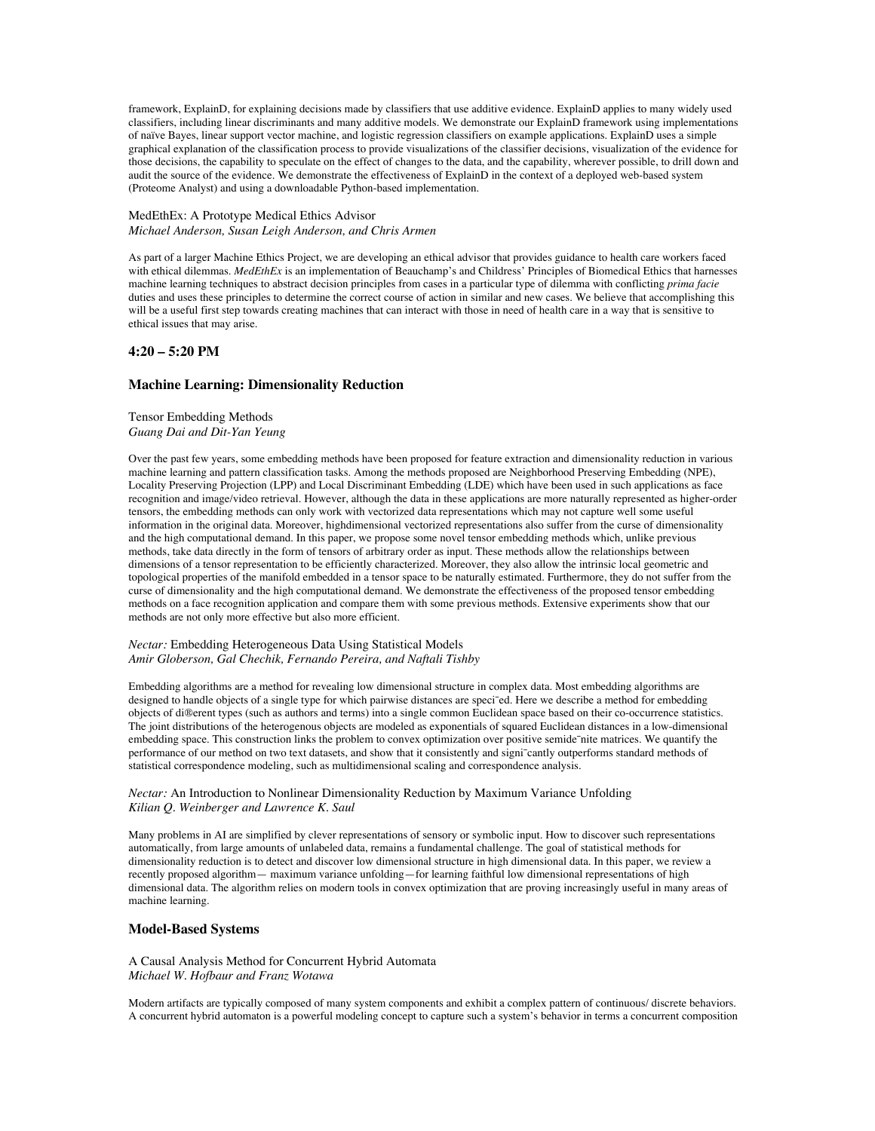framework, ExplainD, for explaining decisions made by classifiers that use additive evidence. ExplainD applies to many widely used classifiers, including linear discriminants and many additive models. We demonstrate our ExplainD framework using implementations of naïve Bayes, linear support vector machine, and logistic regression classifiers on example applications. ExplainD uses a simple graphical explanation of the classification process to provide visualizations of the classifier decisions, visualization of the evidence for those decisions, the capability to speculate on the effect of changes to the data, and the capability, wherever possible, to drill down and audit the source of the evidence. We demonstrate the effectiveness of ExplainD in the context of a deployed web-based system (Proteome Analyst) and using a downloadable Python-based implementation.

### MedEthEx: A Prototype Medical Ethics Advisor *Michael Anderson, Susan Leigh Anderson, and Chris Armen*

As part of a larger Machine Ethics Project, we are developing an ethical advisor that provides guidance to health care workers faced with ethical dilemmas. *MedEthEx* is an implementation of Beauchamp's and Childress' Principles of Biomedical Ethics that harnesses machine learning techniques to abstract decision principles from cases in a particular type of dilemma with conflicting *prima facie* duties and uses these principles to determine the correct course of action in similar and new cases. We believe that accomplishing this will be a useful first step towards creating machines that can interact with those in need of health care in a way that is sensitive to ethical issues that may arise.

## **4:20 – 5:20 PM**

## **Machine Learning: Dimensionality Reduction**

Tensor Embedding Methods *Guang Dai and Dit-Yan Yeung*

Over the past few years, some embedding methods have been proposed for feature extraction and dimensionality reduction in various machine learning and pattern classification tasks. Among the methods proposed are Neighborhood Preserving Embedding (NPE), Locality Preserving Projection (LPP) and Local Discriminant Embedding (LDE) which have been used in such applications as face recognition and image/video retrieval. However, although the data in these applications are more naturally represented as higher-order tensors, the embedding methods can only work with vectorized data representations which may not capture well some useful information in the original data. Moreover, highdimensional vectorized representations also suffer from the curse of dimensionality and the high computational demand. In this paper, we propose some novel tensor embedding methods which, unlike previous methods, take data directly in the form of tensors of arbitrary order as input. These methods allow the relationships between dimensions of a tensor representation to be efficiently characterized. Moreover, they also allow the intrinsic local geometric and topological properties of the manifold embedded in a tensor space to be naturally estimated. Furthermore, they do not suffer from the curse of dimensionality and the high computational demand. We demonstrate the effectiveness of the proposed tensor embedding methods on a face recognition application and compare them with some previous methods. Extensive experiments show that our methods are not only more effective but also more efficient.

### *Nectar:* Embedding Heterogeneous Data Using Statistical Models *Amir Globerson, Gal Chechik, Fernando Pereira, and Naftali Tishby*

Embedding algorithms are a method for revealing low dimensional structure in complex data. Most embedding algorithms are designed to handle objects of a single type for which pairwise distances are speci<sup>-</sup>ed. Here we describe a method for embedding objects of di®erent types (such as authors and terms) into a single common Euclidean space based on their co-occurrence statistics. The joint distributions of the heterogenous objects are modeled as exponentials of squared Euclidean distances in a low-dimensional embedding space. This construction links the problem to convex optimization over positive semide־nite matrices. We quantify the performance of our method on two text datasets, and show that it consistently and signi<sup>-</sup>cantly outperforms standard methods of statistical correspondence modeling, such as multidimensional scaling and correspondence analysis.

*Nectar:* An Introduction to Nonlinear Dimensionality Reduction by Maximum Variance Unfolding *Kilian Q. Weinberger and Lawrence K. Saul*

Many problems in AI are simplified by clever representations of sensory or symbolic input. How to discover such representations automatically, from large amounts of unlabeled data, remains a fundamental challenge. The goal of statistical methods for dimensionality reduction is to detect and discover low dimensional structure in high dimensional data. In this paper, we review a recently proposed algorithm— maximum variance unfolding—for learning faithful low dimensional representations of high dimensional data. The algorithm relies on modern tools in convex optimization that are proving increasingly useful in many areas of machine learning.

## **Model-Based Systems**

A Causal Analysis Method for Concurrent Hybrid Automata *Michael W. Hofbaur and Franz Wotawa*

Modern artifacts are typically composed of many system components and exhibit a complex pattern of continuous/ discrete behaviors. A concurrent hybrid automaton is a powerful modeling concept to capture such a system's behavior in terms a concurrent composition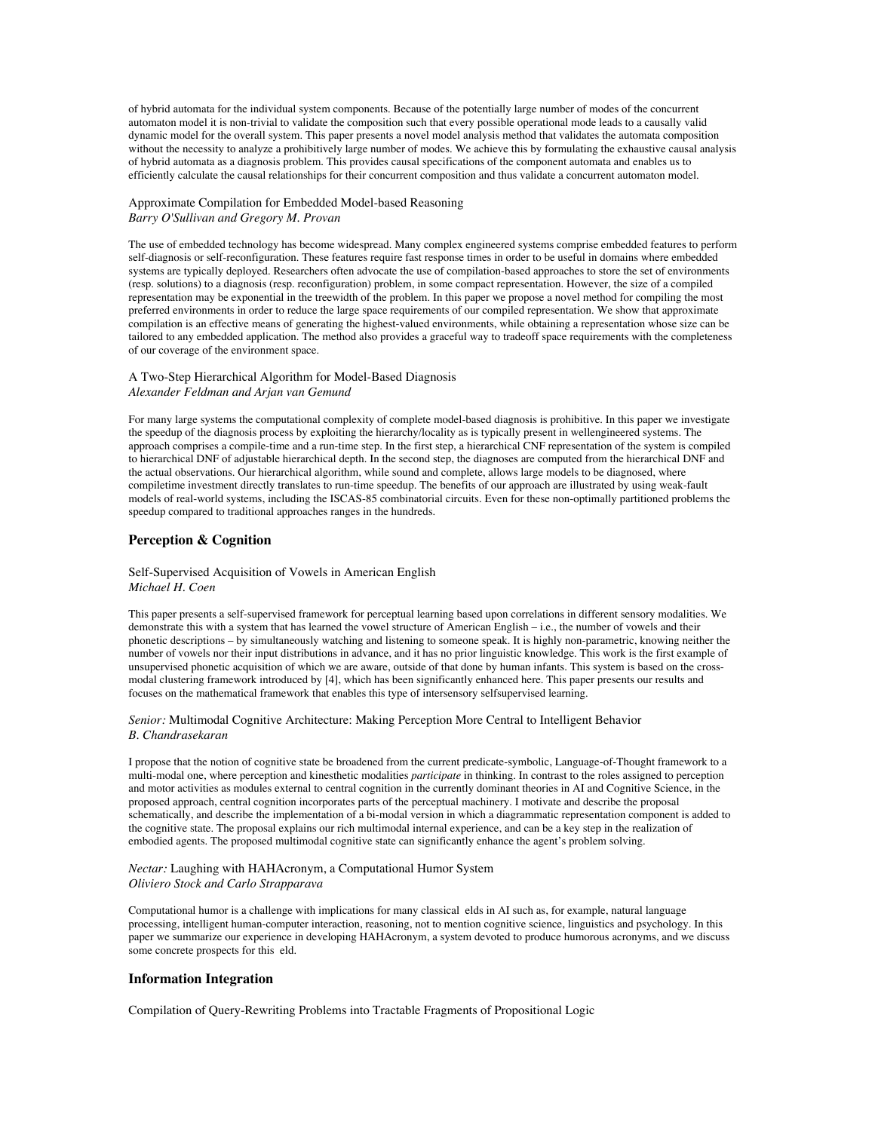of hybrid automata for the individual system components. Because of the potentially large number of modes of the concurrent automaton model it is non-trivial to validate the composition such that every possible operational mode leads to a causally valid dynamic model for the overall system. This paper presents a novel model analysis method that validates the automata composition without the necessity to analyze a prohibitively large number of modes. We achieve this by formulating the exhaustive causal analysis of hybrid automata as a diagnosis problem. This provides causal specifications of the component automata and enables us to efficiently calculate the causal relationships for their concurrent composition and thus validate a concurrent automaton model.

## Approximate Compilation for Embedded Model-based Reasoning *Barry O'Sullivan and Gregory M. Provan*

The use of embedded technology has become widespread. Many complex engineered systems comprise embedded features to perform self-diagnosis or self-reconfiguration. These features require fast response times in order to be useful in domains where embedded systems are typically deployed. Researchers often advocate the use of compilation-based approaches to store the set of environments (resp. solutions) to a diagnosis (resp. reconfiguration) problem, in some compact representation. However, the size of a compiled representation may be exponential in the treewidth of the problem. In this paper we propose a novel method for compiling the most preferred environments in order to reduce the large space requirements of our compiled representation. We show that approximate compilation is an effective means of generating the highest-valued environments, while obtaining a representation whose size can be tailored to any embedded application. The method also provides a graceful way to tradeoff space requirements with the completeness of our coverage of the environment space.

## A Two-Step Hierarchical Algorithm for Model-Based Diagnosis *Alexander Feldman and Arjan van Gemund*

For many large systems the computational complexity of complete model-based diagnosis is prohibitive. In this paper we investigate the speedup of the diagnosis process by exploiting the hierarchy/locality as is typically present in wellengineered systems. The approach comprises a compile-time and a run-time step. In the first step, a hierarchical CNF representation of the system is compiled to hierarchical DNF of adjustable hierarchical depth. In the second step, the diagnoses are computed from the hierarchical DNF and the actual observations. Our hierarchical algorithm, while sound and complete, allows large models to be diagnosed, where compiletime investment directly translates to run-time speedup. The benefits of our approach are illustrated by using weak-fault models of real-world systems, including the ISCAS-85 combinatorial circuits. Even for these non-optimally partitioned problems the speedup compared to traditional approaches ranges in the hundreds.

## **Perception & Cognition**

### Self-Supervised Acquisition of Vowels in American English *Michael H. Coen*

This paper presents a self-supervised framework for perceptual learning based upon correlations in different sensory modalities. We demonstrate this with a system that has learned the vowel structure of American English – i.e., the number of vowels and their phonetic descriptions – by simultaneously watching and listening to someone speak. It is highly non-parametric, knowing neither the number of vowels nor their input distributions in advance, and it has no prior linguistic knowledge. This work is the first example of unsupervised phonetic acquisition of which we are aware, outside of that done by human infants. This system is based on the crossmodal clustering framework introduced by [4], which has been significantly enhanced here. This paper presents our results and focuses on the mathematical framework that enables this type of intersensory selfsupervised learning.

## *Senior:* Multimodal Cognitive Architecture: Making Perception More Central to Intelligent Behavior *B. Chandrasekaran*

I propose that the notion of cognitive state be broadened from the current predicate-symbolic, Language-of-Thought framework to a multi-modal one, where perception and kinesthetic modalities *participate* in thinking. In contrast to the roles assigned to perception and motor activities as modules external to central cognition in the currently dominant theories in AI and Cognitive Science, in the proposed approach, central cognition incorporates parts of the perceptual machinery. I motivate and describe the proposal schematically, and describe the implementation of a bi-modal version in which a diagrammatic representation component is added to the cognitive state. The proposal explains our rich multimodal internal experience, and can be a key step in the realization of embodied agents. The proposed multimodal cognitive state can significantly enhance the agent's problem solving.

#### *Nectar:* Laughing with HAHAcronym, a Computational Humor System *Oliviero Stock and Carlo Strapparava*

Computational humor is a challenge with implications for many classical elds in AI such as, for example, natural language processing, intelligent human-computer interaction, reasoning, not to mention cognitive science, linguistics and psychology. In this paper we summarize our experience in developing HAHAcronym, a system devoted to produce humorous acronyms, and we discuss some concrete prospects for this eld.

## **Information Integration**

Compilation of Query-Rewriting Problems into Tractable Fragments of Propositional Logic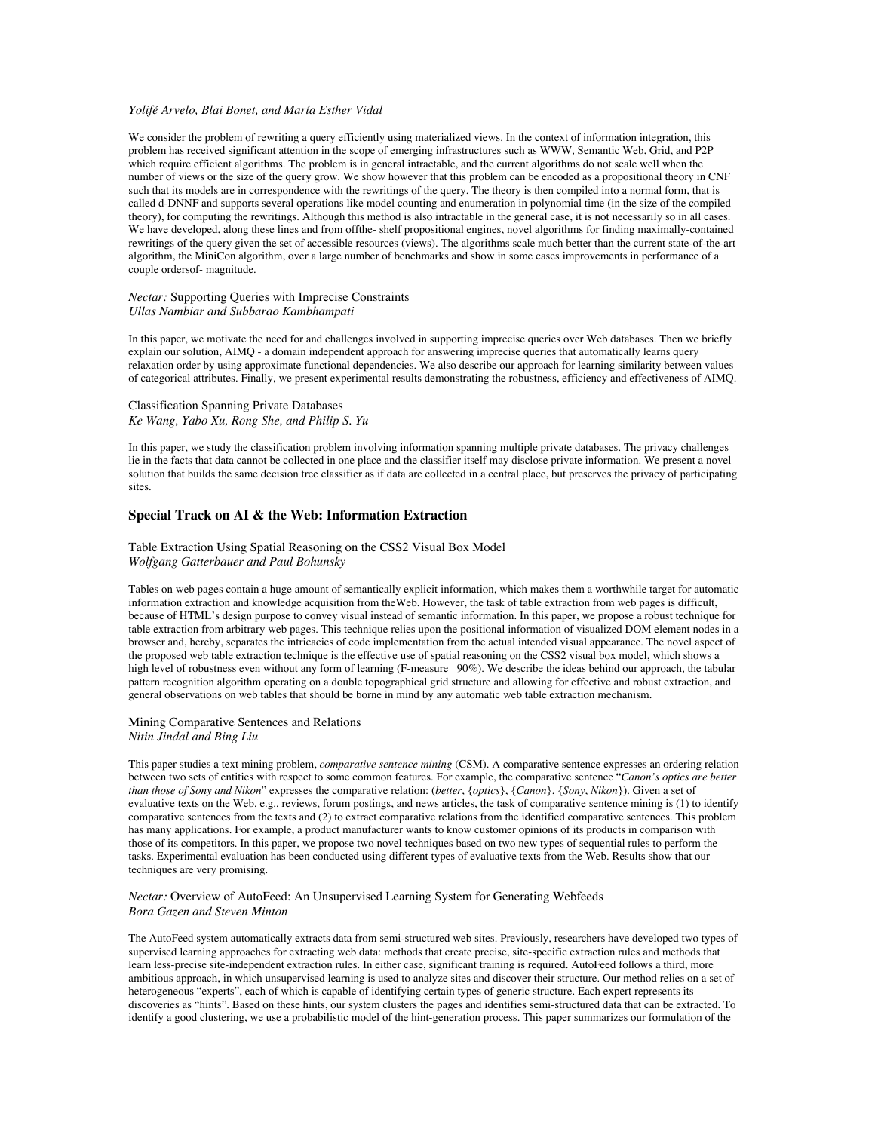#### *Yolifé Arvelo, Blai Bonet, and María Esther Vidal*

We consider the problem of rewriting a query efficiently using materialized views. In the context of information integration, this problem has received significant attention in the scope of emerging infrastructures such as WWW, Semantic Web, Grid, and P2P which require efficient algorithms. The problem is in general intractable, and the current algorithms do not scale well when the number of views or the size of the query grow. We show however that this problem can be encoded as a propositional theory in CNF such that its models are in correspondence with the rewritings of the query. The theory is then compiled into a normal form, that is called d-DNNF and supports several operations like model counting and enumeration in polynomial time (in the size of the compiled theory), for computing the rewritings. Although this method is also intractable in the general case, it is not necessarily so in all cases. We have developed, along these lines and from offthe- shelf propositional engines, novel algorithms for finding maximally-contained rewritings of the query given the set of accessible resources (views). The algorithms scale much better than the current state-of-the-art algorithm, the MiniCon algorithm, over a large number of benchmarks and show in some cases improvements in performance of a couple ordersof- magnitude.

### *Nectar:* Supporting Queries with Imprecise Constraints *Ullas Nambiar and Subbarao Kambhampati*

In this paper, we motivate the need for and challenges involved in supporting imprecise queries over Web databases. Then we briefly explain our solution, AIMQ - a domain independent approach for answering imprecise queries that automatically learns query relaxation order by using approximate functional dependencies. We also describe our approach for learning similarity between values of categorical attributes. Finally, we present experimental results demonstrating the robustness, efficiency and effectiveness of AIMQ.

## Classification Spanning Private Databases *Ke Wang, Yabo Xu, Rong She, and Philip S. Yu*

In this paper, we study the classification problem involving information spanning multiple private databases. The privacy challenges lie in the facts that data cannot be collected in one place and the classifier itself may disclose private information. We present a novel solution that builds the same decision tree classifier as if data are collected in a central place, but preserves the privacy of participating sites.

### **Special Track on AI & the Web: Information Extraction**

### Table Extraction Using Spatial Reasoning on the CSS2 Visual Box Model *Wolfgang Gatterbauer and Paul Bohunsky*

Tables on web pages contain a huge amount of semantically explicit information, which makes them a worthwhile target for automatic information extraction and knowledge acquisition from theWeb. However, the task of table extraction from web pages is difficult, because of HTML's design purpose to convey visual instead of semantic information. In this paper, we propose a robust technique for table extraction from arbitrary web pages. This technique relies upon the positional information of visualized DOM element nodes in a browser and, hereby, separates the intricacies of code implementation from the actual intended visual appearance. The novel aspect of the proposed web table extraction technique is the effective use of spatial reasoning on the CSS2 visual box model, which shows a high level of robustness even without any form of learning (F-measure 90%). We describe the ideas behind our approach, the tabular pattern recognition algorithm operating on a double topographical grid structure and allowing for effective and robust extraction, and general observations on web tables that should be borne in mind by any automatic web table extraction mechanism.

#### Mining Comparative Sentences and Relations *Nitin Jindal and Bing Liu*

This paper studies a text mining problem, *comparative sentence mining* (CSM). A comparative sentence expresses an ordering relation between two sets of entities with respect to some common features. For example, the comparative sentence "*Canon's optics are better than those of Sony and Nikon*" expresses the comparative relation: (*better*, {*optics*}, {*Canon*}, {*Sony*, *Nikon*}). Given a set of evaluative texts on the Web, e.g., reviews, forum postings, and news articles, the task of comparative sentence mining is (1) to identify comparative sentences from the texts and (2) to extract comparative relations from the identified comparative sentences. This problem has many applications. For example, a product manufacturer wants to know customer opinions of its products in comparison with those of its competitors. In this paper, we propose two novel techniques based on two new types of sequential rules to perform the tasks. Experimental evaluation has been conducted using different types of evaluative texts from the Web. Results show that our techniques are very promising.

### *Nectar:* Overview of AutoFeed: An Unsupervised Learning System for Generating Webfeeds *Bora Gazen and Steven Minton*

The AutoFeed system automatically extracts data from semi-structured web sites. Previously, researchers have developed two types of supervised learning approaches for extracting web data: methods that create precise, site-specific extraction rules and methods that learn less-precise site-independent extraction rules. In either case, significant training is required. AutoFeed follows a third, more ambitious approach, in which unsupervised learning is used to analyze sites and discover their structure. Our method relies on a set of heterogeneous "experts", each of which is capable of identifying certain types of generic structure. Each expert represents its discoveries as "hints". Based on these hints, our system clusters the pages and identifies semi-structured data that can be extracted. To identify a good clustering, we use a probabilistic model of the hint-generation process. This paper summarizes our formulation of the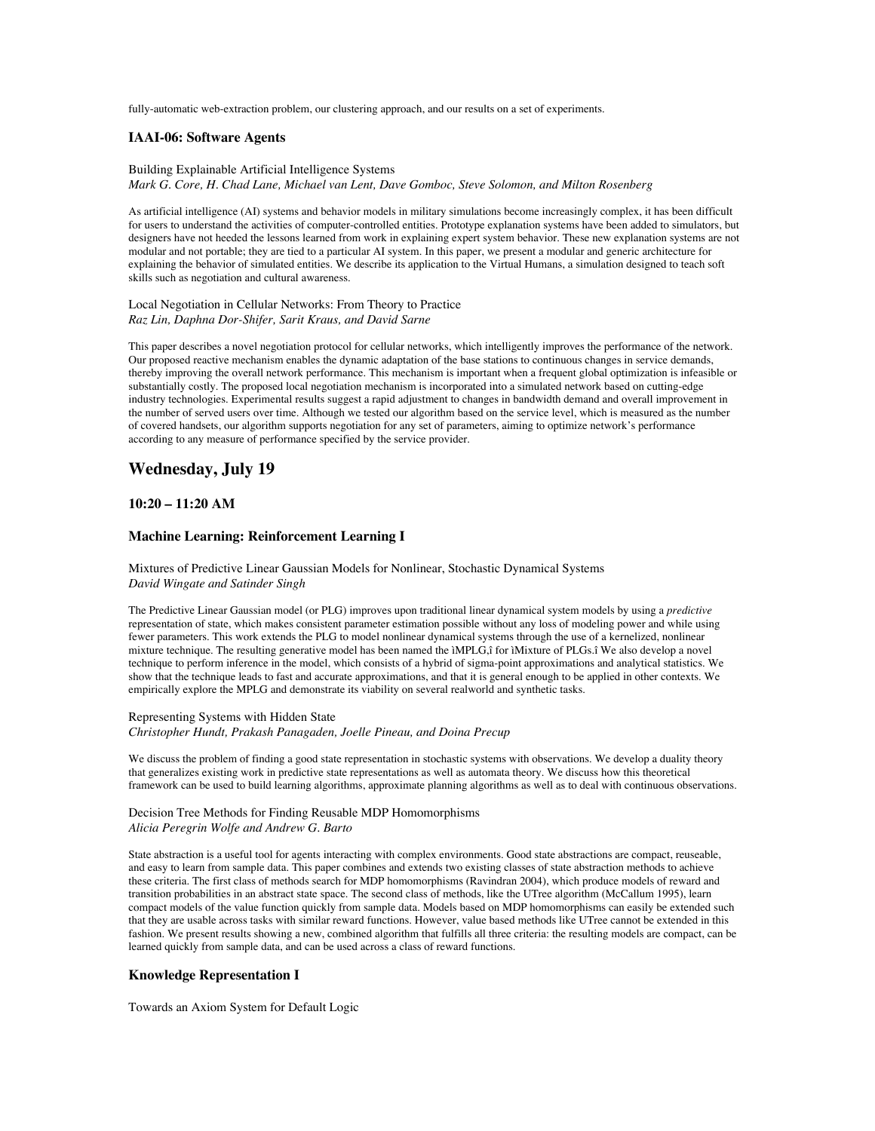fully-automatic web-extraction problem, our clustering approach, and our results on a set of experiments.

#### **IAAI-06: Software Agents**

### Building Explainable Artificial Intelligence Systems *Mark G. Core, H. Chad Lane, Michael van Lent, Dave Gomboc, Steve Solomon, and Milton Rosenberg*

As artificial intelligence (AI) systems and behavior models in military simulations become increasingly complex, it has been difficult for users to understand the activities of computer-controlled entities. Prototype explanation systems have been added to simulators, but designers have not heeded the lessons learned from work in explaining expert system behavior. These new explanation systems are not modular and not portable; they are tied to a particular AI system. In this paper, we present a modular and generic architecture for explaining the behavior of simulated entities. We describe its application to the Virtual Humans, a simulation designed to teach soft skills such as negotiation and cultural awareness.

### Local Negotiation in Cellular Networks: From Theory to Practice *Raz Lin, Daphna Dor-Shifer, Sarit Kraus, and David Sarne*

This paper describes a novel negotiation protocol for cellular networks, which intelligently improves the performance of the network. Our proposed reactive mechanism enables the dynamic adaptation of the base stations to continuous changes in service demands, thereby improving the overall network performance. This mechanism is important when a frequent global optimization is infeasible or substantially costly. The proposed local negotiation mechanism is incorporated into a simulated network based on cutting-edge industry technologies. Experimental results suggest a rapid adjustment to changes in bandwidth demand and overall improvement in the number of served users over time. Although we tested our algorithm based on the service level, which is measured as the number of covered handsets, our algorithm supports negotiation for any set of parameters, aiming to optimize network's performance according to any measure of performance specified by the service provider.

# **Wednesday, July 19**

# **10:20 – 11:20 AM**

### **Machine Learning: Reinforcement Learning I**

#### Mixtures of Predictive Linear Gaussian Models for Nonlinear, Stochastic Dynamical Systems *David Wingate and Satinder Singh*

The Predictive Linear Gaussian model (or PLG) improves upon traditional linear dynamical system models by using a *predictive* representation of state, which makes consistent parameter estimation possible without any loss of modeling power and while using fewer parameters. This work extends the PLG to model nonlinear dynamical systems through the use of a kernelized, nonlinear mixture technique. The resulting generative model has been named the ìMPLG,î for ìMixture of PLGs.î We also develop a novel technique to perform inference in the model, which consists of a hybrid of sigma-point approximations and analytical statistics. We show that the technique leads to fast and accurate approximations, and that it is general enough to be applied in other contexts. We empirically explore the MPLG and demonstrate its viability on several realworld and synthetic tasks.

#### Representing Systems with Hidden State *Christopher Hundt, Prakash Panagaden, Joelle Pineau, and Doina Precup*

We discuss the problem of finding a good state representation in stochastic systems with observations. We develop a duality theory that generalizes existing work in predictive state representations as well as automata theory. We discuss how this theoretical framework can be used to build learning algorithms, approximate planning algorithms as well as to deal with continuous observations.

## Decision Tree Methods for Finding Reusable MDP Homomorphisms *Alicia Peregrin Wolfe and Andrew G. Barto*

State abstraction is a useful tool for agents interacting with complex environments. Good state abstractions are compact, reuseable, and easy to learn from sample data. This paper combines and extends two existing classes of state abstraction methods to achieve these criteria. The first class of methods search for MDP homomorphisms (Ravindran 2004), which produce models of reward and transition probabilities in an abstract state space. The second class of methods, like the UTree algorithm (McCallum 1995), learn compact models of the value function quickly from sample data. Models based on MDP homomorphisms can easily be extended such that they are usable across tasks with similar reward functions. However, value based methods like UTree cannot be extended in this fashion. We present results showing a new, combined algorithm that fulfills all three criteria: the resulting models are compact, can be learned quickly from sample data, and can be used across a class of reward functions.

## **Knowledge Representation I**

Towards an Axiom System for Default Logic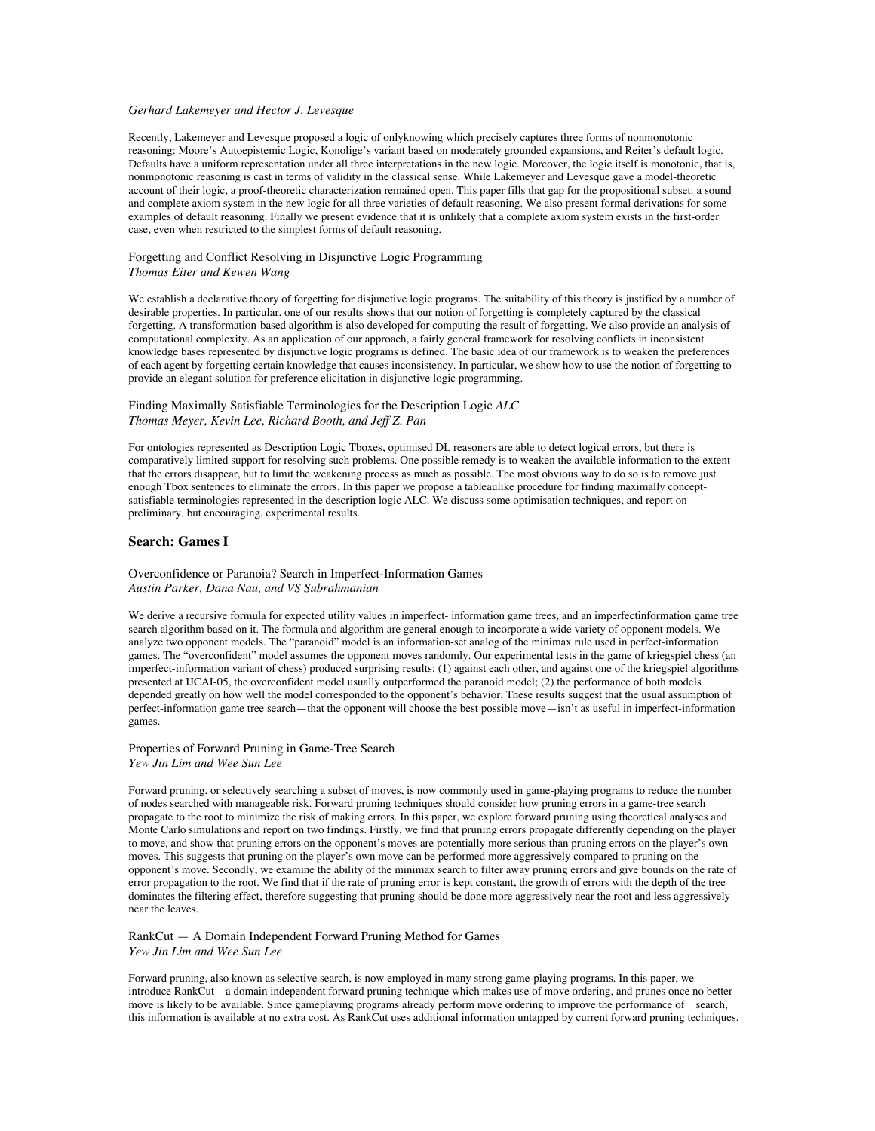#### *Gerhard Lakemeyer and Hector J. Levesque*

Recently, Lakemeyer and Levesque proposed a logic of onlyknowing which precisely captures three forms of nonmonotonic reasoning: Moore's Autoepistemic Logic, Konolige's variant based on moderately grounded expansions, and Reiter's default logic. Defaults have a uniform representation under all three interpretations in the new logic. Moreover, the logic itself is monotonic, that is, nonmonotonic reasoning is cast in terms of validity in the classical sense. While Lakemeyer and Levesque gave a model-theoretic account of their logic, a proof-theoretic characterization remained open. This paper fills that gap for the propositional subset: a sound and complete axiom system in the new logic for all three varieties of default reasoning. We also present formal derivations for some examples of default reasoning. Finally we present evidence that it is unlikely that a complete axiom system exists in the first-order case, even when restricted to the simplest forms of default reasoning.

## Forgetting and Conflict Resolving in Disjunctive Logic Programming *Thomas Eiter and Kewen Wang*

We establish a declarative theory of forgetting for disjunctive logic programs. The suitability of this theory is justified by a number of desirable properties. In particular, one of our results shows that our notion of forgetting is completely captured by the classical forgetting. A transformation-based algorithm is also developed for computing the result of forgetting. We also provide an analysis of computational complexity. As an application of our approach, a fairly general framework for resolving conflicts in inconsistent knowledge bases represented by disjunctive logic programs is defined. The basic idea of our framework is to weaken the preferences of each agent by forgetting certain knowledge that causes inconsistency. In particular, we show how to use the notion of forgetting to provide an elegant solution for preference elicitation in disjunctive logic programming.

### Finding Maximally Satisfiable Terminologies for the Description Logic *ALC Thomas Meyer, Kevin Lee, Richard Booth, and Jeff Z. Pan*

For ontologies represented as Description Logic Tboxes, optimised DL reasoners are able to detect logical errors, but there is comparatively limited support for resolving such problems. One possible remedy is to weaken the available information to the extent that the errors disappear, but to limit the weakening process as much as possible. The most obvious way to do so is to remove just enough Tbox sentences to eliminate the errors. In this paper we propose a tableaulike procedure for finding maximally conceptsatisfiable terminologies represented in the description logic ALC. We discuss some optimisation techniques, and report on preliminary, but encouraging, experimental results.

## **Search: Games I**

Overconfidence or Paranoia? Search in Imperfect-Information Games *Austin Parker, Dana Nau, and VS Subrahmanian*

We derive a recursive formula for expected utility values in imperfect- information game trees, and an imperfectinformation game tree search algorithm based on it. The formula and algorithm are general enough to incorporate a wide variety of opponent models. We analyze two opponent models. The "paranoid" model is an information-set analog of the minimax rule used in perfect-information games. The "overconfident" model assumes the opponent moves randomly. Our experimental tests in the game of kriegspiel chess (an imperfect-information variant of chess) produced surprising results: (1) against each other, and against one of the kriegspiel algorithms presented at IJCAI-05, the overconfident model usually outperformed the paranoid model; (2) the performance of both models depended greatly on how well the model corresponded to the opponent's behavior. These results suggest that the usual assumption of perfect-information game tree search—that the opponent will choose the best possible move—isn't as useful in imperfect-information games.

Properties of Forward Pruning in Game-Tree Search *Yew Jin Lim and Wee Sun Lee*

Forward pruning, or selectively searching a subset of moves, is now commonly used in game-playing programs to reduce the number of nodes searched with manageable risk. Forward pruning techniques should consider how pruning errors in a game-tree search propagate to the root to minimize the risk of making errors. In this paper, we explore forward pruning using theoretical analyses and Monte Carlo simulations and report on two findings. Firstly, we find that pruning errors propagate differently depending on the player to move, and show that pruning errors on the opponent's moves are potentially more serious than pruning errors on the player's own moves. This suggests that pruning on the player's own move can be performed more aggressively compared to pruning on the opponent's move. Secondly, we examine the ability of the minimax search to filter away pruning errors and give bounds on the rate of error propagation to the root. We find that if the rate of pruning error is kept constant, the growth of errors with the depth of the tree dominates the filtering effect, therefore suggesting that pruning should be done more aggressively near the root and less aggressively near the leaves.

RankCut — A Domain Independent Forward Pruning Method for Games *Yew Jin Lim and Wee Sun Lee*

Forward pruning, also known as selective search, is now employed in many strong game-playing programs. In this paper, we introduce RankCut – a domain independent forward pruning technique which makes use of move ordering, and prunes once no better move is likely to be available. Since gameplaying programs already perform move ordering to improve the performance of search, this information is available at no extra cost. As RankCut uses additional information untapped by current forward pruning techniques,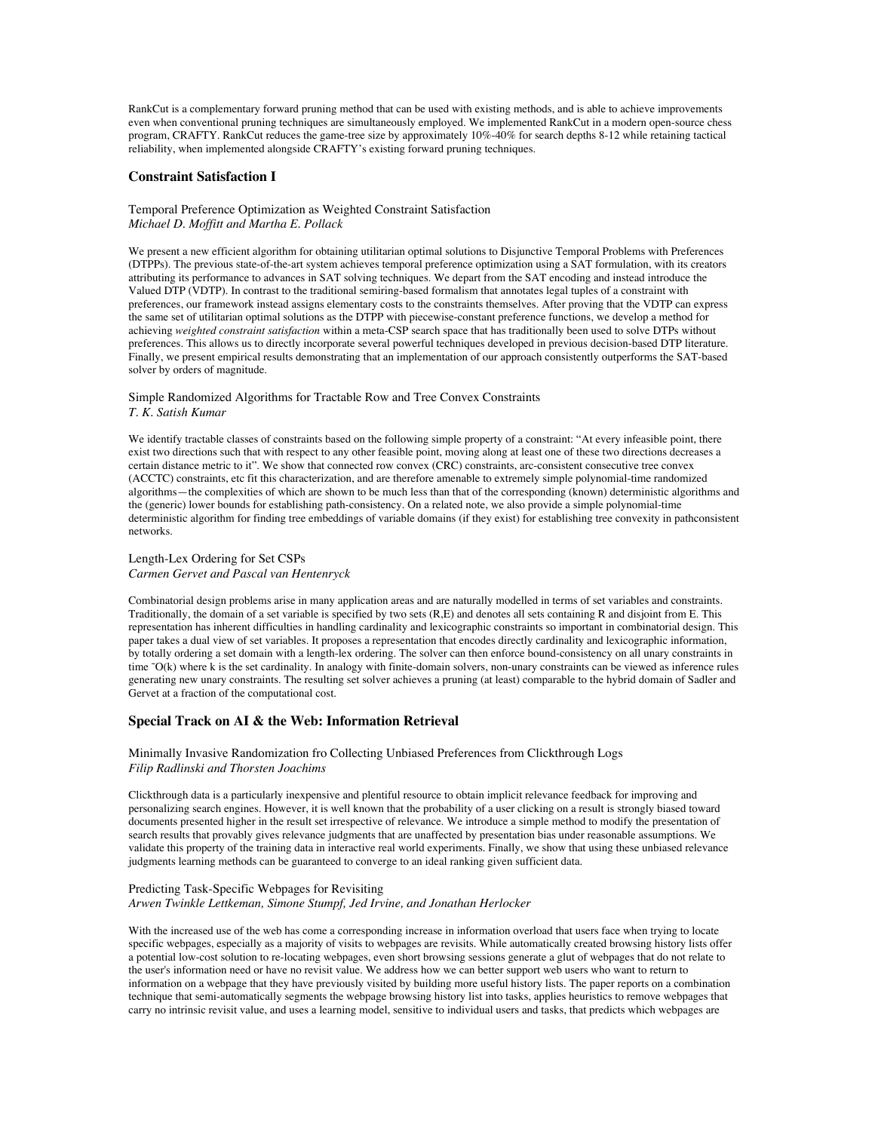RankCut is a complementary forward pruning method that can be used with existing methods, and is able to achieve improvements even when conventional pruning techniques are simultaneously employed. We implemented RankCut in a modern open-source chess program, CRAFTY. RankCut reduces the game-tree size by approximately 10%-40% for search depths 8-12 while retaining tactical reliability, when implemented alongside CRAFTY's existing forward pruning techniques.

### **Constraint Satisfaction I**

### Temporal Preference Optimization as Weighted Constraint Satisfaction *Michael D. Moffitt and Martha E. Pollack*

We present a new efficient algorithm for obtaining utilitarian optimal solutions to Disjunctive Temporal Problems with Preferences (DTPPs). The previous state-of-the-art system achieves temporal preference optimization using a SAT formulation, with its creators attributing its performance to advances in SAT solving techniques. We depart from the SAT encoding and instead introduce the Valued DTP (VDTP). In contrast to the traditional semiring-based formalism that annotates legal tuples of a constraint with preferences, our framework instead assigns elementary costs to the constraints themselves. After proving that the VDTP can express the same set of utilitarian optimal solutions as the DTPP with piecewise-constant preference functions, we develop a method for achieving *weighted constraint satisfaction* within a meta-CSP search space that has traditionally been used to solve DTPs without preferences. This allows us to directly incorporate several powerful techniques developed in previous decision-based DTP literature. Finally, we present empirical results demonstrating that an implementation of our approach consistently outperforms the SAT-based solver by orders of magnitude.

#### Simple Randomized Algorithms for Tractable Row and Tree Convex Constraints *T. K. Satish Kumar*

We identify tractable classes of constraints based on the following simple property of a constraint: "At every infeasible point, there exist two directions such that with respect to any other feasible point, moving along at least one of these two directions decreases a certain distance metric to it". We show that connected row convex (CRC) constraints, arc-consistent consecutive tree convex (ACCTC) constraints, etc fit this characterization, and are therefore amenable to extremely simple polynomial-time randomized algorithms—the complexities of which are shown to be much less than that of the corresponding (known) deterministic algorithms and the (generic) lower bounds for establishing path-consistency. On a related note, we also provide a simple polynomial-time deterministic algorithm for finding tree embeddings of variable domains (if they exist) for establishing tree convexity in pathconsistent networks.

#### Length-Lex Ordering for Set CSPs *Carmen Gervet and Pascal van Hentenryck*

Combinatorial design problems arise in many application areas and are naturally modelled in terms of set variables and constraints. Traditionally, the domain of a set variable is specified by two sets (R,E) and denotes all sets containing R and disjoint from E. This representation has inherent difficulties in handling cardinality and lexicographic constraints so important in combinatorial design. This paper takes a dual view of set variables. It proposes a representation that encodes directly cardinality and lexicographic information, by totally ordering a set domain with a length-lex ordering. The solver can then enforce bound-consistency on all unary constraints in time ˜O(k) where k is the set cardinality. In analogy with finite-domain solvers, non-unary constraints can be viewed as inference rules generating new unary constraints. The resulting set solver achieves a pruning (at least) comparable to the hybrid domain of Sadler and Gervet at a fraction of the computational cost.

## **Special Track on AI & the Web: Information Retrieval**

#### Minimally Invasive Randomization fro Collecting Unbiased Preferences from Clickthrough Logs *Filip Radlinski and Thorsten Joachims*

Clickthrough data is a particularly inexpensive and plentiful resource to obtain implicit relevance feedback for improving and personalizing search engines. However, it is well known that the probability of a user clicking on a result is strongly biased toward documents presented higher in the result set irrespective of relevance. We introduce a simple method to modify the presentation of search results that provably gives relevance judgments that are unaffected by presentation bias under reasonable assumptions. We validate this property of the training data in interactive real world experiments. Finally, we show that using these unbiased relevance judgments learning methods can be guaranteed to converge to an ideal ranking given sufficient data.

#### Predicting Task-Specific Webpages for Revisiting *Arwen Twinkle Lettkeman, Simone Stumpf, Jed Irvine, and Jonathan Herlocker*

With the increased use of the web has come a corresponding increase in information overload that users face when trying to locate specific webpages, especially as a majority of visits to webpages are revisits. While automatically created browsing history lists offer a potential low-cost solution to re-locating webpages, even short browsing sessions generate a glut of webpages that do not relate to the user's information need or have no revisit value. We address how we can better support web users who want to return to information on a webpage that they have previously visited by building more useful history lists. The paper reports on a combination technique that semi-automatically segments the webpage browsing history list into tasks, applies heuristics to remove webpages that carry no intrinsic revisit value, and uses a learning model, sensitive to individual users and tasks, that predicts which webpages are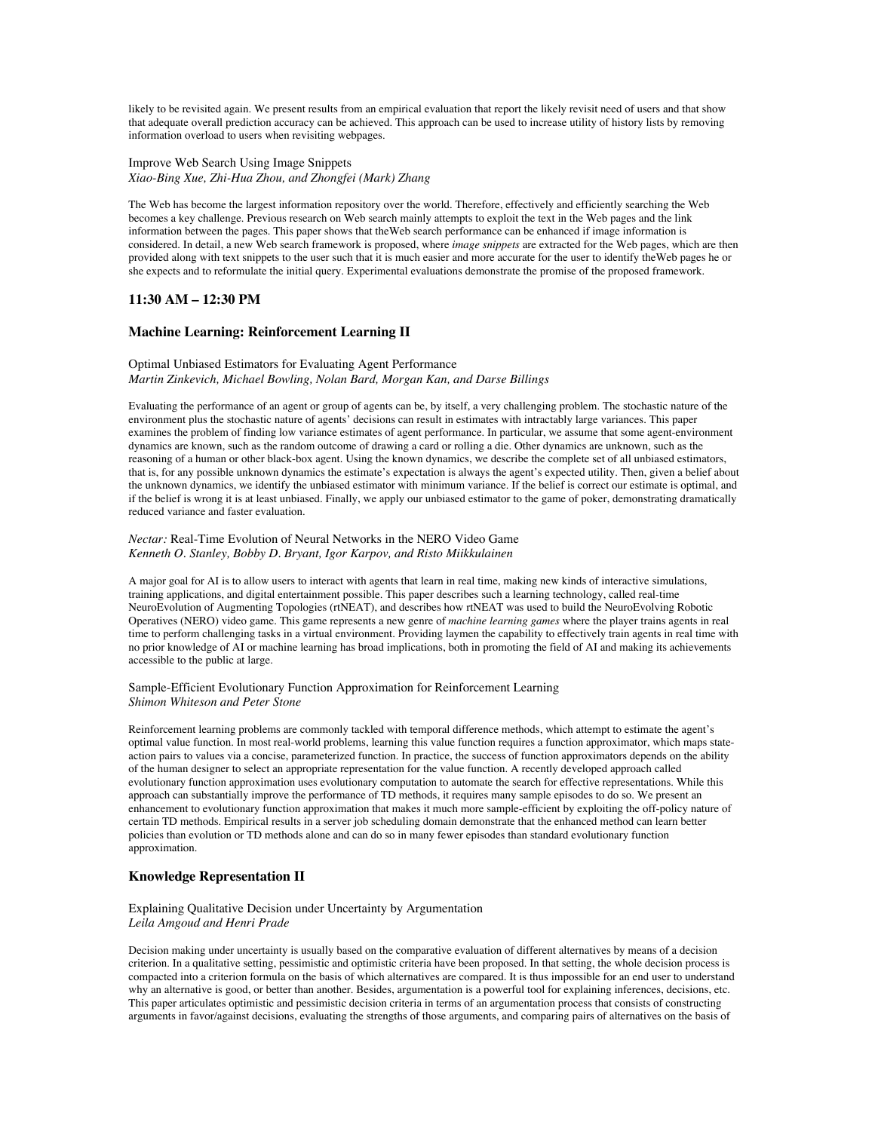likely to be revisited again. We present results from an empirical evaluation that report the likely revisit need of users and that show that adequate overall prediction accuracy can be achieved. This approach can be used to increase utility of history lists by removing information overload to users when revisiting webpages.

Improve Web Search Using Image Snippets *Xiao-Bing Xue, Zhi-Hua Zhou, and Zhongfei (Mark) Zhang*

The Web has become the largest information repository over the world. Therefore, effectively and efficiently searching the Web becomes a key challenge. Previous research on Web search mainly attempts to exploit the text in the Web pages and the link information between the pages. This paper shows that theWeb search performance can be enhanced if image information is considered. In detail, a new Web search framework is proposed, where *image snippets* are extracted for the Web pages, which are then provided along with text snippets to the user such that it is much easier and more accurate for the user to identify theWeb pages he or she expects and to reformulate the initial query. Experimental evaluations demonstrate the promise of the proposed framework.

# **11:30 AM – 12:30 PM**

## **Machine Learning: Reinforcement Learning II**

### Optimal Unbiased Estimators for Evaluating Agent Performance *Martin Zinkevich, Michael Bowling, Nolan Bard, Morgan Kan, and Darse Billings*

Evaluating the performance of an agent or group of agents can be, by itself, a very challenging problem. The stochastic nature of the environment plus the stochastic nature of agents' decisions can result in estimates with intractably large variances. This paper examines the problem of finding low variance estimates of agent performance. In particular, we assume that some agent-environment dynamics are known, such as the random outcome of drawing a card or rolling a die. Other dynamics are unknown, such as the reasoning of a human or other black-box agent. Using the known dynamics, we describe the complete set of all unbiased estimators, that is, for any possible unknown dynamics the estimate's expectation is always the agent's expected utility. Then, given a belief about the unknown dynamics, we identify the unbiased estimator with minimum variance. If the belief is correct our estimate is optimal, and if the belief is wrong it is at least unbiased. Finally, we apply our unbiased estimator to the game of poker, demonstrating dramatically reduced variance and faster evaluation.

#### *Nectar:* Real-Time Evolution of Neural Networks in the NERO Video Game *Kenneth O. Stanley, Bobby D. Bryant, Igor Karpov, and Risto Miikkulainen*

A major goal for AI is to allow users to interact with agents that learn in real time, making new kinds of interactive simulations, training applications, and digital entertainment possible. This paper describes such a learning technology, called real-time NeuroEvolution of Augmenting Topologies (rtNEAT), and describes how rtNEAT was used to build the NeuroEvolving Robotic Operatives (NERO) video game. This game represents a new genre of *machine learning games* where the player trains agents in real time to perform challenging tasks in a virtual environment. Providing laymen the capability to effectively train agents in real time with no prior knowledge of AI or machine learning has broad implications, both in promoting the field of AI and making its achievements accessible to the public at large.

### Sample-Efficient Evolutionary Function Approximation for Reinforcement Learning *Shimon Whiteson and Peter Stone*

Reinforcement learning problems are commonly tackled with temporal difference methods, which attempt to estimate the agent's optimal value function. In most real-world problems, learning this value function requires a function approximator, which maps stateaction pairs to values via a concise, parameterized function. In practice, the success of function approximators depends on the ability of the human designer to select an appropriate representation for the value function. A recently developed approach called evolutionary function approximation uses evolutionary computation to automate the search for effective representations. While this approach can substantially improve the performance of TD methods, it requires many sample episodes to do so. We present an enhancement to evolutionary function approximation that makes it much more sample-efficient by exploiting the off-policy nature of certain TD methods. Empirical results in a server job scheduling domain demonstrate that the enhanced method can learn better policies than evolution or TD methods alone and can do so in many fewer episodes than standard evolutionary function approximation.

## **Knowledge Representation II**

### Explaining Qualitative Decision under Uncertainty by Argumentation *Leila Amgoud and Henri Prade*

Decision making under uncertainty is usually based on the comparative evaluation of different alternatives by means of a decision criterion. In a qualitative setting, pessimistic and optimistic criteria have been proposed. In that setting, the whole decision process is compacted into a criterion formula on the basis of which alternatives are compared. It is thus impossible for an end user to understand why an alternative is good, or better than another. Besides, argumentation is a powerful tool for explaining inferences, decisions, etc. This paper articulates optimistic and pessimistic decision criteria in terms of an argumentation process that consists of constructing arguments in favor/against decisions, evaluating the strengths of those arguments, and comparing pairs of alternatives on the basis of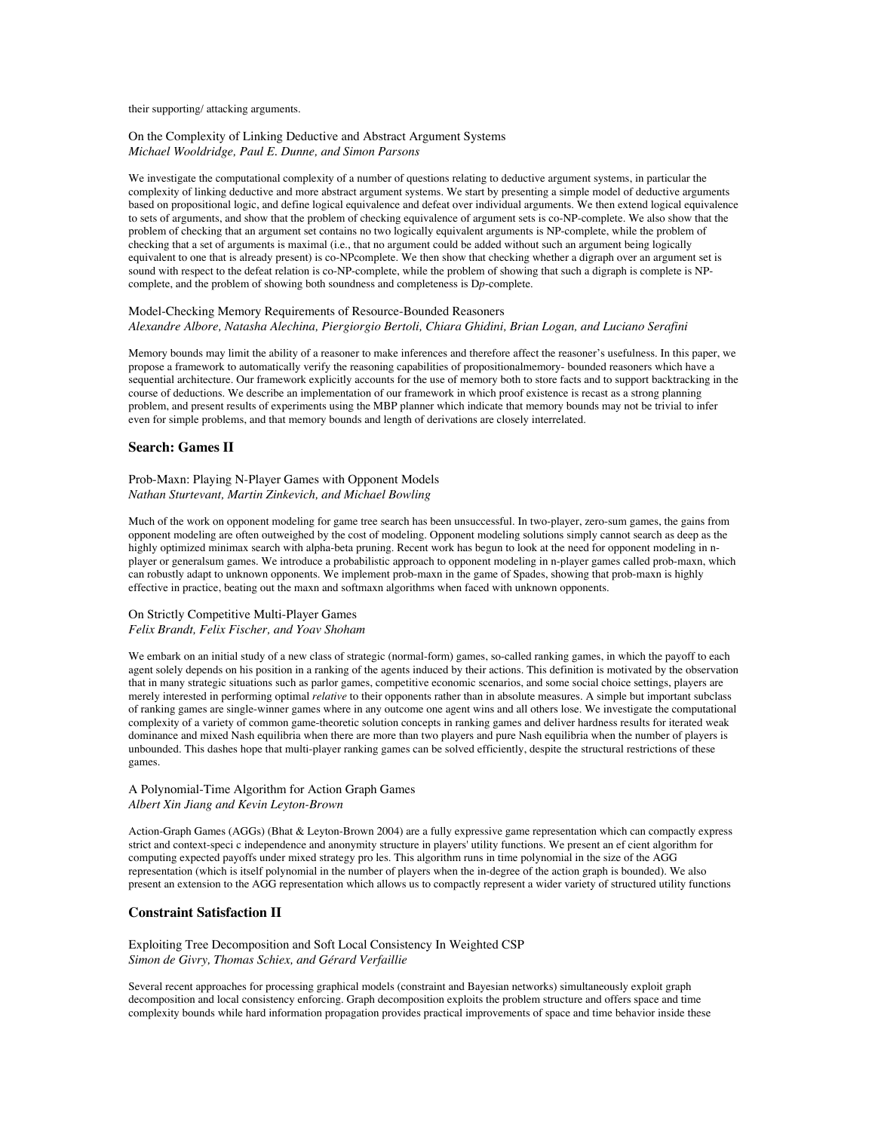their supporting/ attacking arguments.

#### On the Complexity of Linking Deductive and Abstract Argument Systems *Michael Wooldridge, Paul E. Dunne, and Simon Parsons*

We investigate the computational complexity of a number of questions relating to deductive argument systems, in particular the complexity of linking deductive and more abstract argument systems. We start by presenting a simple model of deductive arguments based on propositional logic, and define logical equivalence and defeat over individual arguments. We then extend logical equivalence to sets of arguments, and show that the problem of checking equivalence of argument sets is co-NP-complete. We also show that the problem of checking that an argument set contains no two logically equivalent arguments is NP-complete, while the problem of checking that a set of arguments is maximal (i.e., that no argument could be added without such an argument being logically equivalent to one that is already present) is co-NPcomplete. We then show that checking whether a digraph over an argument set is sound with respect to the defeat relation is co-NP-complete, while the problem of showing that such a digraph is complete is NPcomplete, and the problem of showing both soundness and completeness is D*p*-complete.

#### Model-Checking Memory Requirements of Resource-Bounded Reasoners *Alexandre Albore, Natasha Alechina, Piergiorgio Bertoli, Chiara Ghidini, Brian Logan, and Luciano Serafini*

Memory bounds may limit the ability of a reasoner to make inferences and therefore affect the reasoner's usefulness. In this paper, we propose a framework to automatically verify the reasoning capabilities of propositionalmemory- bounded reasoners which have a sequential architecture. Our framework explicitly accounts for the use of memory both to store facts and to support backtracking in the course of deductions. We describe an implementation of our framework in which proof existence is recast as a strong planning problem, and present results of experiments using the MBP planner which indicate that memory bounds may not be trivial to infer even for simple problems, and that memory bounds and length of derivations are closely interrelated.

## **Search: Games II**

## Prob-Maxn: Playing N-Player Games with Opponent Models *Nathan Sturtevant, Martin Zinkevich, and Michael Bowling*

Much of the work on opponent modeling for game tree search has been unsuccessful. In two-player, zero-sum games, the gains from opponent modeling are often outweighed by the cost of modeling. Opponent modeling solutions simply cannot search as deep as the highly optimized minimax search with alpha-beta pruning. Recent work has begun to look at the need for opponent modeling in nplayer or generalsum games. We introduce a probabilistic approach to opponent modeling in n-player games called prob-maxn, which can robustly adapt to unknown opponents. We implement prob-maxn in the game of Spades, showing that prob-maxn is highly effective in practice, beating out the maxn and softmaxn algorithms when faced with unknown opponents.

#### On Strictly Competitive Multi-Player Games *Felix Brandt, Felix Fischer, and Yoav Shoham*

We embark on an initial study of a new class of strategic (normal-form) games, so-called ranking games, in which the payoff to each agent solely depends on his position in a ranking of the agents induced by their actions. This definition is motivated by the observation that in many strategic situations such as parlor games, competitive economic scenarios, and some social choice settings, players are merely interested in performing optimal *relative* to their opponents rather than in absolute measures. A simple but important subclass of ranking games are single-winner games where in any outcome one agent wins and all others lose. We investigate the computational complexity of a variety of common game-theoretic solution concepts in ranking games and deliver hardness results for iterated weak dominance and mixed Nash equilibria when there are more than two players and pure Nash equilibria when the number of players is unbounded. This dashes hope that multi-player ranking games can be solved efficiently, despite the structural restrictions of these games.

#### A Polynomial-Time Algorithm for Action Graph Games *Albert Xin Jiang and Kevin Leyton-Brown*

Action-Graph Games (AGGs) (Bhat & Leyton-Brown 2004) are a fully expressive game representation which can compactly express strict and context-speci c independence and anonymity structure in players' utility functions. We present an ef cient algorithm for computing expected payoffs under mixed strategy pro les. This algorithm runs in time polynomial in the size of the AGG representation (which is itself polynomial in the number of players when the in-degree of the action graph is bounded). We also present an extension to the AGG representation which allows us to compactly represent a wider variety of structured utility functions

### **Constraint Satisfaction II**

Exploiting Tree Decomposition and Soft Local Consistency In Weighted CSP *Simon de Givry, Thomas Schiex, and Gérard Verfaillie*

Several recent approaches for processing graphical models (constraint and Bayesian networks) simultaneously exploit graph decomposition and local consistency enforcing. Graph decomposition exploits the problem structure and offers space and time complexity bounds while hard information propagation provides practical improvements of space and time behavior inside these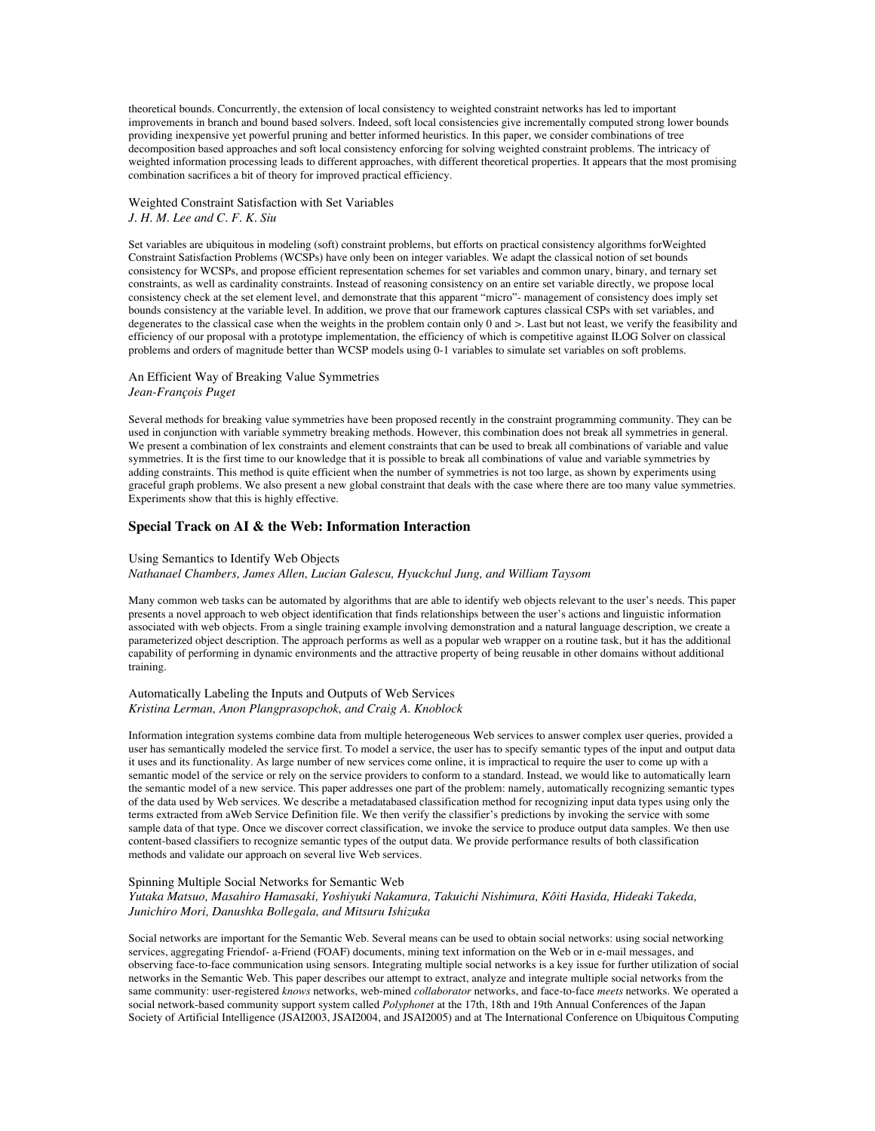theoretical bounds. Concurrently, the extension of local consistency to weighted constraint networks has led to important improvements in branch and bound based solvers. Indeed, soft local consistencies give incrementally computed strong lower bounds providing inexpensive yet powerful pruning and better informed heuristics. In this paper, we consider combinations of tree decomposition based approaches and soft local consistency enforcing for solving weighted constraint problems. The intricacy of weighted information processing leads to different approaches, with different theoretical properties. It appears that the most promising combination sacrifices a bit of theory for improved practical efficiency.

## Weighted Constraint Satisfaction with Set Variables *J. H. M. Lee and C. F. K. Siu*

Set variables are ubiquitous in modeling (soft) constraint problems, but efforts on practical consistency algorithms forWeighted Constraint Satisfaction Problems (WCSPs) have only been on integer variables. We adapt the classical notion of set bounds consistency for WCSPs, and propose efficient representation schemes for set variables and common unary, binary, and ternary set constraints, as well as cardinality constraints. Instead of reasoning consistency on an entire set variable directly, we propose local consistency check at the set element level, and demonstrate that this apparent "micro"- management of consistency does imply set bounds consistency at the variable level. In addition, we prove that our framework captures classical CSPs with set variables, and degenerates to the classical case when the weights in the problem contain only 0 and *>*. Last but not least, we verify the feasibility and efficiency of our proposal with a prototype implementation, the efficiency of which is competitive against ILOG Solver on classical problems and orders of magnitude better than WCSP models using 0-1 variables to simulate set variables on soft problems.

### An Efficient Way of Breaking Value Symmetries *Jean-François Puget*

Several methods for breaking value symmetries have been proposed recently in the constraint programming community. They can be used in conjunction with variable symmetry breaking methods. However, this combination does not break all symmetries in general. We present a combination of lex constraints and element constraints that can be used to break all combinations of variable and value symmetries. It is the first time to our knowledge that it is possible to break all combinations of value and variable symmetries by adding constraints. This method is quite efficient when the number of symmetries is not too large, as shown by experiments using graceful graph problems. We also present a new global constraint that deals with the case where there are too many value symmetries. Experiments show that this is highly effective.

## **Special Track on AI & the Web: Information Interaction**

### Using Semantics to Identify Web Objects

*Nathanael Chambers, James Allen, Lucian Galescu, Hyuckchul Jung, and William Taysom*

Many common web tasks can be automated by algorithms that are able to identify web objects relevant to the user's needs. This paper presents a novel approach to web object identification that finds relationships between the user's actions and linguistic information associated with web objects. From a single training example involving demonstration and a natural language description, we create a parameterized object description. The approach performs as well as a popular web wrapper on a routine task, but it has the additional capability of performing in dynamic environments and the attractive property of being reusable in other domains without additional training.

#### Automatically Labeling the Inputs and Outputs of Web Services *Kristina Lerman, Anon Plangprasopchok, and Craig A. Knoblock*

Information integration systems combine data from multiple heterogeneous Web services to answer complex user queries, provided a user has semantically modeled the service first. To model a service, the user has to specify semantic types of the input and output data it uses and its functionality. As large number of new services come online, it is impractical to require the user to come up with a semantic model of the service or rely on the service providers to conform to a standard. Instead, we would like to automatically learn the semantic model of a new service. This paper addresses one part of the problem: namely, automatically recognizing semantic types of the data used by Web services. We describe a metadatabased classification method for recognizing input data types using only the terms extracted from aWeb Service Definition file. We then verify the classifier's predictions by invoking the service with some sample data of that type. Once we discover correct classification, we invoke the service to produce output data samples. We then use content-based classifiers to recognize semantic types of the output data. We provide performance results of both classification methods and validate our approach on several live Web services.

#### Spinning Multiple Social Networks for Semantic Web

*Yutaka Matsuo, Masahiro Hamasaki, Yoshiyuki Nakamura, Takuichi Nishimura, Kôiti Hasida, Hideaki Takeda, Junichiro Mori, Danushka Bollegala, and Mitsuru Ishizuka*

Social networks are important for the Semantic Web. Several means can be used to obtain social networks: using social networking services, aggregating Friendof- a-Friend (FOAF) documents, mining text information on the Web or in e-mail messages, and observing face-to-face communication using sensors. Integrating multiple social networks is a key issue for further utilization of social networks in the Semantic Web. This paper describes our attempt to extract, analyze and integrate multiple social networks from the same community: user-registered *knows* networks, web-mined *collaborator* networks, and face-to-face *meets* networks. We operated a social network-based community support system called *Polyphonet* at the 17th, 18th and 19th Annual Conferences of the Japan Society of Artificial Intelligence (JSAI2003, JSAI2004, and JSAI2005) and at The International Conference on Ubiquitous Computing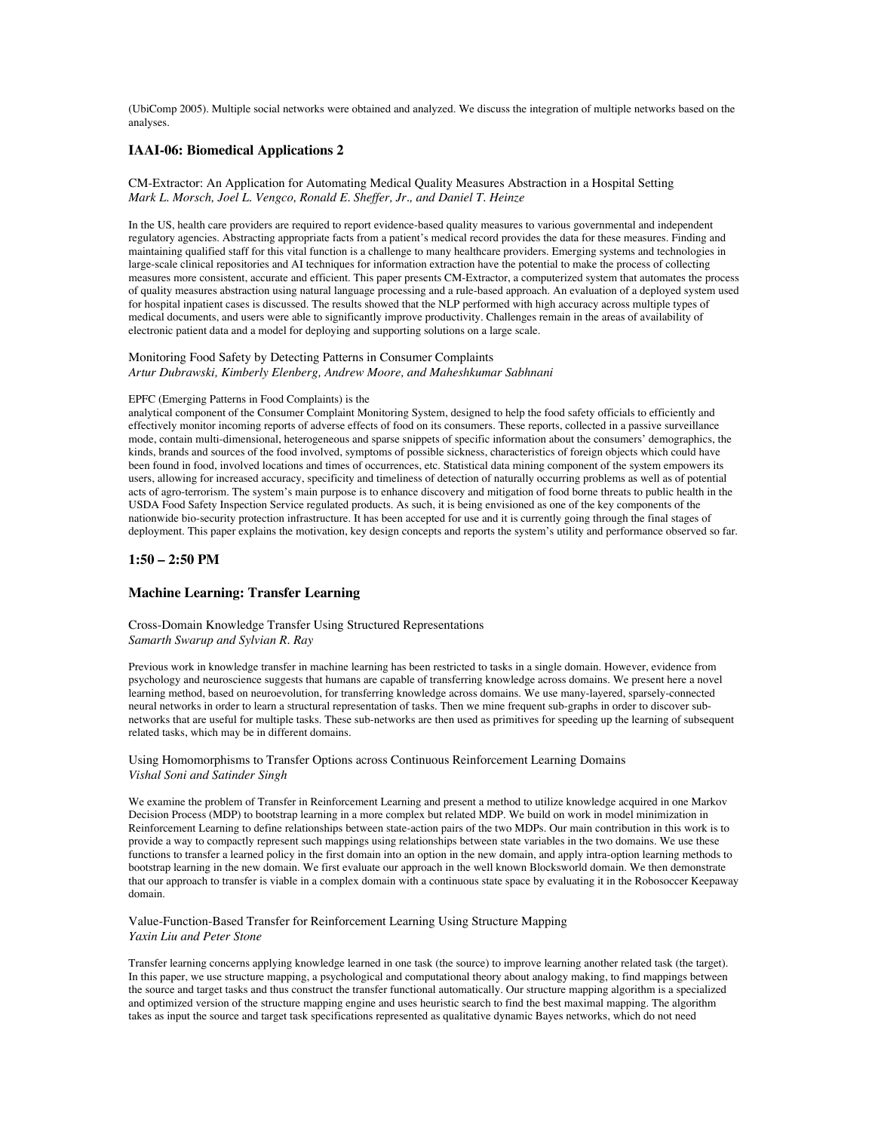(UbiComp 2005). Multiple social networks were obtained and analyzed. We discuss the integration of multiple networks based on the analyses.

## **IAAI-06: Biomedical Applications 2**

CM-Extractor: An Application for Automating Medical Quality Measures Abstraction in a Hospital Setting *Mark L. Morsch, Joel L. Vengco, Ronald E. Sheffer, Jr., and Daniel T. Heinze*

In the US, health care providers are required to report evidence-based quality measures to various governmental and independent regulatory agencies. Abstracting appropriate facts from a patient's medical record provides the data for these measures. Finding and maintaining qualified staff for this vital function is a challenge to many healthcare providers. Emerging systems and technologies in large-scale clinical repositories and AI techniques for information extraction have the potential to make the process of collecting measures more consistent, accurate and efficient. This paper presents CM-Extractor, a computerized system that automates the process of quality measures abstraction using natural language processing and a rule-based approach. An evaluation of a deployed system used for hospital inpatient cases is discussed. The results showed that the NLP performed with high accuracy across multiple types of medical documents, and users were able to significantly improve productivity. Challenges remain in the areas of availability of electronic patient data and a model for deploying and supporting solutions on a large scale.

### Monitoring Food Safety by Detecting Patterns in Consumer Complaints *Artur Dubrawski, Kimberly Elenberg, Andrew Moore, and Maheshkumar Sabhnani*

#### EPFC (Emerging Patterns in Food Complaints) is the

analytical component of the Consumer Complaint Monitoring System, designed to help the food safety officials to efficiently and effectively monitor incoming reports of adverse effects of food on its consumers. These reports, collected in a passive surveillance mode, contain multi-dimensional, heterogeneous and sparse snippets of specific information about the consumers' demographics, the kinds, brands and sources of the food involved, symptoms of possible sickness, characteristics of foreign objects which could have been found in food, involved locations and times of occurrences, etc. Statistical data mining component of the system empowers its users, allowing for increased accuracy, specificity and timeliness of detection of naturally occurring problems as well as of potential acts of agro-terrorism. The system's main purpose is to enhance discovery and mitigation of food borne threats to public health in the USDA Food Safety Inspection Service regulated products. As such, it is being envisioned as one of the key components of the nationwide bio-security protection infrastructure. It has been accepted for use and it is currently going through the final stages of deployment. This paper explains the motivation, key design concepts and reports the system's utility and performance observed so far.

## **1:50 – 2:50 PM**

### **Machine Learning: Transfer Learning**

Cross-Domain Knowledge Transfer Using Structured Representations *Samarth Swarup and Sylvian R. Ray*

Previous work in knowledge transfer in machine learning has been restricted to tasks in a single domain. However, evidence from psychology and neuroscience suggests that humans are capable of transferring knowledge across domains. We present here a novel learning method, based on neuroevolution, for transferring knowledge across domains. We use many-layered, sparsely-connected neural networks in order to learn a structural representation of tasks. Then we mine frequent sub-graphs in order to discover subnetworks that are useful for multiple tasks. These sub-networks are then used as primitives for speeding up the learning of subsequent related tasks, which may be in different domains.

Using Homomorphisms to Transfer Options across Continuous Reinforcement Learning Domains *Vishal Soni and Satinder Singh*

We examine the problem of Transfer in Reinforcement Learning and present a method to utilize knowledge acquired in one Markov Decision Process (MDP) to bootstrap learning in a more complex but related MDP. We build on work in model minimization in Reinforcement Learning to define relationships between state-action pairs of the two MDPs. Our main contribution in this work is to provide a way to compactly represent such mappings using relationships between state variables in the two domains. We use these functions to transfer a learned policy in the first domain into an option in the new domain, and apply intra-option learning methods to bootstrap learning in the new domain. We first evaluate our approach in the well known Blocksworld domain. We then demonstrate that our approach to transfer is viable in a complex domain with a continuous state space by evaluating it in the Robosoccer Keepaway domain.

Value-Function-Based Transfer for Reinforcement Learning Using Structure Mapping *Yaxin Liu and Peter Stone*

Transfer learning concerns applying knowledge learned in one task (the source) to improve learning another related task (the target). In this paper, we use structure mapping, a psychological and computational theory about analogy making, to find mappings between the source and target tasks and thus construct the transfer functional automatically. Our structure mapping algorithm is a specialized and optimized version of the structure mapping engine and uses heuristic search to find the best maximal mapping. The algorithm takes as input the source and target task specifications represented as qualitative dynamic Bayes networks, which do not need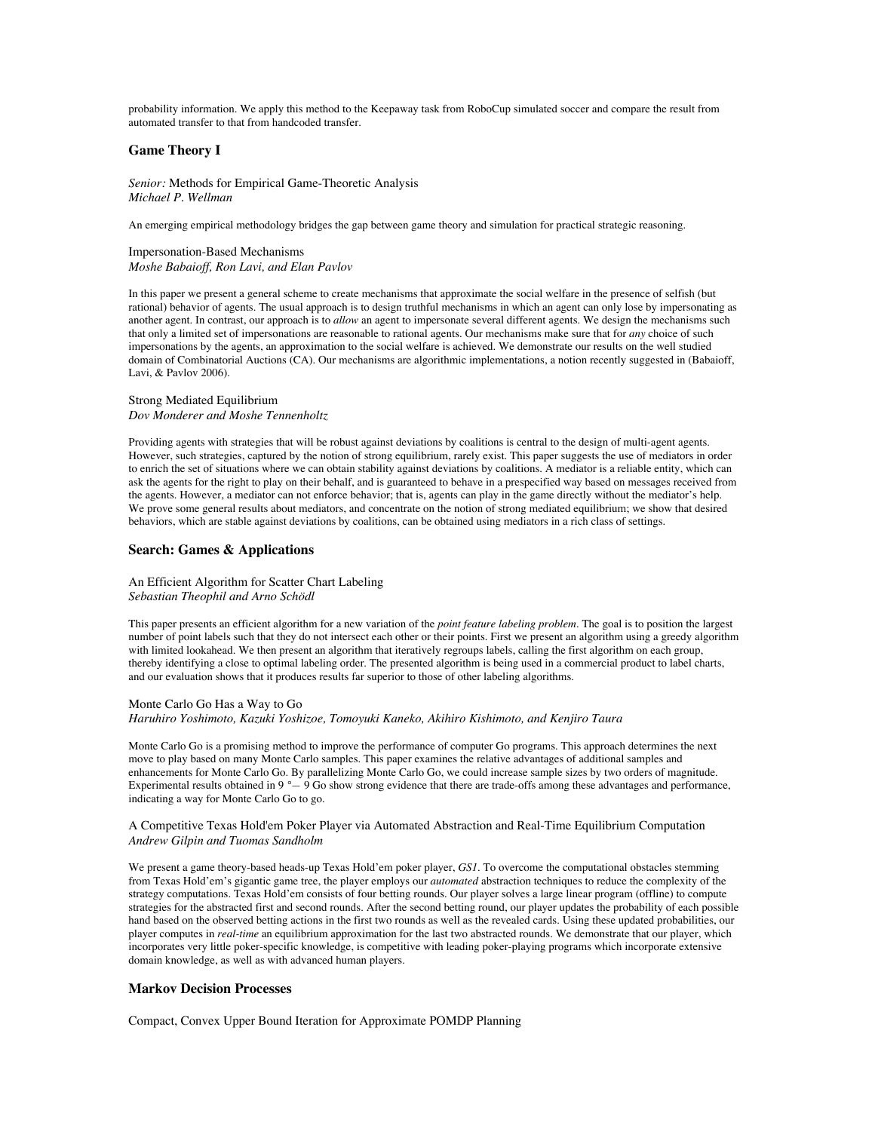probability information. We apply this method to the Keepaway task from RoboCup simulated soccer and compare the result from automated transfer to that from handcoded transfer.

### **Game Theory I**

*Senior:* Methods for Empirical Game-Theoretic Analysis *Michael P. Wellman*

An emerging empirical methodology bridges the gap between game theory and simulation for practical strategic reasoning.

### Impersonation-Based Mechanisms *Moshe Babaioff, Ron Lavi, and Elan Pavlov*

In this paper we present a general scheme to create mechanisms that approximate the social welfare in the presence of selfish (but rational) behavior of agents. The usual approach is to design truthful mechanisms in which an agent can only lose by impersonating as another agent. In contrast, our approach is to *allow* an agent to impersonate several different agents. We design the mechanisms such that only a limited set of impersonations are reasonable to rational agents. Our mechanisms make sure that for *any* choice of such impersonations by the agents, an approximation to the social welfare is achieved. We demonstrate our results on the well studied domain of Combinatorial Auctions (CA). Our mechanisms are algorithmic implementations, a notion recently suggested in (Babaioff, Lavi, & Pavlov 2006).

### Strong Mediated Equilibrium *Dov Monderer and Moshe Tennenholtz*

Providing agents with strategies that will be robust against deviations by coalitions is central to the design of multi-agent agents. However, such strategies, captured by the notion of strong equilibrium, rarely exist. This paper suggests the use of mediators in order to enrich the set of situations where we can obtain stability against deviations by coalitions. A mediator is a reliable entity, which can ask the agents for the right to play on their behalf, and is guaranteed to behave in a prespecified way based on messages received from the agents. However, a mediator can not enforce behavior; that is, agents can play in the game directly without the mediator's help. We prove some general results about mediators, and concentrate on the notion of strong mediated equilibrium; we show that desired behaviors, which are stable against deviations by coalitions, can be obtained using mediators in a rich class of settings.

## **Search: Games & Applications**

### An Efficient Algorithm for Scatter Chart Labeling *Sebastian Theophil and Arno Schödl*

This paper presents an efficient algorithm for a new variation of the *point feature labeling problem*. The goal is to position the largest number of point labels such that they do not intersect each other or their points. First we present an algorithm using a greedy algorithm with limited lookahead. We then present an algorithm that iteratively regroups labels, calling the first algorithm on each group, thereby identifying a close to optimal labeling order. The presented algorithm is being used in a commercial product to label charts, and our evaluation shows that it produces results far superior to those of other labeling algorithms.

### Monte Carlo Go Has a Way to Go *Haruhiro Yoshimoto, Kazuki Yoshizoe, Tomoyuki Kaneko, Akihiro Kishimoto, and Kenjiro Taura*

Monte Carlo Go is a promising method to improve the performance of computer Go programs. This approach determines the next move to play based on many Monte Carlo samples. This paper examines the relative advantages of additional samples and enhancements for Monte Carlo Go. By parallelizing Monte Carlo Go, we could increase sample sizes by two orders of magnitude. Experimental results obtained in 9 *°—* 9 Go show strong evidence that there are trade-offs among these advantages and performance, indicating a way for Monte Carlo Go to go.

### A Competitive Texas Hold'em Poker Player via Automated Abstraction and Real-Time Equilibrium Computation *Andrew Gilpin and Tuomas Sandholm*

We present a game theory-based heads-up Texas Hold'em poker player, *GS1*. To overcome the computational obstacles stemming from Texas Hold'em's gigantic game tree, the player employs our *automated* abstraction techniques to reduce the complexity of the strategy computations. Texas Hold'em consists of four betting rounds. Our player solves a large linear program (offline) to compute strategies for the abstracted first and second rounds. After the second betting round, our player updates the probability of each possible hand based on the observed betting actions in the first two rounds as well as the revealed cards. Using these updated probabilities, our player computes in *real-time* an equilibrium approximation for the last two abstracted rounds. We demonstrate that our player, which incorporates very little poker-specific knowledge, is competitive with leading poker-playing programs which incorporate extensive domain knowledge, as well as with advanced human players.

## **Markov Decision Processes**

Compact, Convex Upper Bound Iteration for Approximate POMDP Planning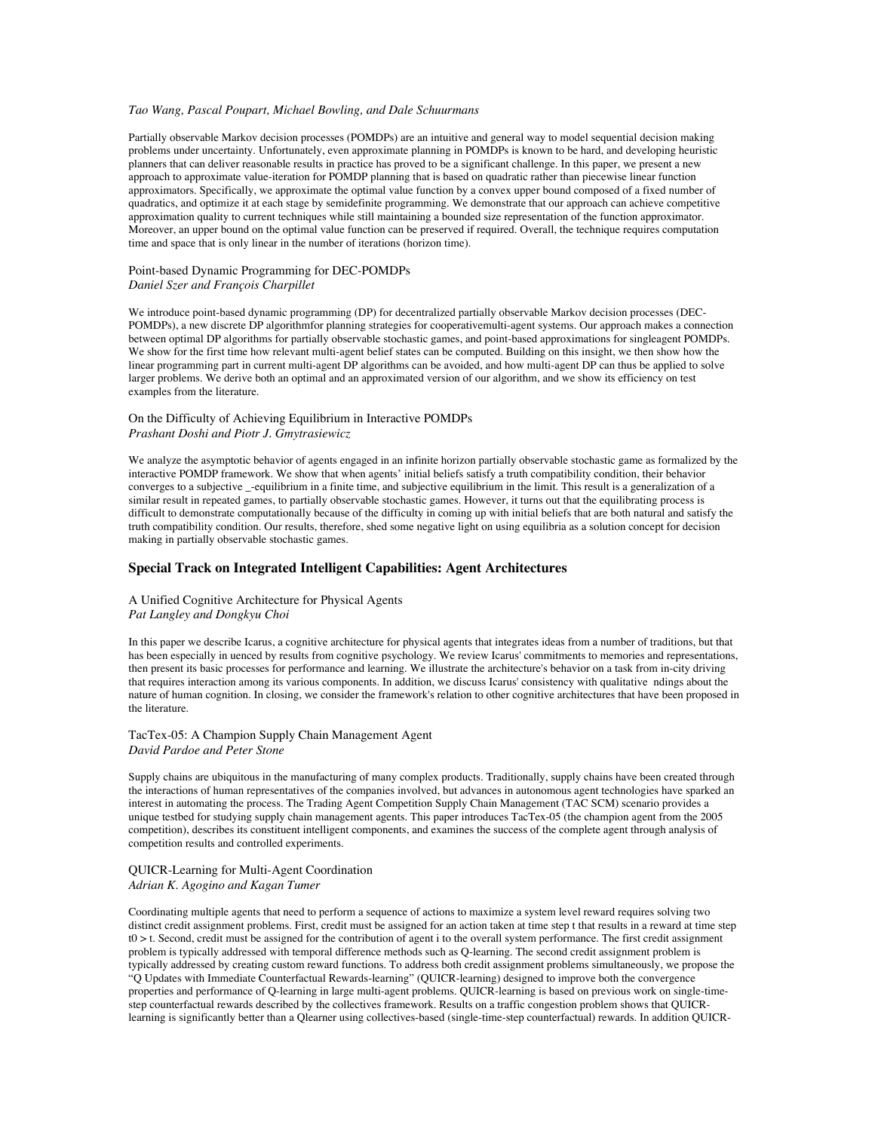## *Tao Wang, Pascal Poupart, Michael Bowling, and Dale Schuurmans*

Partially observable Markov decision processes (POMDPs) are an intuitive and general way to model sequential decision making problems under uncertainty. Unfortunately, even approximate planning in POMDPs is known to be hard, and developing heuristic planners that can deliver reasonable results in practice has proved to be a significant challenge. In this paper, we present a new approach to approximate value-iteration for POMDP planning that is based on quadratic rather than piecewise linear function approximators. Specifically, we approximate the optimal value function by a convex upper bound composed of a fixed number of quadratics, and optimize it at each stage by semidefinite programming. We demonstrate that our approach can achieve competitive approximation quality to current techniques while still maintaining a bounded size representation of the function approximator. Moreover, an upper bound on the optimal value function can be preserved if required. Overall, the technique requires computation time and space that is only linear in the number of iterations (horizon time).

## Point-based Dynamic Programming for DEC-POMDPs *Daniel Szer and François Charpillet*

We introduce point-based dynamic programming (DP) for decentralized partially observable Markov decision processes (DEC-POMDPs), a new discrete DP algorithmfor planning strategies for cooperativemulti-agent systems. Our approach makes a connection between optimal DP algorithms for partially observable stochastic games, and point-based approximations for singleagent POMDPs. We show for the first time how relevant multi-agent belief states can be computed. Building on this insight, we then show how the linear programming part in current multi-agent DP algorithms can be avoided, and how multi-agent DP can thus be applied to solve larger problems. We derive both an optimal and an approximated version of our algorithm, and we show its efficiency on test examples from the literature.

### On the Difficulty of Achieving Equilibrium in Interactive POMDPs *Prashant Doshi and Piotr J. Gmytrasiewicz*

We analyze the asymptotic behavior of agents engaged in an infinite horizon partially observable stochastic game as formalized by the interactive POMDP framework. We show that when agents' initial beliefs satisfy a truth compatibility condition, their behavior converges to a subjective \_-equilibrium in a finite time, and subjective equilibrium in the limit. This result is a generalization of a similar result in repeated games, to partially observable stochastic games. However, it turns out that the equilibrating process is difficult to demonstrate computationally because of the difficulty in coming up with initial beliefs that are both natural and satisfy the truth compatibility condition. Our results, therefore, shed some negative light on using equilibria as a solution concept for decision making in partially observable stochastic games.

## **Special Track on Integrated Intelligent Capabilities: Agent Architectures**

### A Unified Cognitive Architecture for Physical Agents *Pat Langley and Dongkyu Choi*

In this paper we describe Icarus, a cognitive architecture for physical agents that integrates ideas from a number of traditions, but that has been especially in uenced by results from cognitive psychology. We review Icarus' commitments to memories and representations, then present its basic processes for performance and learning. We illustrate the architecture's behavior on a task from in-city driving that requires interaction among its various components. In addition, we discuss Icarus' consistency with qualitative ndings about the nature of human cognition. In closing, we consider the framework's relation to other cognitive architectures that have been proposed in the literature.

#### TacTex-05: A Champion Supply Chain Management Agent *David Pardoe and Peter Stone*

Supply chains are ubiquitous in the manufacturing of many complex products. Traditionally, supply chains have been created through the interactions of human representatives of the companies involved, but advances in autonomous agent technologies have sparked an interest in automating the process. The Trading Agent Competition Supply Chain Management (TAC SCM) scenario provides a unique testbed for studying supply chain management agents. This paper introduces TacTex-05 (the champion agent from the 2005 competition), describes its constituent intelligent components, and examines the success of the complete agent through analysis of competition results and controlled experiments.

### QUICR-Learning for Multi-Agent Coordination *Adrian K. Agogino and Kagan Tumer*

Coordinating multiple agents that need to perform a sequence of actions to maximize a system level reward requires solving two distinct credit assignment problems. First, credit must be assigned for an action taken at time step t that results in a reward at time step  $t0 > t$ . Second, credit must be assigned for the contribution of agent i to the overall system performance. The first credit assignment problem is typically addressed with temporal difference methods such as Q-learning. The second credit assignment problem is typically addressed by creating custom reward functions. To address both credit assignment problems simultaneously, we propose the "Q Updates with Immediate Counterfactual Rewards-learning" (QUICR-learning) designed to improve both the convergence properties and performance of Q-learning in large multi-agent problems. QUICR-learning is based on previous work on single-timestep counterfactual rewards described by the collectives framework. Results on a traffic congestion problem shows that QUICRlearning is significantly better than a Qlearner using collectives-based (single-time-step counterfactual) rewards. In addition QUICR-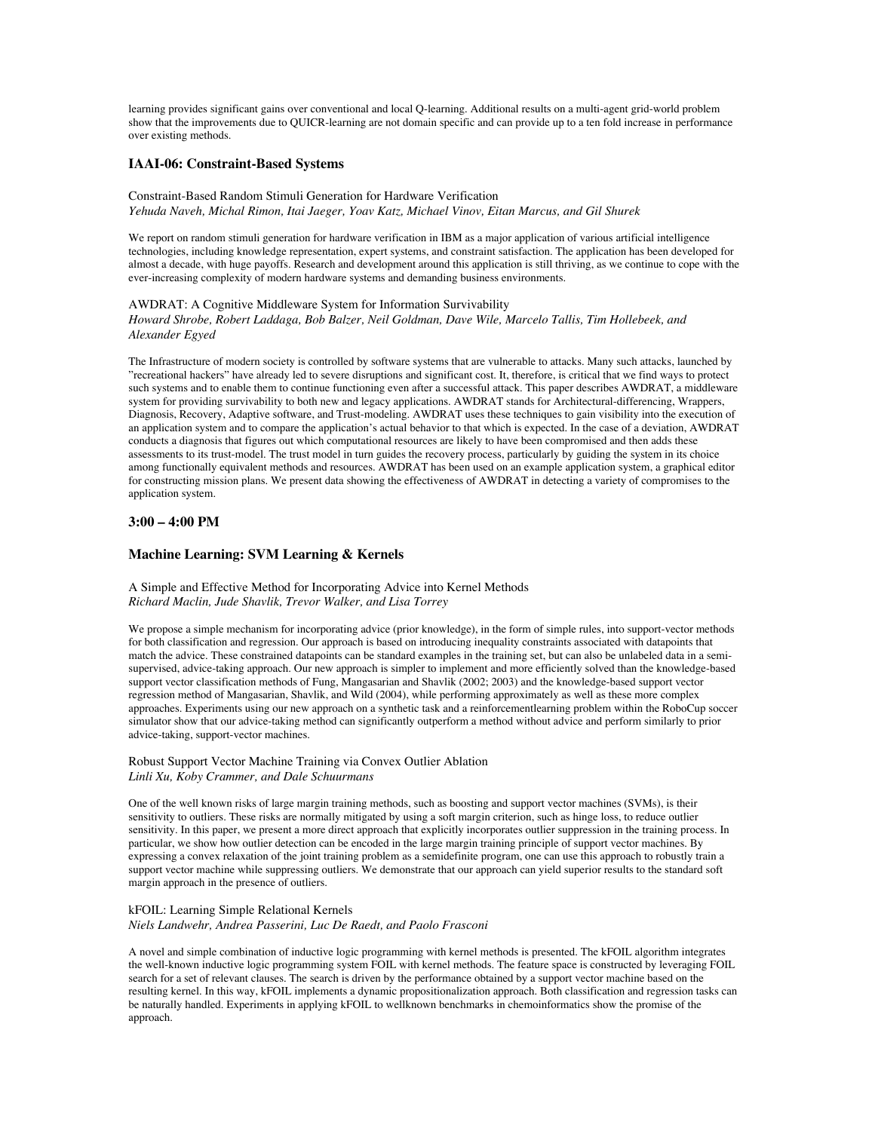learning provides significant gains over conventional and local Q-learning. Additional results on a multi-agent grid-world problem show that the improvements due to QUICR-learning are not domain specific and can provide up to a ten fold increase in performance over existing methods.

## **IAAI-06: Constraint-Based Systems**

Constraint-Based Random Stimuli Generation for Hardware Verification *Yehuda Naveh, Michal Rimon, Itai Jaeger, Yoav Katz, Michael Vinov, Eitan Marcus, and Gil Shurek*

We report on random stimuli generation for hardware verification in IBM as a major application of various artificial intelligence technologies, including knowledge representation, expert systems, and constraint satisfaction. The application has been developed for almost a decade, with huge payoffs. Research and development around this application is still thriving, as we continue to cope with the ever-increasing complexity of modern hardware systems and demanding business environments.

#### AWDRAT: A Cognitive Middleware System for Information Survivability

*Howard Shrobe, Robert Laddaga, Bob Balzer, Neil Goldman, Dave Wile, Marcelo Tallis, Tim Hollebeek, and Alexander Egyed*

The Infrastructure of modern society is controlled by software systems that are vulnerable to attacks. Many such attacks, launched by "recreational hackers" have already led to severe disruptions and significant cost. It, therefore, is critical that we find ways to protect such systems and to enable them to continue functioning even after a successful attack. This paper describes AWDRAT, a middleware system for providing survivability to both new and legacy applications. AWDRAT stands for Architectural-differencing, Wrappers, Diagnosis, Recovery, Adaptive software, and Trust-modeling. AWDRAT uses these techniques to gain visibility into the execution of an application system and to compare the application's actual behavior to that which is expected. In the case of a deviation, AWDRAT conducts a diagnosis that figures out which computational resources are likely to have been compromised and then adds these assessments to its trust-model. The trust model in turn guides the recovery process, particularly by guiding the system in its choice among functionally equivalent methods and resources. AWDRAT has been used on an example application system, a graphical editor for constructing mission plans. We present data showing the effectiveness of AWDRAT in detecting a variety of compromises to the application system.

### **3:00 – 4:00 PM**

### **Machine Learning: SVM Learning & Kernels**

A Simple and Effective Method for Incorporating Advice into Kernel Methods *Richard Maclin, Jude Shavlik, Trevor Walker, and Lisa Torrey*

We propose a simple mechanism for incorporating advice (prior knowledge), in the form of simple rules, into support-vector methods for both classification and regression. Our approach is based on introducing inequality constraints associated with datapoints that match the advice. These constrained datapoints can be standard examples in the training set, but can also be unlabeled data in a semisupervised, advice-taking approach. Our new approach is simpler to implement and more efficiently solved than the knowledge-based support vector classification methods of Fung, Mangasarian and Shavlik (2002; 2003) and the knowledge-based support vector regression method of Mangasarian, Shavlik, and Wild (2004), while performing approximately as well as these more complex approaches. Experiments using our new approach on a synthetic task and a reinforcementlearning problem within the RoboCup soccer simulator show that our advice-taking method can significantly outperform a method without advice and perform similarly to prior advice-taking, support-vector machines.

## Robust Support Vector Machine Training via Convex Outlier Ablation *Linli Xu, Koby Crammer, and Dale Schuurmans*

One of the well known risks of large margin training methods, such as boosting and support vector machines (SVMs), is their sensitivity to outliers. These risks are normally mitigated by using a soft margin criterion, such as hinge loss, to reduce outlier sensitivity. In this paper, we present a more direct approach that explicitly incorporates outlier suppression in the training process. In particular, we show how outlier detection can be encoded in the large margin training principle of support vector machines. By expressing a convex relaxation of the joint training problem as a semidefinite program, one can use this approach to robustly train a support vector machine while suppressing outliers. We demonstrate that our approach can yield superior results to the standard soft margin approach in the presence of outliers.

#### kFOIL: Learning Simple Relational Kernels

*Niels Landwehr, Andrea Passerini, Luc De Raedt, and Paolo Frasconi*

A novel and simple combination of inductive logic programming with kernel methods is presented. The kFOIL algorithm integrates the well-known inductive logic programming system FOIL with kernel methods. The feature space is constructed by leveraging FOIL search for a set of relevant clauses. The search is driven by the performance obtained by a support vector machine based on the resulting kernel. In this way, kFOIL implements a dynamic propositionalization approach. Both classification and regression tasks can be naturally handled. Experiments in applying kFOIL to wellknown benchmarks in chemoinformatics show the promise of the approach.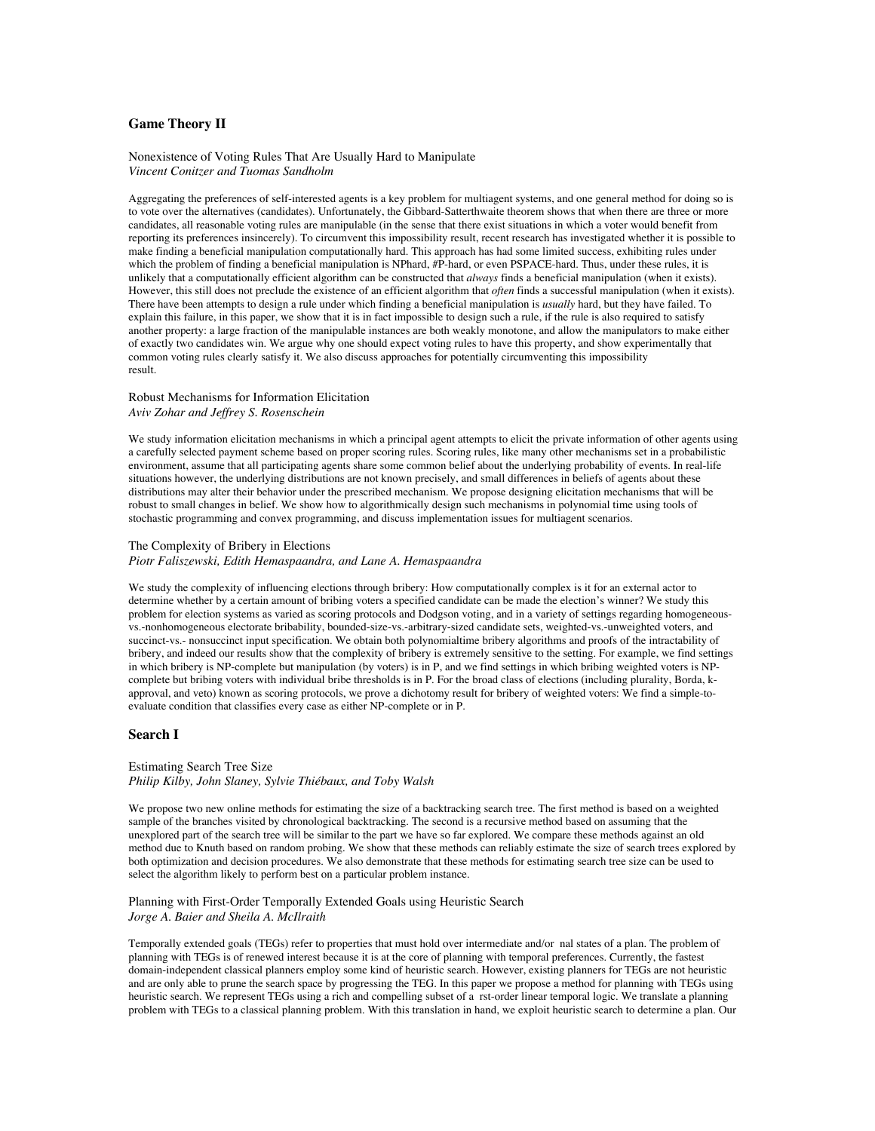## **Game Theory II**

Nonexistence of Voting Rules That Are Usually Hard to Manipulate *Vincent Conitzer and Tuomas Sandholm*

Aggregating the preferences of self-interested agents is a key problem for multiagent systems, and one general method for doing so is to vote over the alternatives (candidates). Unfortunately, the Gibbard-Satterthwaite theorem shows that when there are three or more candidates, all reasonable voting rules are manipulable (in the sense that there exist situations in which a voter would benefit from reporting its preferences insincerely). To circumvent this impossibility result, recent research has investigated whether it is possible to make finding a beneficial manipulation computationally hard. This approach has had some limited success, exhibiting rules under which the problem of finding a beneficial manipulation is NPhard, #P-hard, or even PSPACE-hard. Thus, under these rules, it is unlikely that a computationally efficient algorithm can be constructed that *always* finds a beneficial manipulation (when it exists). However, this still does not preclude the existence of an efficient algorithm that *often* finds a successful manipulation (when it exists). There have been attempts to design a rule under which finding a beneficial manipulation is *usually* hard, but they have failed. To explain this failure, in this paper, we show that it is in fact impossible to design such a rule, if the rule is also required to satisfy another property: a large fraction of the manipulable instances are both weakly monotone, and allow the manipulators to make either of exactly two candidates win. We argue why one should expect voting rules to have this property, and show experimentally that common voting rules clearly satisfy it. We also discuss approaches for potentially circumventing this impossibility result.

### Robust Mechanisms for Information Elicitation *Aviv Zohar and Jeffrey S. Rosenschein*

We study information elicitation mechanisms in which a principal agent attempts to elicit the private information of other agents using a carefully selected payment scheme based on proper scoring rules. Scoring rules, like many other mechanisms set in a probabilistic environment, assume that all participating agents share some common belief about the underlying probability of events. In real-life situations however, the underlying distributions are not known precisely, and small differences in beliefs of agents about these distributions may alter their behavior under the prescribed mechanism. We propose designing elicitation mechanisms that will be robust to small changes in belief. We show how to algorithmically design such mechanisms in polynomial time using tools of stochastic programming and convex programming, and discuss implementation issues for multiagent scenarios.

## The Complexity of Bribery in Elections

*Piotr Faliszewski, Edith Hemaspaandra, and Lane A. Hemaspaandra*

We study the complexity of influencing elections through bribery: How computationally complex is it for an external actor to determine whether by a certain amount of bribing voters a specified candidate can be made the election's winner? We study this problem for election systems as varied as scoring protocols and Dodgson voting, and in a variety of settings regarding homogeneousvs.-nonhomogeneous electorate bribability, bounded-size-vs.-arbitrary-sized candidate sets, weighted-vs.-unweighted voters, and succinct-vs.- nonsuccinct input specification. We obtain both polynomialtime bribery algorithms and proofs of the intractability of bribery, and indeed our results show that the complexity of bribery is extremely sensitive to the setting. For example, we find settings in which bribery is NP-complete but manipulation (by voters) is in P, and we find settings in which bribing weighted voters is NPcomplete but bribing voters with individual bribe thresholds is in P. For the broad class of elections (including plurality, Borda, kapproval, and veto) known as scoring protocols, we prove a dichotomy result for bribery of weighted voters: We find a simple-toevaluate condition that classifies every case as either NP-complete or in P.

### **Search I**

#### Estimating Search Tree Size *Philip Kilby, John Slaney, Sylvie Thiébaux, and Toby Walsh*

We propose two new online methods for estimating the size of a backtracking search tree. The first method is based on a weighted sample of the branches visited by chronological backtracking. The second is a recursive method based on assuming that the unexplored part of the search tree will be similar to the part we have so far explored. We compare these methods against an old method due to Knuth based on random probing. We show that these methods can reliably estimate the size of search trees explored by both optimization and decision procedures. We also demonstrate that these methods for estimating search tree size can be used to select the algorithm likely to perform best on a particular problem instance.

### Planning with First-Order Temporally Extended Goals using Heuristic Search *Jorge A. Baier and Sheila A. McIlraith*

Temporally extended goals (TEGs) refer to properties that must hold over intermediate and/or nal states of a plan. The problem of planning with TEGs is of renewed interest because it is at the core of planning with temporal preferences. Currently, the fastest domain-independent classical planners employ some kind of heuristic search. However, existing planners for TEGs are not heuristic and are only able to prune the search space by progressing the TEG. In this paper we propose a method for planning with TEGs using heuristic search. We represent TEGs using a rich and compelling subset of a rst-order linear temporal logic. We translate a planning problem with TEGs to a classical planning problem. With this translation in hand, we exploit heuristic search to determine a plan. Our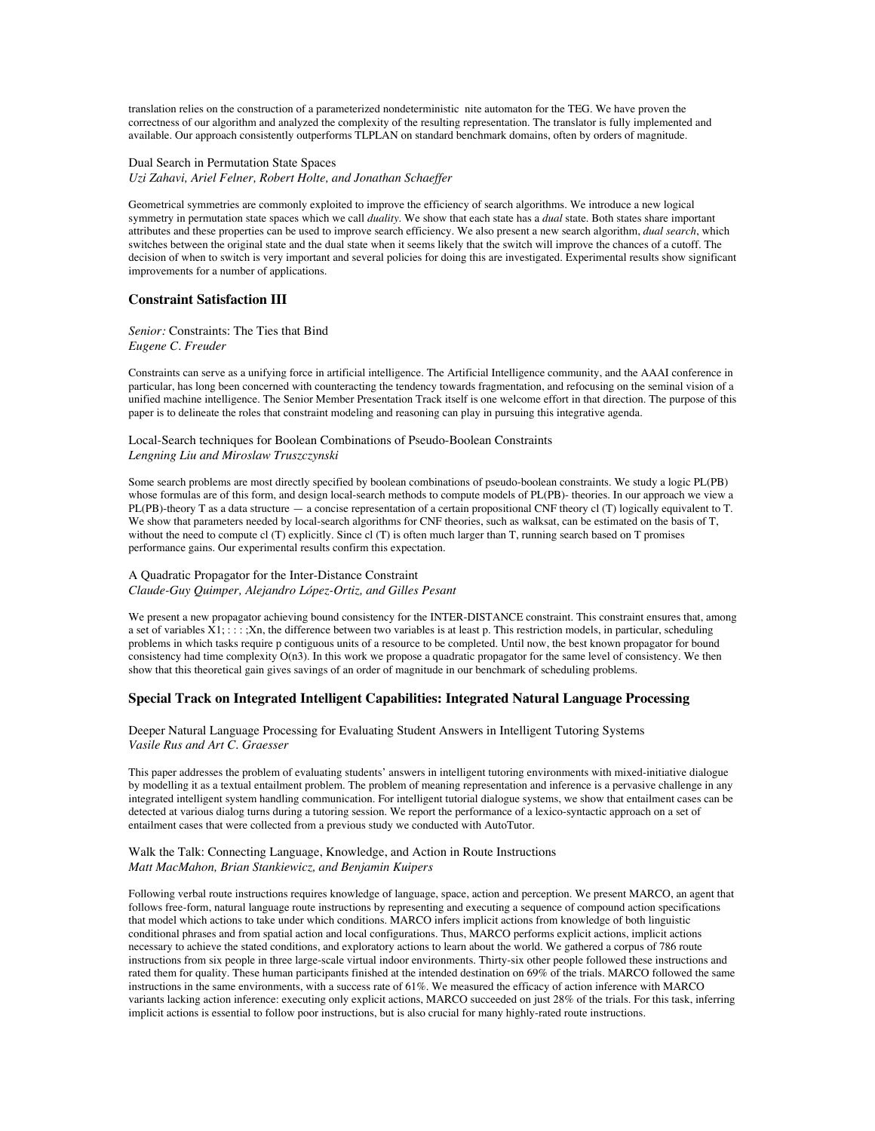translation relies on the construction of a parameterized nondeterministic nite automaton for the TEG. We have proven the correctness of our algorithm and analyzed the complexity of the resulting representation. The translator is fully implemented and available. Our approach consistently outperforms TLPLAN on standard benchmark domains, often by orders of magnitude.

Dual Search in Permutation State Spaces *Uzi Zahavi, Ariel Felner, Robert Holte, and Jonathan Schaeffer*

Geometrical symmetries are commonly exploited to improve the efficiency of search algorithms. We introduce a new logical symmetry in permutation state spaces which we call *duality*. We show that each state has a *dual* state. Both states share important attributes and these properties can be used to improve search efficiency. We also present a new search algorithm, *dual search*, which switches between the original state and the dual state when it seems likely that the switch will improve the chances of a cutoff. The decision of when to switch is very important and several policies for doing this are investigated. Experimental results show significant improvements for a number of applications.

## **Constraint Satisfaction III**

*Senior:* Constraints: The Ties that Bind *Eugene C. Freuder*

Constraints can serve as a unifying force in artificial intelligence. The Artificial Intelligence community, and the AAAI conference in particular, has long been concerned with counteracting the tendency towards fragmentation, and refocusing on the seminal vision of a unified machine intelligence. The Senior Member Presentation Track itself is one welcome effort in that direction. The purpose of this paper is to delineate the roles that constraint modeling and reasoning can play in pursuing this integrative agenda.

Local-Search techniques for Boolean Combinations of Pseudo-Boolean Constraints *Lengning Liu and Miroslaw Truszczynski*

Some search problems are most directly specified by boolean combinations of pseudo-boolean constraints. We study a logic PL(PB) whose formulas are of this form, and design local-search methods to compute models of PL(PB)- theories. In our approach we view a PL(PB)-theory T as a data structure — a concise representation of a certain propositional CNF theory cl (T) logically equivalent to T. We show that parameters needed by local-search algorithms for CNF theories, such as walksat, can be estimated on the basis of T, without the need to compute cl (T) explicitly. Since cl (T) is often much larger than T, running search based on T promises performance gains. Our experimental results confirm this expectation.

### A Quadratic Propagator for the Inter-Distance Constraint *Claude-Guy Quimper, Alejandro López-Ortiz, and Gilles Pesant*

We present a new propagator achieving bound consistency for the INTER-DISTANCE constraint. This constraint ensures that, among a set of variables  $X1$ ; : : : ;Xn, the difference between two variables is at least p. This restriction models, in particular, scheduling problems in which tasks require p contiguous units of a resource to be completed. Until now, the best known propagator for bound consistency had time complexity O(n3). In this work we propose a quadratic propagator for the same level of consistency. We then show that this theoretical gain gives savings of an order of magnitude in our benchmark of scheduling problems.

# **Special Track on Integrated Intelligent Capabilities: Integrated Natural Language Processing**

### Deeper Natural Language Processing for Evaluating Student Answers in Intelligent Tutoring Systems *Vasile Rus and Art C. Graesser*

This paper addresses the problem of evaluating students' answers in intelligent tutoring environments with mixed-initiative dialogue by modelling it as a textual entailment problem. The problem of meaning representation and inference is a pervasive challenge in any integrated intelligent system handling communication. For intelligent tutorial dialogue systems, we show that entailment cases can be detected at various dialog turns during a tutoring session. We report the performance of a lexico-syntactic approach on a set of entailment cases that were collected from a previous study we conducted with AutoTutor.

### Walk the Talk: Connecting Language, Knowledge, and Action in Route Instructions *Matt MacMahon, Brian Stankiewicz, and Benjamin Kuipers*

Following verbal route instructions requires knowledge of language, space, action and perception. We present MARCO, an agent that follows free-form, natural language route instructions by representing and executing a sequence of compound action specifications that model which actions to take under which conditions. MARCO infers implicit actions from knowledge of both linguistic conditional phrases and from spatial action and local configurations. Thus, MARCO performs explicit actions, implicit actions necessary to achieve the stated conditions, and exploratory actions to learn about the world. We gathered a corpus of 786 route instructions from six people in three large-scale virtual indoor environments. Thirty-six other people followed these instructions and rated them for quality. These human participants finished at the intended destination on 69% of the trials. MARCO followed the same instructions in the same environments, with a success rate of 61%. We measured the efficacy of action inference with MARCO variants lacking action inference: executing only explicit actions, MARCO succeeded on just 28% of the trials. For this task, inferring implicit actions is essential to follow poor instructions, but is also crucial for many highly-rated route instructions.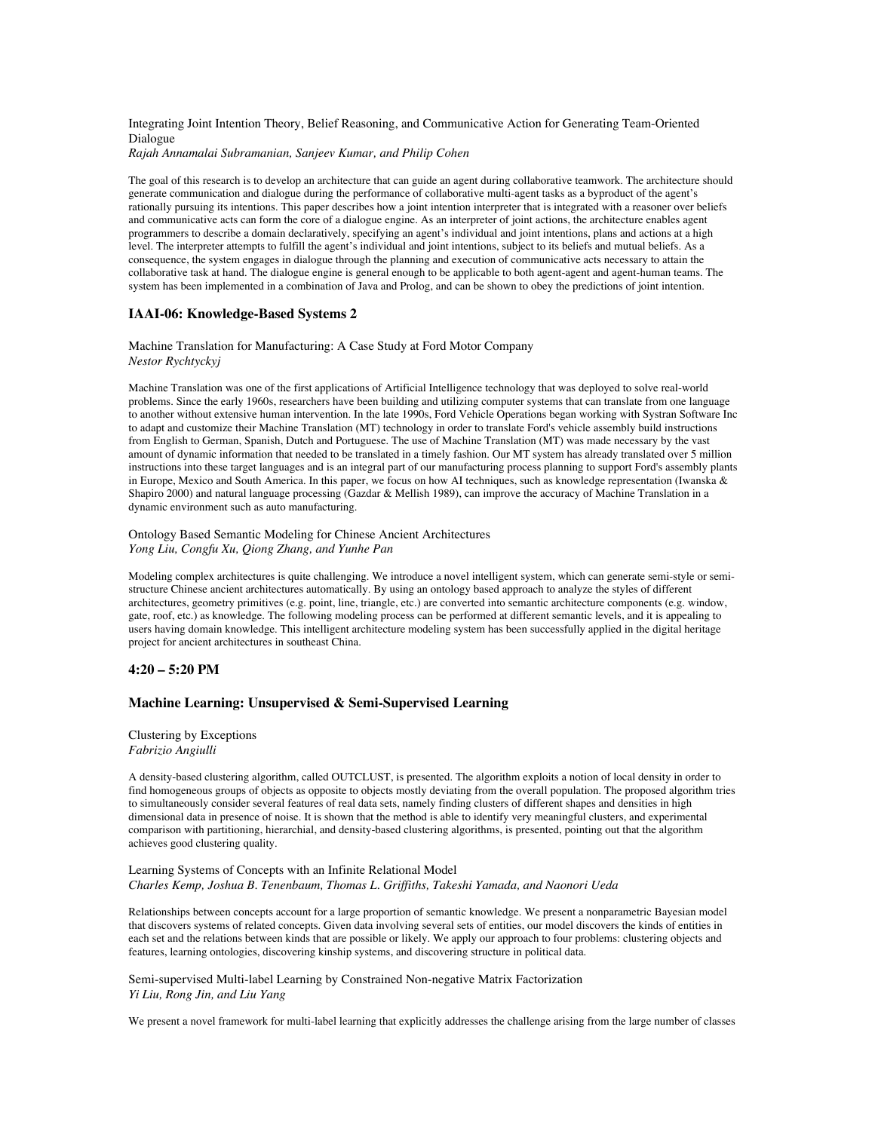Integrating Joint Intention Theory, Belief Reasoning, and Communicative Action for Generating Team-Oriented Dialogue

*Rajah Annamalai Subramanian, Sanjeev Kumar, and Philip Cohen*

The goal of this research is to develop an architecture that can guide an agent during collaborative teamwork. The architecture should generate communication and dialogue during the performance of collaborative multi-agent tasks as a byproduct of the agent's rationally pursuing its intentions. This paper describes how a joint intention interpreter that is integrated with a reasoner over beliefs and communicative acts can form the core of a dialogue engine. As an interpreter of joint actions, the architecture enables agent programmers to describe a domain declaratively, specifying an agent's individual and joint intentions, plans and actions at a high level. The interpreter attempts to fulfill the agent's individual and joint intentions, subject to its beliefs and mutual beliefs. As a consequence, the system engages in dialogue through the planning and execution of communicative acts necessary to attain the collaborative task at hand. The dialogue engine is general enough to be applicable to both agent-agent and agent-human teams. The system has been implemented in a combination of Java and Prolog, and can be shown to obey the predictions of joint intention.

## **IAAI-06: Knowledge-Based Systems 2**

### Machine Translation for Manufacturing: A Case Study at Ford Motor Company *Nestor Rychtyckyj*

Machine Translation was one of the first applications of Artificial Intelligence technology that was deployed to solve real-world problems. Since the early 1960s, researchers have been building and utilizing computer systems that can translate from one language to another without extensive human intervention. In the late 1990s, Ford Vehicle Operations began working with Systran Software Inc to adapt and customize their Machine Translation (MT) technology in order to translate Ford's vehicle assembly build instructions from English to German, Spanish, Dutch and Portuguese. The use of Machine Translation (MT) was made necessary by the vast amount of dynamic information that needed to be translated in a timely fashion. Our MT system has already translated over 5 million instructions into these target languages and is an integral part of our manufacturing process planning to support Ford's assembly plants in Europe, Mexico and South America. In this paper, we focus on how AI techniques, such as knowledge representation (Iwanska & Shapiro 2000) and natural language processing (Gazdar & Mellish 1989), can improve the accuracy of Machine Translation in a dynamic environment such as auto manufacturing.

#### Ontology Based Semantic Modeling for Chinese Ancient Architectures *Yong Liu, Congfu Xu, Qiong Zhang, and Yunhe Pan*

Modeling complex architectures is quite challenging. We introduce a novel intelligent system, which can generate semi-style or semistructure Chinese ancient architectures automatically. By using an ontology based approach to analyze the styles of different architectures, geometry primitives (e.g. point, line, triangle, etc.) are converted into semantic architecture components (e.g. window, gate, roof, etc.) as knowledge. The following modeling process can be performed at different semantic levels, and it is appealing to users having domain knowledge. This intelligent architecture modeling system has been successfully applied in the digital heritage project for ancient architectures in southeast China.

#### **4:20 – 5:20 PM**

#### **Machine Learning: Unsupervised & Semi-Supervised Learning**

Clustering by Exceptions *Fabrizio Angiulli*

A density-based clustering algorithm, called OUTCLUST, is presented. The algorithm exploits a notion of local density in order to find homogeneous groups of objects as opposite to objects mostly deviating from the overall population. The proposed algorithm tries to simultaneously consider several features of real data sets, namely finding clusters of different shapes and densities in high dimensional data in presence of noise. It is shown that the method is able to identify very meaningful clusters, and experimental comparison with partitioning, hierarchial, and density-based clustering algorithms, is presented, pointing out that the algorithm achieves good clustering quality.

#### Learning Systems of Concepts with an Infinite Relational Model *Charles Kemp, Joshua B. Tenenbaum, Thomas L. Griffiths, Takeshi Yamada, and Naonori Ueda*

Relationships between concepts account for a large proportion of semantic knowledge. We present a nonparametric Bayesian model that discovers systems of related concepts. Given data involving several sets of entities, our model discovers the kinds of entities in each set and the relations between kinds that are possible or likely. We apply our approach to four problems: clustering objects and features, learning ontologies, discovering kinship systems, and discovering structure in political data.

Semi-supervised Multi-label Learning by Constrained Non-negative Matrix Factorization *Yi Liu, Rong Jin, and Liu Yang*

We present a novel framework for multi-label learning that explicitly addresses the challenge arising from the large number of classes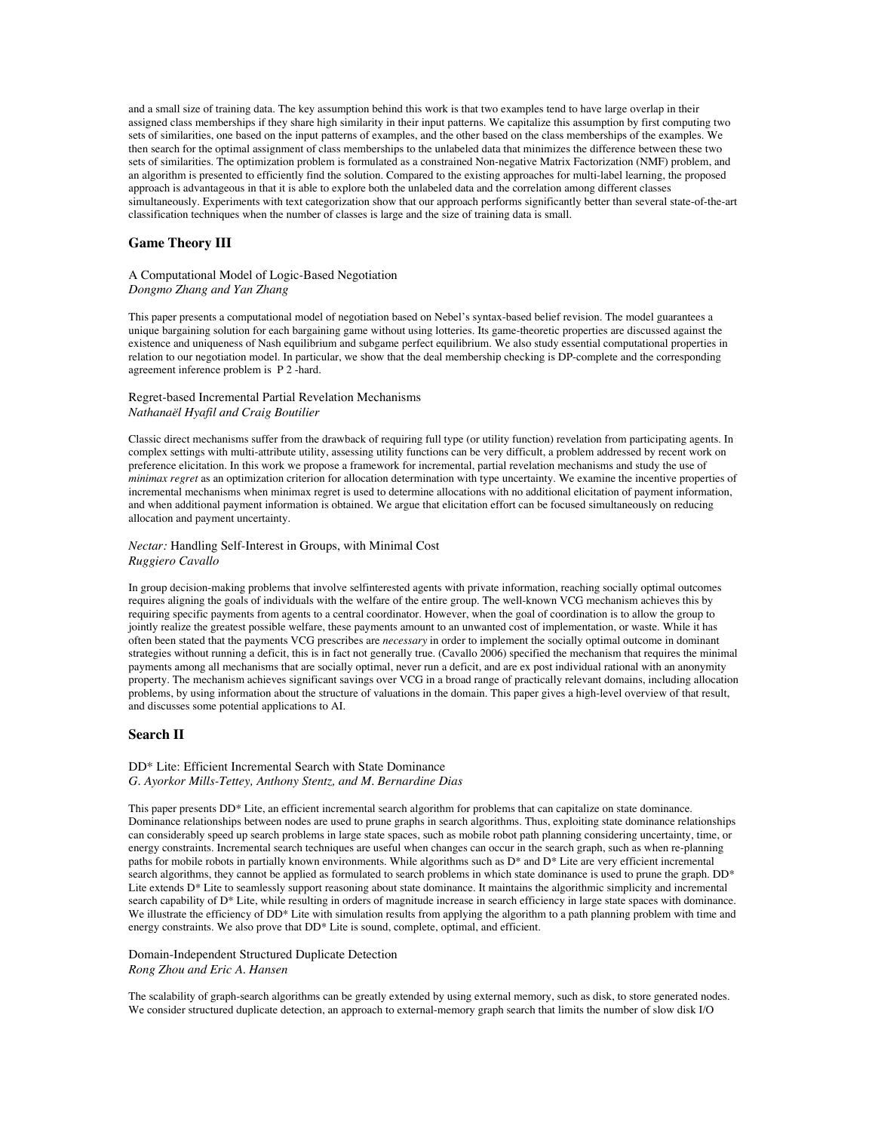and a small size of training data. The key assumption behind this work is that two examples tend to have large overlap in their assigned class memberships if they share high similarity in their input patterns. We capitalize this assumption by first computing two sets of similarities, one based on the input patterns of examples, and the other based on the class memberships of the examples. We then search for the optimal assignment of class memberships to the unlabeled data that minimizes the difference between these two sets of similarities. The optimization problem is formulated as a constrained Non-negative Matrix Factorization (NMF) problem, and an algorithm is presented to efficiently find the solution. Compared to the existing approaches for multi-label learning, the proposed approach is advantageous in that it is able to explore both the unlabeled data and the correlation among different classes simultaneously. Experiments with text categorization show that our approach performs significantly better than several state-of-the-art classification techniques when the number of classes is large and the size of training data is small.

## **Game Theory III**

## A Computational Model of Logic-Based Negotiation *Dongmo Zhang and Yan Zhang*

This paper presents a computational model of negotiation based on Nebel's syntax-based belief revision. The model guarantees a unique bargaining solution for each bargaining game without using lotteries. Its game-theoretic properties are discussed against the existence and uniqueness of Nash equilibrium and subgame perfect equilibrium. We also study essential computational properties in relation to our negotiation model. In particular, we show that the deal membership checking is DP-complete and the corresponding agreement inference problem is P 2 -hard.

#### Regret-based Incremental Partial Revelation Mechanisms *Nathanaël Hyafil and Craig Boutilier*

Classic direct mechanisms suffer from the drawback of requiring full type (or utility function) revelation from participating agents. In complex settings with multi-attribute utility, assessing utility functions can be very difficult, a problem addressed by recent work on preference elicitation. In this work we propose a framework for incremental, partial revelation mechanisms and study the use of *minimax regret* as an optimization criterion for allocation determination with type uncertainty. We examine the incentive properties of incremental mechanisms when minimax regret is used to determine allocations with no additional elicitation of payment information, and when additional payment information is obtained. We argue that elicitation effort can be focused simultaneously on reducing allocation and payment uncertainty.

#### *Nectar:* Handling Self-Interest in Groups, with Minimal Cost *Ruggiero Cavallo*

In group decision-making problems that involve selfinterested agents with private information, reaching socially optimal outcomes requires aligning the goals of individuals with the welfare of the entire group. The well-known VCG mechanism achieves this by requiring specific payments from agents to a central coordinator. However, when the goal of coordination is to allow the group to jointly realize the greatest possible welfare, these payments amount to an unwanted cost of implementation, or waste. While it has often been stated that the payments VCG prescribes are *necessary* in order to implement the socially optimal outcome in dominant strategies without running a deficit, this is in fact not generally true. (Cavallo 2006) specified the mechanism that requires the minimal payments among all mechanisms that are socially optimal, never run a deficit, and are ex post individual rational with an anonymity property. The mechanism achieves significant savings over VCG in a broad range of practically relevant domains, including allocation problems, by using information about the structure of valuations in the domain. This paper gives a high-level overview of that result, and discusses some potential applications to AI.

## **Search II**

#### DD\* Lite: Efficient Incremental Search with State Dominance *G. Ayorkor Mills-Tettey, Anthony Stentz, and M. Bernardine Dias*

This paper presents DD\* Lite, an efficient incremental search algorithm for problems that can capitalize on state dominance. Dominance relationships between nodes are used to prune graphs in search algorithms. Thus, exploiting state dominance relationships can considerably speed up search problems in large state spaces, such as mobile robot path planning considering uncertainty, time, or energy constraints. Incremental search techniques are useful when changes can occur in the search graph, such as when re-planning paths for mobile robots in partially known environments. While algorithms such as D\* and D\* Lite are very efficient incremental search algorithms, they cannot be applied as formulated to search problems in which state dominance is used to prune the graph. DD<sup>\*</sup> Lite extends D<sup>\*</sup> Lite to seamlessly support reasoning about state dominance. It maintains the algorithmic simplicity and incremental search capability of D\* Lite, while resulting in orders of magnitude increase in search efficiency in large state spaces with dominance. We illustrate the efficiency of DD<sup>\*</sup> Lite with simulation results from applying the algorithm to a path planning problem with time and energy constraints. We also prove that DD<sup>\*</sup> Lite is sound, complete, optimal, and efficient.

### Domain-Independent Structured Duplicate Detection *Rong Zhou and Eric A. Hansen*

The scalability of graph-search algorithms can be greatly extended by using external memory, such as disk, to store generated nodes. We consider structured duplicate detection, an approach to external-memory graph search that limits the number of slow disk I/O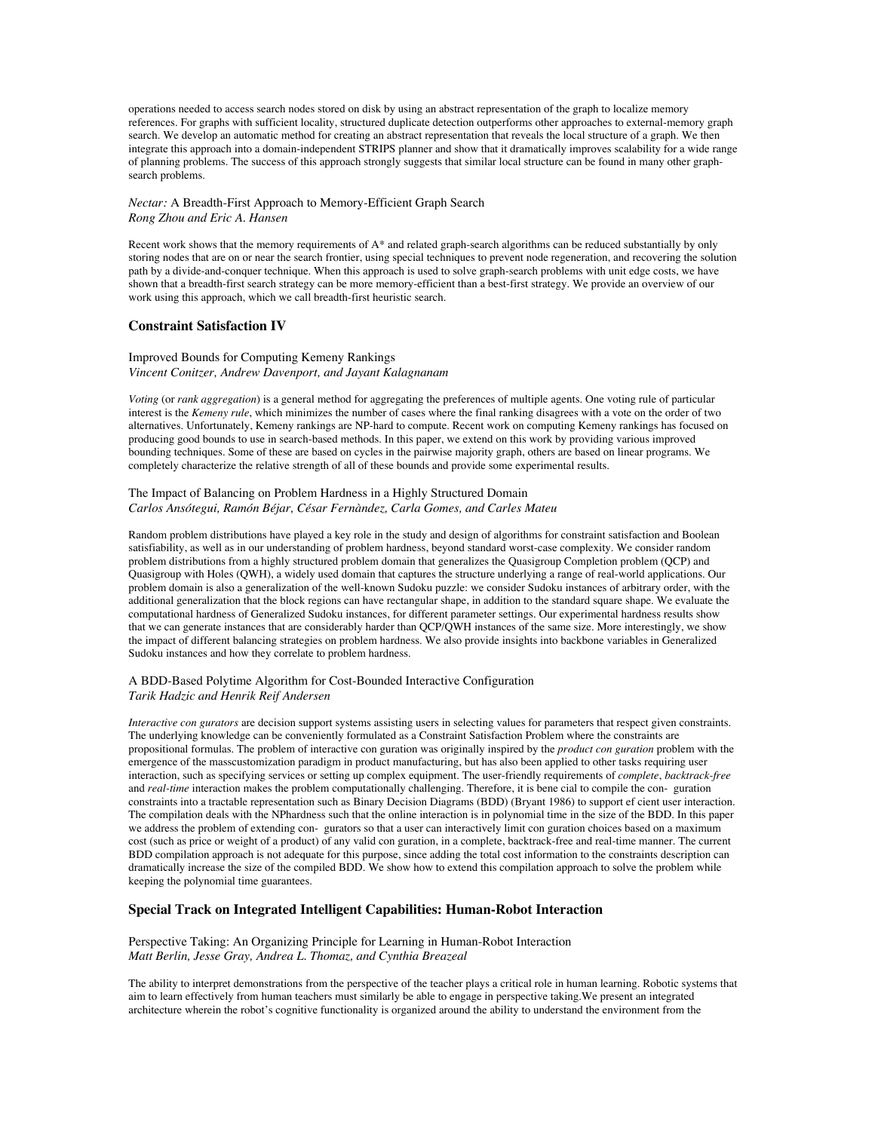operations needed to access search nodes stored on disk by using an abstract representation of the graph to localize memory references. For graphs with sufficient locality, structured duplicate detection outperforms other approaches to external-memory graph search. We develop an automatic method for creating an abstract representation that reveals the local structure of a graph. We then integrate this approach into a domain-independent STRIPS planner and show that it dramatically improves scalability for a wide range of planning problems. The success of this approach strongly suggests that similar local structure can be found in many other graphsearch problems.

### *Nectar:* A Breadth-First Approach to Memory-Efficient Graph Search *Rong Zhou and Eric A. Hansen*

Recent work shows that the memory requirements of A\* and related graph-search algorithms can be reduced substantially by only storing nodes that are on or near the search frontier, using special techniques to prevent node regeneration, and recovering the solution path by a divide-and-conquer technique. When this approach is used to solve graph-search problems with unit edge costs, we have shown that a breadth-first search strategy can be more memory-efficient than a best-first strategy. We provide an overview of our work using this approach, which we call breadth-first heuristic search.

## **Constraint Satisfaction IV**

### Improved Bounds for Computing Kemeny Rankings *Vincent Conitzer, Andrew Davenport, and Jayant Kalagnanam*

*Voting* (or *rank aggregation*) is a general method for aggregating the preferences of multiple agents. One voting rule of particular interest is the *Kemeny rule*, which minimizes the number of cases where the final ranking disagrees with a vote on the order of two alternatives. Unfortunately, Kemeny rankings are NP-hard to compute. Recent work on computing Kemeny rankings has focused on producing good bounds to use in search-based methods. In this paper, we extend on this work by providing various improved bounding techniques. Some of these are based on cycles in the pairwise majority graph, others are based on linear programs. We completely characterize the relative strength of all of these bounds and provide some experimental results.

### The Impact of Balancing on Problem Hardness in a Highly Structured Domain *Carlos Ansótegui, Ramón Béjar, César Fernàndez, Carla Gomes, and Carles Mateu*

Random problem distributions have played a key role in the study and design of algorithms for constraint satisfaction and Boolean satisfiability, as well as in our understanding of problem hardness, beyond standard worst-case complexity. We consider random problem distributions from a highly structured problem domain that generalizes the Quasigroup Completion problem (QCP) and Quasigroup with Holes (QWH), a widely used domain that captures the structure underlying a range of real-world applications. Our problem domain is also a generalization of the well-known Sudoku puzzle: we consider Sudoku instances of arbitrary order, with the additional generalization that the block regions can have rectangular shape, in addition to the standard square shape. We evaluate the computational hardness of Generalized Sudoku instances, for different parameter settings. Our experimental hardness results show that we can generate instances that are considerably harder than QCP/QWH instances of the same size. More interestingly, we show the impact of different balancing strategies on problem hardness. We also provide insights into backbone variables in Generalized Sudoku instances and how they correlate to problem hardness.

#### A BDD-Based Polytime Algorithm for Cost-Bounded Interactive Configuration *Tarik Hadzic and Henrik Reif Andersen*

*Interactive con gurators* are decision support systems assisting users in selecting values for parameters that respect given constraints. The underlying knowledge can be conveniently formulated as a Constraint Satisfaction Problem where the constraints are propositional formulas. The problem of interactive con guration was originally inspired by the *product con guration* problem with the emergence of the masscustomization paradigm in product manufacturing, but has also been applied to other tasks requiring user interaction, such as specifying services or setting up complex equipment. The user-friendly requirements of *complete*, *backtrack-free* and *real-time* interaction makes the problem computationally challenging. Therefore, it is bene cial to compile the con- guration constraints into a tractable representation such as Binary Decision Diagrams (BDD) (Bryant 1986) to support ef cient user interaction. The compilation deals with the NPhardness such that the online interaction is in polynomial time in the size of the BDD. In this paper we address the problem of extending con- gurators so that a user can interactively limit con guration choices based on a maximum cost (such as price or weight of a product) of any valid con guration, in a complete, backtrack-free and real-time manner. The current BDD compilation approach is not adequate for this purpose, since adding the total cost information to the constraints description can dramatically increase the size of the compiled BDD. We show how to extend this compilation approach to solve the problem while keeping the polynomial time guarantees.

## **Special Track on Integrated Intelligent Capabilities: Human-Robot Interaction**

#### Perspective Taking: An Organizing Principle for Learning in Human-Robot Interaction *Matt Berlin, Jesse Gray, Andrea L. Thomaz, and Cynthia Breazeal*

The ability to interpret demonstrations from the perspective of the teacher plays a critical role in human learning. Robotic systems that aim to learn effectively from human teachers must similarly be able to engage in perspective taking.We present an integrated architecture wherein the robot's cognitive functionality is organized around the ability to understand the environment from the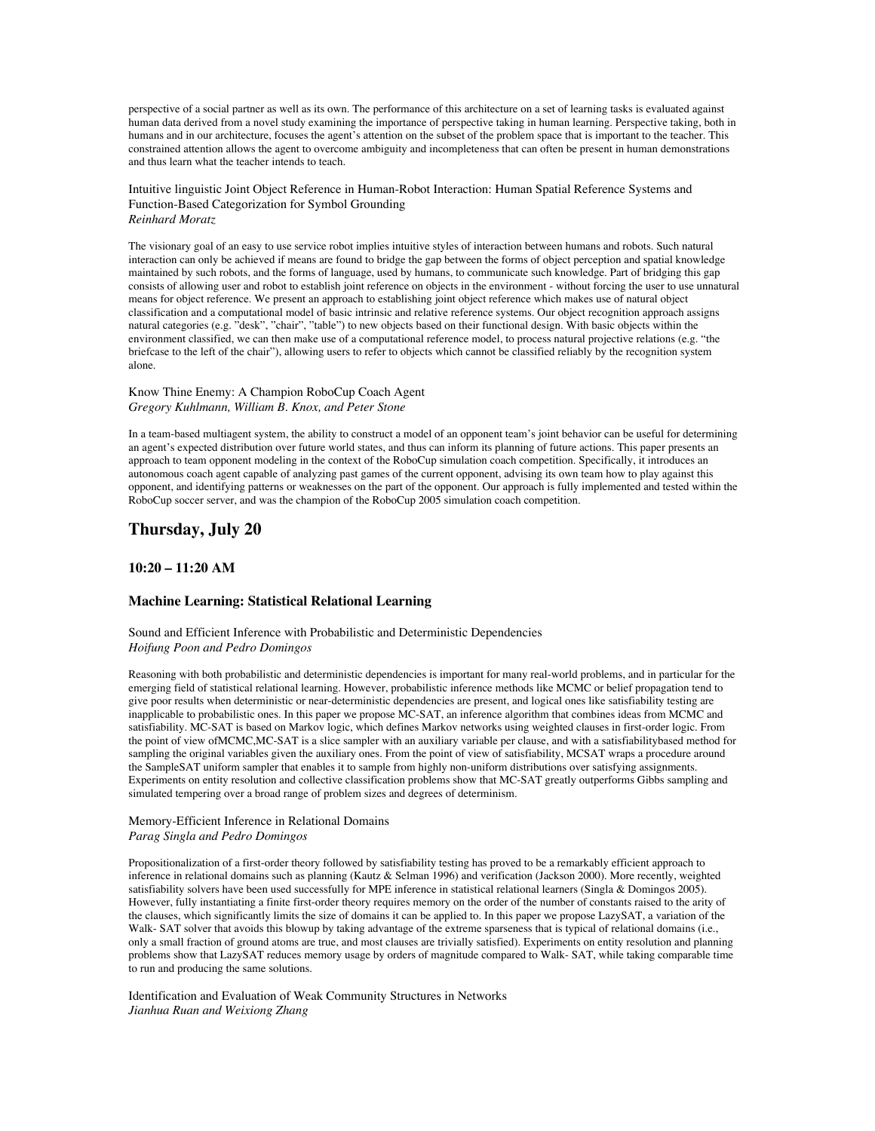perspective of a social partner as well as its own. The performance of this architecture on a set of learning tasks is evaluated against human data derived from a novel study examining the importance of perspective taking in human learning. Perspective taking, both in humans and in our architecture, focuses the agent's attention on the subset of the problem space that is important to the teacher. This constrained attention allows the agent to overcome ambiguity and incompleteness that can often be present in human demonstrations and thus learn what the teacher intends to teach.

Intuitive linguistic Joint Object Reference in Human-Robot Interaction: Human Spatial Reference Systems and Function-Based Categorization for Symbol Grounding *Reinhard Moratz*

The visionary goal of an easy to use service robot implies intuitive styles of interaction between humans and robots. Such natural interaction can only be achieved if means are found to bridge the gap between the forms of object perception and spatial knowledge maintained by such robots, and the forms of language, used by humans, to communicate such knowledge. Part of bridging this gap consists of allowing user and robot to establish joint reference on objects in the environment - without forcing the user to use unnatural means for object reference. We present an approach to establishing joint object reference which makes use of natural object classification and a computational model of basic intrinsic and relative reference systems. Our object recognition approach assigns natural categories (e.g. "desk", "chair", "table") to new objects based on their functional design. With basic objects within the environment classified, we can then make use of a computational reference model, to process natural projective relations (e.g. "the briefcase to the left of the chair"), allowing users to refer to objects which cannot be classified reliably by the recognition system alone.

## Know Thine Enemy: A Champion RoboCup Coach Agent *Gregory Kuhlmann, William B. Knox, and Peter Stone*

In a team-based multiagent system, the ability to construct a model of an opponent team's joint behavior can be useful for determining an agent's expected distribution over future world states, and thus can inform its planning of future actions. This paper presents an approach to team opponent modeling in the context of the RoboCup simulation coach competition. Specifically, it introduces an autonomous coach agent capable of analyzing past games of the current opponent, advising its own team how to play against this opponent, and identifying patterns or weaknesses on the part of the opponent. Our approach is fully implemented and tested within the RoboCup soccer server, and was the champion of the RoboCup 2005 simulation coach competition.

# **Thursday, July 20**

## **10:20 – 11:20 AM**

## **Machine Learning: Statistical Relational Learning**

#### Sound and Efficient Inference with Probabilistic and Deterministic Dependencies *Hoifung Poon and Pedro Domingos*

Reasoning with both probabilistic and deterministic dependencies is important for many real-world problems, and in particular for the emerging field of statistical relational learning. However, probabilistic inference methods like MCMC or belief propagation tend to give poor results when deterministic or near-deterministic dependencies are present, and logical ones like satisfiability testing are inapplicable to probabilistic ones. In this paper we propose MC-SAT, an inference algorithm that combines ideas from MCMC and satisfiability. MC-SAT is based on Markov logic, which defines Markov networks using weighted clauses in first-order logic. From the point of view ofMCMC,MC-SAT is a slice sampler with an auxiliary variable per clause, and with a satisfiabilitybased method for sampling the original variables given the auxiliary ones. From the point of view of satisfiability, MCSAT wraps a procedure around the SampleSAT uniform sampler that enables it to sample from highly non-uniform distributions over satisfying assignments. Experiments on entity resolution and collective classification problems show that MC-SAT greatly outperforms Gibbs sampling and simulated tempering over a broad range of problem sizes and degrees of determinism.

#### Memory-Efficient Inference in Relational Domains *Parag Singla and Pedro Domingos*

Propositionalization of a first-order theory followed by satisfiability testing has proved to be a remarkably efficient approach to inference in relational domains such as planning (Kautz & Selman 1996) and verification (Jackson 2000). More recently, weighted satisfiability solvers have been used successfully for MPE inference in statistical relational learners (Singla & Domingos 2005). However, fully instantiating a finite first-order theory requires memory on the order of the number of constants raised to the arity of the clauses, which significantly limits the size of domains it can be applied to. In this paper we propose LazySAT, a variation of the Walk- SAT solver that avoids this blowup by taking advantage of the extreme sparseness that is typical of relational domains (i.e., only a small fraction of ground atoms are true, and most clauses are trivially satisfied). Experiments on entity resolution and planning problems show that LazySAT reduces memory usage by orders of magnitude compared to Walk- SAT, while taking comparable time to run and producing the same solutions.

Identification and Evaluation of Weak Community Structures in Networks *Jianhua Ruan and Weixiong Zhang*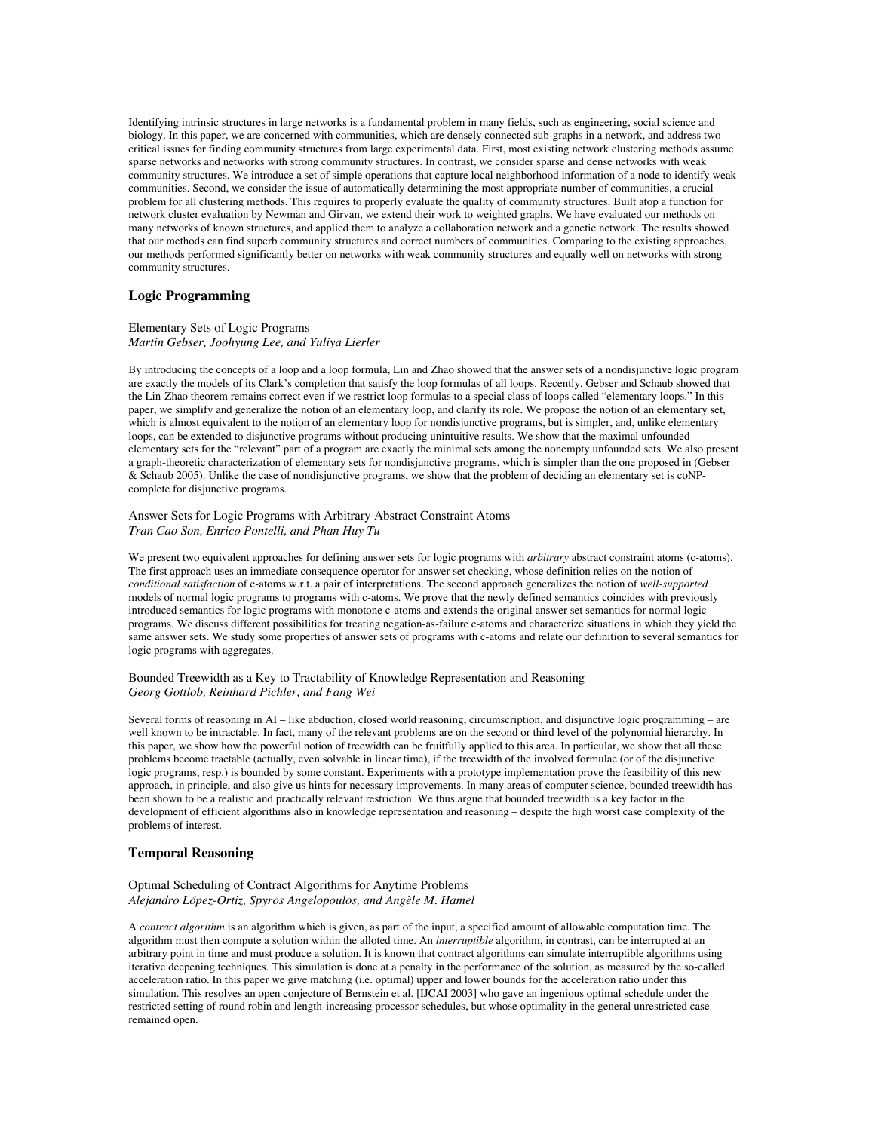Identifying intrinsic structures in large networks is a fundamental problem in many fields, such as engineering, social science and biology. In this paper, we are concerned with communities, which are densely connected sub-graphs in a network, and address two critical issues for finding community structures from large experimental data. First, most existing network clustering methods assume sparse networks and networks with strong community structures. In contrast, we consider sparse and dense networks with weak community structures. We introduce a set of simple operations that capture local neighborhood information of a node to identify weak communities. Second, we consider the issue of automatically determining the most appropriate number of communities, a crucial problem for all clustering methods. This requires to properly evaluate the quality of community structures. Built atop a function for network cluster evaluation by Newman and Girvan, we extend their work to weighted graphs. We have evaluated our methods on many networks of known structures, and applied them to analyze a collaboration network and a genetic network. The results showed that our methods can find superb community structures and correct numbers of communities. Comparing to the existing approaches, our methods performed significantly better on networks with weak community structures and equally well on networks with strong community structures.

## **Logic Programming**

### Elementary Sets of Logic Programs *Martin Gebser, Joohyung Lee, and Yuliya Lierler*

By introducing the concepts of a loop and a loop formula, Lin and Zhao showed that the answer sets of a nondisjunctive logic program are exactly the models of its Clark's completion that satisfy the loop formulas of all loops. Recently, Gebser and Schaub showed that the Lin-Zhao theorem remains correct even if we restrict loop formulas to a special class of loops called "elementary loops." In this paper, we simplify and generalize the notion of an elementary loop, and clarify its role. We propose the notion of an elementary set, which is almost equivalent to the notion of an elementary loop for nondisjunctive programs, but is simpler, and, unlike elementary loops, can be extended to disjunctive programs without producing unintuitive results. We show that the maximal unfounded elementary sets for the "relevant" part of a program are exactly the minimal sets among the nonempty unfounded sets. We also present a graph-theoretic characterization of elementary sets for nondisjunctive programs, which is simpler than the one proposed in (Gebser & Schaub 2005). Unlike the case of nondisjunctive programs, we show that the problem of deciding an elementary set is coNPcomplete for disjunctive programs.

## Answer Sets for Logic Programs with Arbitrary Abstract Constraint Atoms *Tran Cao Son, Enrico Pontelli, and Phan Huy Tu*

We present two equivalent approaches for defining answer sets for logic programs with *arbitrary* abstract constraint atoms (c-atoms). The first approach uses an immediate consequence operator for answer set checking, whose definition relies on the notion of *conditional satisfaction* of c-atoms w.r.t. a pair of interpretations. The second approach generalizes the notion of *well-supported* models of normal logic programs to programs with c-atoms. We prove that the newly defined semantics coincides with previously introduced semantics for logic programs with monotone c-atoms and extends the original answer set semantics for normal logic programs. We discuss different possibilities for treating negation-as-failure c-atoms and characterize situations in which they yield the same answer sets. We study some properties of answer sets of programs with c-atoms and relate our definition to several semantics for logic programs with aggregates.

### Bounded Treewidth as a Key to Tractability of Knowledge Representation and Reasoning *Georg Gottlob, Reinhard Pichler, and Fang Wei*

Several forms of reasoning in AI – like abduction, closed world reasoning, circumscription, and disjunctive logic programming – are well known to be intractable. In fact, many of the relevant problems are on the second or third level of the polynomial hierarchy. In this paper, we show how the powerful notion of treewidth can be fruitfully applied to this area. In particular, we show that all these problems become tractable (actually, even solvable in linear time), if the treewidth of the involved formulae (or of the disjunctive logic programs, resp.) is bounded by some constant. Experiments with a prototype implementation prove the feasibility of this new approach, in principle, and also give us hints for necessary improvements. In many areas of computer science, bounded treewidth has been shown to be a realistic and practically relevant restriction. We thus argue that bounded treewidth is a key factor in the development of efficient algorithms also in knowledge representation and reasoning – despite the high worst case complexity of the problems of interest.

### **Temporal Reasoning**

### Optimal Scheduling of Contract Algorithms for Anytime Problems *Alejandro López-Ortiz, Spyros Angelopoulos, and Angèle M. Hamel*

A *contract algorithm* is an algorithm which is given, as part of the input, a specified amount of allowable computation time. The algorithm must then compute a solution within the alloted time. An *interruptible* algorithm, in contrast, can be interrupted at an arbitrary point in time and must produce a solution. It is known that contract algorithms can simulate interruptible algorithms using iterative deepening techniques. This simulation is done at a penalty in the performance of the solution, as measured by the so-called acceleration ratio. In this paper we give matching (i.e. optimal) upper and lower bounds for the acceleration ratio under this simulation. This resolves an open conjecture of Bernstein et al. [IJCAI 2003] who gave an ingenious optimal schedule under the restricted setting of round robin and length-increasing processor schedules, but whose optimality in the general unrestricted case remained open.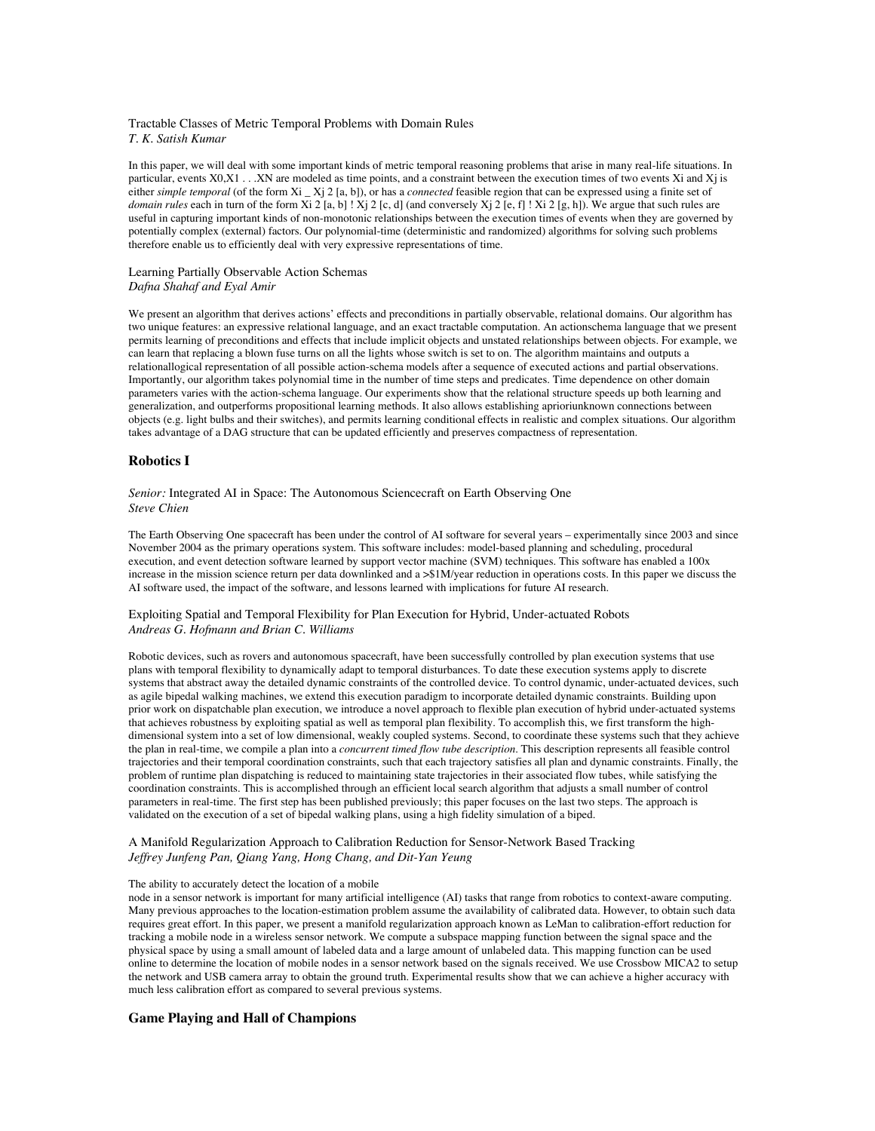Tractable Classes of Metric Temporal Problems with Domain Rules *T. K. Satish Kumar*

In this paper, we will deal with some important kinds of metric temporal reasoning problems that arise in many real-life situations. In particular, events  $X0, X1$ .  $\ldots$  XN are modeled as time points, and a constraint between the execution times of two events Xi and X<sub>i</sub> is either *simple temporal* (of the form Xi \_ Xj 2 [a, b]), or has a *connected* feasible region that can be expressed using a finite set of *domain rules* each in turn of the form Xi 2 [a, b] ! Xj 2 [c, d] (and conversely Xj 2 [e, f] ! Xi 2 [g, h]). We argue that such rules are useful in capturing important kinds of non-monotonic relationships between the execution times of events when they are governed by potentially complex (external) factors. Our polynomial-time (deterministic and randomized) algorithms for solving such problems therefore enable us to efficiently deal with very expressive representations of time.

## Learning Partially Observable Action Schemas *Dafna Shahaf and Eyal Amir*

We present an algorithm that derives actions' effects and preconditions in partially observable, relational domains. Our algorithm has two unique features: an expressive relational language, and an exact tractable computation. An actionschema language that we present permits learning of preconditions and effects that include implicit objects and unstated relationships between objects. For example, we can learn that replacing a blown fuse turns on all the lights whose switch is set to on. The algorithm maintains and outputs a relationallogical representation of all possible action-schema models after a sequence of executed actions and partial observations. Importantly, our algorithm takes polynomial time in the number of time steps and predicates. Time dependence on other domain parameters varies with the action-schema language. Our experiments show that the relational structure speeds up both learning and generalization, and outperforms propositional learning methods. It also allows establishing aprioriunknown connections between objects (e.g. light bulbs and their switches), and permits learning conditional effects in realistic and complex situations. Our algorithm takes advantage of a DAG structure that can be updated efficiently and preserves compactness of representation.

## **Robotics I**

*Senior:* Integrated AI in Space: The Autonomous Sciencecraft on Earth Observing One *Steve Chien*

The Earth Observing One spacecraft has been under the control of AI software for several years – experimentally since 2003 and since November 2004 as the primary operations system. This software includes: model-based planning and scheduling, procedural execution, and event detection software learned by support vector machine (SVM) techniques. This software has enabled a 100x increase in the mission science return per data downlinked and a >\$1M/year reduction in operations costs. In this paper we discuss the AI software used, the impact of the software, and lessons learned with implications for future AI research.

Exploiting Spatial and Temporal Flexibility for Plan Execution for Hybrid, Under-actuated Robots *Andreas G. Hofmann and Brian C. Williams*

Robotic devices, such as rovers and autonomous spacecraft, have been successfully controlled by plan execution systems that use plans with temporal flexibility to dynamically adapt to temporal disturbances. To date these execution systems apply to discrete systems that abstract away the detailed dynamic constraints of the controlled device. To control dynamic, under-actuated devices, such as agile bipedal walking machines, we extend this execution paradigm to incorporate detailed dynamic constraints. Building upon prior work on dispatchable plan execution, we introduce a novel approach to flexible plan execution of hybrid under-actuated systems that achieves robustness by exploiting spatial as well as temporal plan flexibility. To accomplish this, we first transform the highdimensional system into a set of low dimensional, weakly coupled systems. Second, to coordinate these systems such that they achieve the plan in real-time, we compile a plan into a *concurrent timed flow tube description.* This description represents all feasible control trajectories and their temporal coordination constraints, such that each trajectory satisfies all plan and dynamic constraints. Finally, the problem of runtime plan dispatching is reduced to maintaining state trajectories in their associated flow tubes, while satisfying the coordination constraints. This is accomplished through an efficient local search algorithm that adjusts a small number of control parameters in real-time. The first step has been published previously; this paper focuses on the last two steps. The approach is validated on the execution of a set of bipedal walking plans, using a high fidelity simulation of a biped.

## A Manifold Regularization Approach to Calibration Reduction for Sensor-Network Based Tracking *Jeffrey Junfeng Pan, Qiang Yang, Hong Chang, and Dit-Yan Yeung*

#### The ability to accurately detect the location of a mobile

node in a sensor network is important for many artificial intelligence (AI) tasks that range from robotics to context-aware computing. Many previous approaches to the location-estimation problem assume the availability of calibrated data. However, to obtain such data requires great effort. In this paper, we present a manifold regularization approach known as LeMan to calibration-effort reduction for tracking a mobile node in a wireless sensor network. We compute a subspace mapping function between the signal space and the physical space by using a small amount of labeled data and a large amount of unlabeled data. This mapping function can be used online to determine the location of mobile nodes in a sensor network based on the signals received. We use Crossbow MICA2 to setup the network and USB camera array to obtain the ground truth. Experimental results show that we can achieve a higher accuracy with much less calibration effort as compared to several previous systems.

#### **Game Playing and Hall of Champions**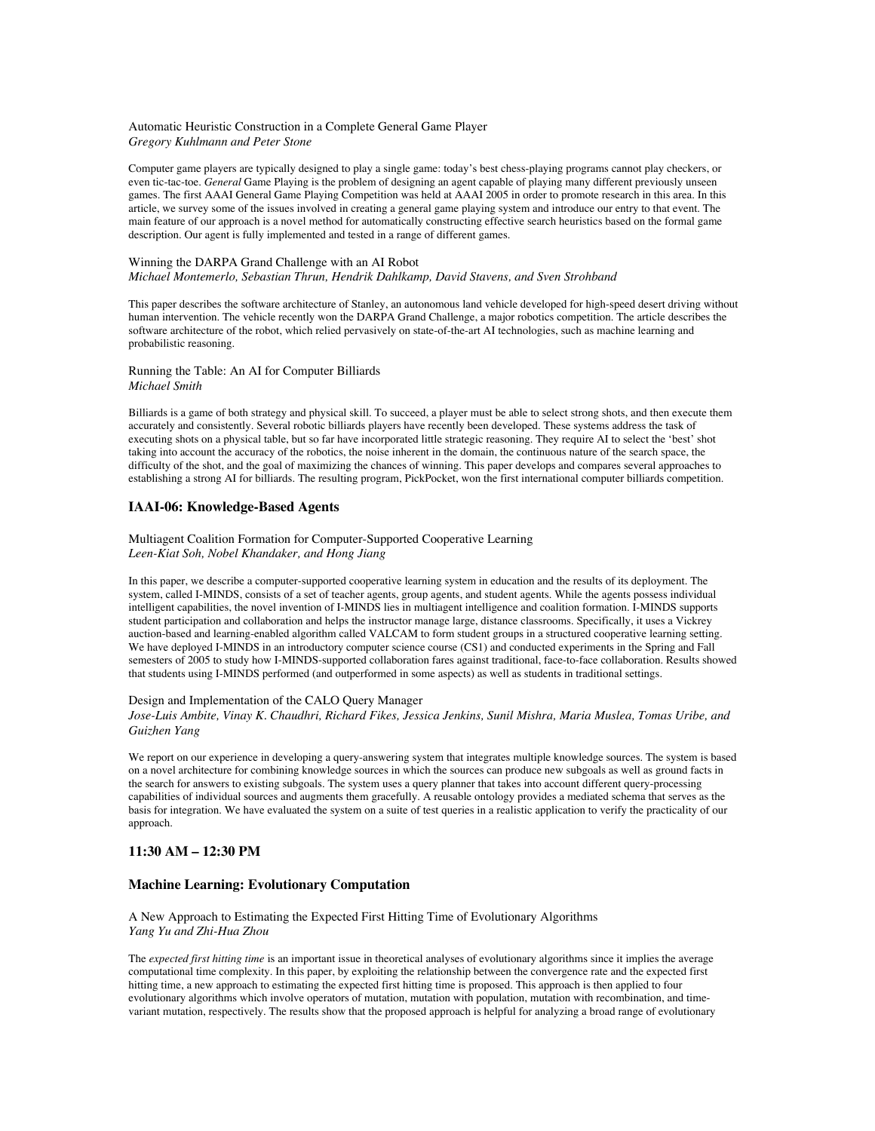### Automatic Heuristic Construction in a Complete General Game Player *Gregory Kuhlmann and Peter Stone*

Computer game players are typically designed to play a single game: today's best chess-playing programs cannot play checkers, or even tic-tac-toe. *General* Game Playing is the problem of designing an agent capable of playing many different previously unseen games. The first AAAI General Game Playing Competition was held at AAAI 2005 in order to promote research in this area. In this article, we survey some of the issues involved in creating a general game playing system and introduce our entry to that event. The main feature of our approach is a novel method for automatically constructing effective search heuristics based on the formal game description. Our agent is fully implemented and tested in a range of different games.

#### Winning the DARPA Grand Challenge with an AI Robot *Michael Montemerlo, Sebastian Thrun, Hendrik Dahlkamp, David Stavens, and Sven Strohband*

This paper describes the software architecture of Stanley, an autonomous land vehicle developed for high-speed desert driving without human intervention. The vehicle recently won the DARPA Grand Challenge, a major robotics competition. The article describes the software architecture of the robot, which relied pervasively on state-of-the-art AI technologies, such as machine learning and probabilistic reasoning.

## Running the Table: An AI for Computer Billiards *Michael Smith*

Billiards is a game of both strategy and physical skill. To succeed, a player must be able to select strong shots, and then execute them accurately and consistently. Several robotic billiards players have recently been developed. These systems address the task of executing shots on a physical table, but so far have incorporated little strategic reasoning. They require AI to select the 'best' shot taking into account the accuracy of the robotics, the noise inherent in the domain, the continuous nature of the search space, the difficulty of the shot, and the goal of maximizing the chances of winning. This paper develops and compares several approaches to establishing a strong AI for billiards. The resulting program, PickPocket, won the first international computer billiards competition.

# **IAAI-06: Knowledge-Based Agents**

Multiagent Coalition Formation for Computer-Supported Cooperative Learning *Leen-Kiat Soh, Nobel Khandaker, and Hong Jiang*

In this paper, we describe a computer-supported cooperative learning system in education and the results of its deployment. The system, called I-MINDS, consists of a set of teacher agents, group agents, and student agents. While the agents possess individual intelligent capabilities, the novel invention of I-MINDS lies in multiagent intelligence and coalition formation. I-MINDS supports student participation and collaboration and helps the instructor manage large, distance classrooms. Specifically, it uses a Vickrey auction-based and learning-enabled algorithm called VALCAM to form student groups in a structured cooperative learning setting. We have deployed I-MINDS in an introductory computer science course (CS1) and conducted experiments in the Spring and Fall semesters of 2005 to study how I-MINDS-supported collaboration fares against traditional, face-to-face collaboration. Results showed that students using I-MINDS performed (and outperformed in some aspects) as well as students in traditional settings.

## Design and Implementation of the CALO Query Manager

*Jose-Luis Ambite, Vinay K. Chaudhri, Richard Fikes, Jessica Jenkins, Sunil Mishra, Maria Muslea, Tomas Uribe, and Guizhen Yang*

We report on our experience in developing a query-answering system that integrates multiple knowledge sources. The system is based on a novel architecture for combining knowledge sources in which the sources can produce new subgoals as well as ground facts in the search for answers to existing subgoals. The system uses a query planner that takes into account different query-processing capabilities of individual sources and augments them gracefully. A reusable ontology provides a mediated schema that serves as the basis for integration. We have evaluated the system on a suite of test queries in a realistic application to verify the practicality of our approach.

## **11:30 AM – 12:30 PM**

## **Machine Learning: Evolutionary Computation**

A New Approach to Estimating the Expected First Hitting Time of Evolutionary Algorithms *Yang Yu and Zhi-Hua Zhou*

The *expected first hitting time* is an important issue in theoretical analyses of evolutionary algorithms since it implies the average computational time complexity. In this paper, by exploiting the relationship between the convergence rate and the expected first hitting time, a new approach to estimating the expected first hitting time is proposed. This approach is then applied to four evolutionary algorithms which involve operators of mutation, mutation with population, mutation with recombination, and timevariant mutation, respectively. The results show that the proposed approach is helpful for analyzing a broad range of evolutionary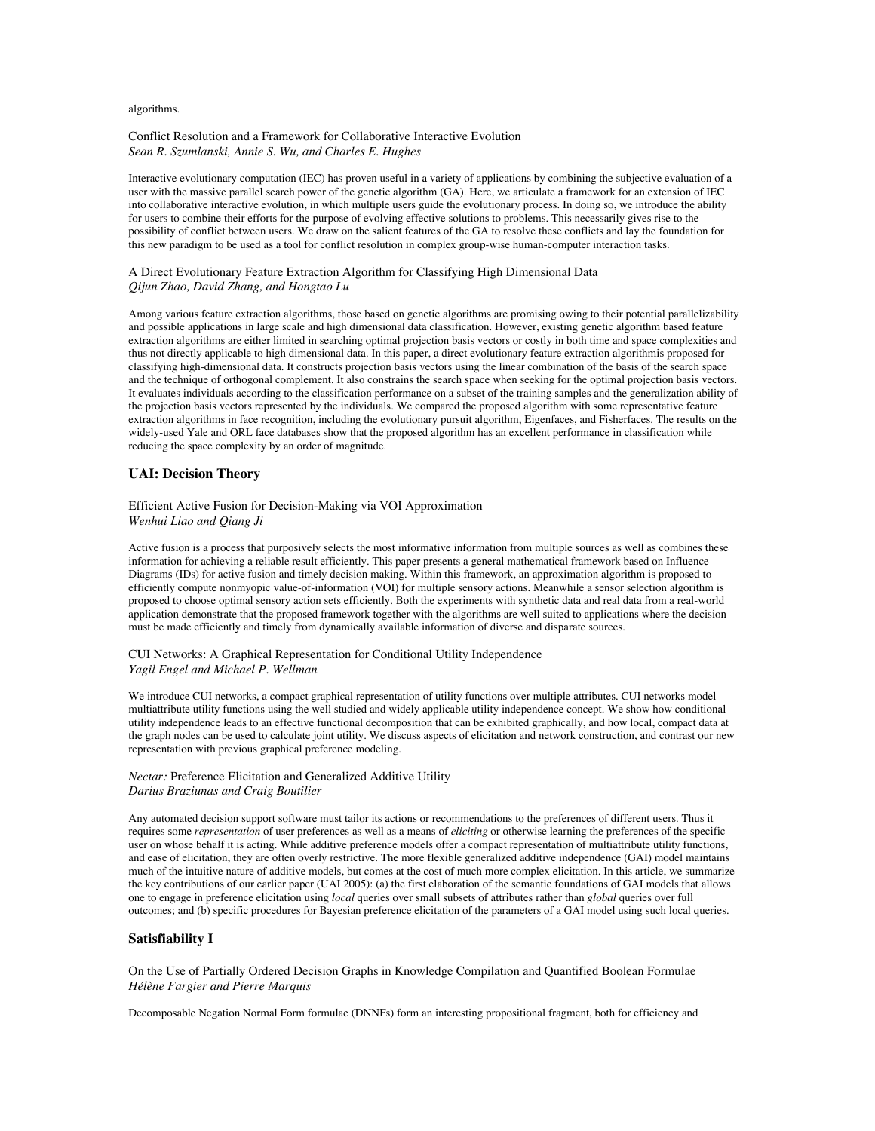#### algorithms.

#### Conflict Resolution and a Framework for Collaborative Interactive Evolution *Sean R. Szumlanski, Annie S. Wu, and Charles E. Hughes*

Interactive evolutionary computation (IEC) has proven useful in a variety of applications by combining the subjective evaluation of a user with the massive parallel search power of the genetic algorithm (GA). Here, we articulate a framework for an extension of IEC into collaborative interactive evolution, in which multiple users guide the evolutionary process. In doing so, we introduce the ability for users to combine their efforts for the purpose of evolving effective solutions to problems. This necessarily gives rise to the possibility of conflict between users. We draw on the salient features of the GA to resolve these conflicts and lay the foundation for this new paradigm to be used as a tool for conflict resolution in complex group-wise human-computer interaction tasks.

## A Direct Evolutionary Feature Extraction Algorithm for Classifying High Dimensional Data *Qijun Zhao, David Zhang, and Hongtao Lu*

Among various feature extraction algorithms, those based on genetic algorithms are promising owing to their potential parallelizability and possible applications in large scale and high dimensional data classification. However, existing genetic algorithm based feature extraction algorithms are either limited in searching optimal projection basis vectors or costly in both time and space complexities and thus not directly applicable to high dimensional data. In this paper, a direct evolutionary feature extraction algorithmis proposed for classifying high-dimensional data. It constructs projection basis vectors using the linear combination of the basis of the search space and the technique of orthogonal complement. It also constrains the search space when seeking for the optimal projection basis vectors. It evaluates individuals according to the classification performance on a subset of the training samples and the generalization ability of the projection basis vectors represented by the individuals. We compared the proposed algorithm with some representative feature extraction algorithms in face recognition, including the evolutionary pursuit algorithm, Eigenfaces, and Fisherfaces. The results on the widely-used Yale and ORL face databases show that the proposed algorithm has an excellent performance in classification while reducing the space complexity by an order of magnitude.

### **UAI: Decision Theory**

### Efficient Active Fusion for Decision-Making via VOI Approximation *Wenhui Liao and Qiang Ji*

Active fusion is a process that purposively selects the most informative information from multiple sources as well as combines these information for achieving a reliable result efficiently. This paper presents a general mathematical framework based on Influence Diagrams (IDs) for active fusion and timely decision making. Within this framework, an approximation algorithm is proposed to efficiently compute nonmyopic value-of-information (VOI) for multiple sensory actions. Meanwhile a sensor selection algorithm is proposed to choose optimal sensory action sets efficiently. Both the experiments with synthetic data and real data from a real-world application demonstrate that the proposed framework together with the algorithms are well suited to applications where the decision must be made efficiently and timely from dynamically available information of diverse and disparate sources.

#### CUI Networks: A Graphical Representation for Conditional Utility Independence *Yagil Engel and Michael P. Wellman*

We introduce CUI networks, a compact graphical representation of utility functions over multiple attributes. CUI networks model multiattribute utility functions using the well studied and widely applicable utility independence concept. We show how conditional utility independence leads to an effective functional decomposition that can be exhibited graphically, and how local, compact data at the graph nodes can be used to calculate joint utility. We discuss aspects of elicitation and network construction, and contrast our new representation with previous graphical preference modeling.

## *Nectar:* Preference Elicitation and Generalized Additive Utility *Darius Braziunas and Craig Boutilier*

Any automated decision support software must tailor its actions or recommendations to the preferences of different users. Thus it requires some *representation* of user preferences as well as a means of *eliciting* or otherwise learning the preferences of the specific user on whose behalf it is acting. While additive preference models offer a compact representation of multiattribute utility functions, and ease of elicitation, they are often overly restrictive. The more flexible generalized additive independence (GAI) model maintains much of the intuitive nature of additive models, but comes at the cost of much more complex elicitation. In this article, we summarize the key contributions of our earlier paper (UAI 2005): (a) the first elaboration of the semantic foundations of GAI models that allows one to engage in preference elicitation using *local* queries over small subsets of attributes rather than *global* queries over full outcomes; and (b) specific procedures for Bayesian preference elicitation of the parameters of a GAI model using such local queries.

## **Satisfiability I**

On the Use of Partially Ordered Decision Graphs in Knowledge Compilation and Quantified Boolean Formulae *Hélène Fargier and Pierre Marquis*

Decomposable Negation Normal Form formulae (DNNFs) form an interesting propositional fragment, both for efficiency and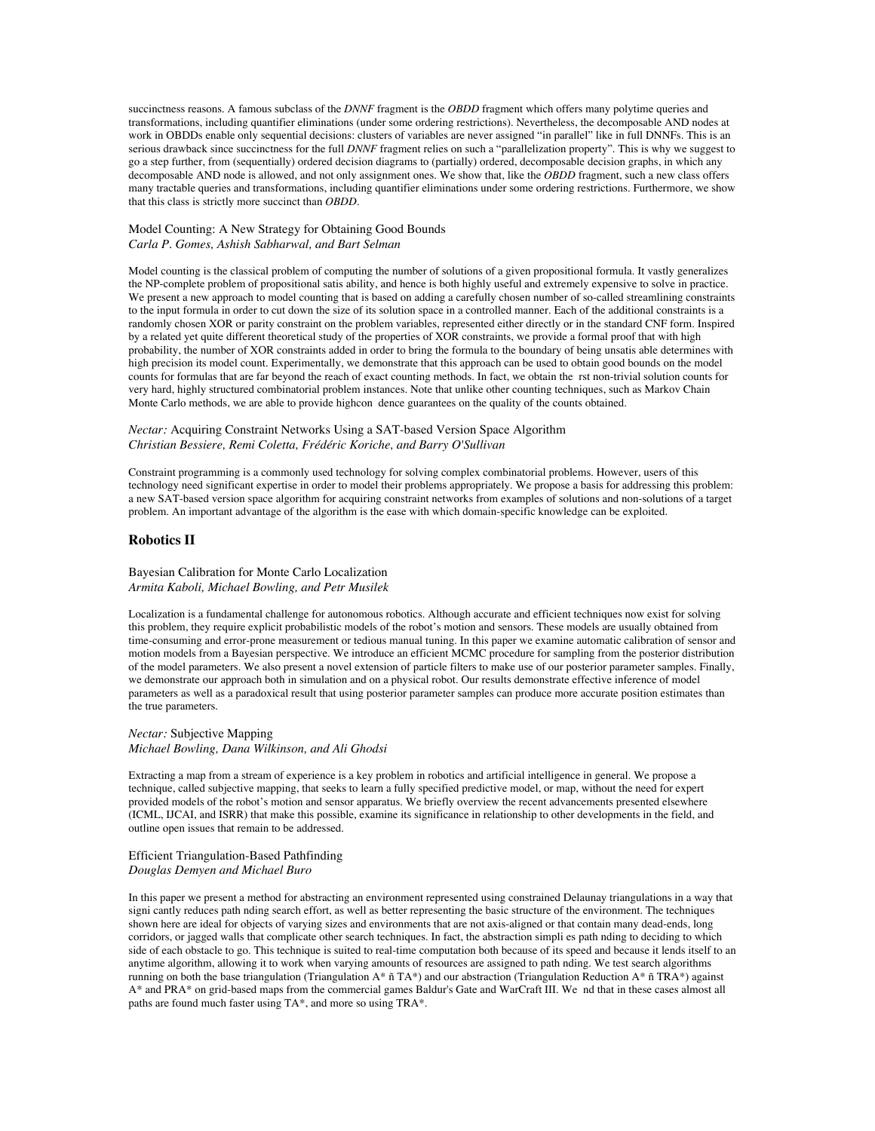succinctness reasons. A famous subclass of the *DNNF* fragment is the *OBDD* fragment which offers many polytime queries and transformations, including quantifier eliminations (under some ordering restrictions). Nevertheless, the decomposable AND nodes at work in OBDDs enable only sequential decisions: clusters of variables are never assigned "in parallel" like in full DNNFs. This is an serious drawback since succinctness for the full *DNNF* fragment relies on such a "parallelization property". This is why we suggest to go a step further, from (sequentially) ordered decision diagrams to (partially) ordered, decomposable decision graphs, in which any decomposable AND node is allowed, and not only assignment ones. We show that, like the *OBDD* fragment, such a new class offers many tractable queries and transformations, including quantifier eliminations under some ordering restrictions. Furthermore, we show that this class is strictly more succinct than *OBDD*.

Model Counting: A New Strategy for Obtaining Good Bounds *Carla P. Gomes, Ashish Sabharwal, and Bart Selman*

Model counting is the classical problem of computing the number of solutions of a given propositional formula. It vastly generalizes the NP-complete problem of propositional satis ability, and hence is both highly useful and extremely expensive to solve in practice. We present a new approach to model counting that is based on adding a carefully chosen number of so-called streamlining constraints to the input formula in order to cut down the size of its solution space in a controlled manner. Each of the additional constraints is a randomly chosen XOR or parity constraint on the problem variables, represented either directly or in the standard CNF form. Inspired by a related yet quite different theoretical study of the properties of XOR constraints, we provide a formal proof that with high probability, the number of XOR constraints added in order to bring the formula to the boundary of being unsatis able determines with high precision its model count. Experimentally, we demonstrate that this approach can be used to obtain good bounds on the model counts for formulas that are far beyond the reach of exact counting methods. In fact, we obtain the rst non-trivial solution counts for very hard, highly structured combinatorial problem instances. Note that unlike other counting techniques, such as Markov Chain Monte Carlo methods, we are able to provide highcon dence guarantees on the quality of the counts obtained.

## *Nectar:* Acquiring Constraint Networks Using a SAT-based Version Space Algorithm *Christian Bessiere, Remi Coletta, Frédéric Koriche, and Barry O'Sullivan*

Constraint programming is a commonly used technology for solving complex combinatorial problems. However, users of this technology need significant expertise in order to model their problems appropriately. We propose a basis for addressing this problem: a new SAT-based version space algorithm for acquiring constraint networks from examples of solutions and non-solutions of a target problem. An important advantage of the algorithm is the ease with which domain-specific knowledge can be exploited.

## **Robotics II**

Bayesian Calibration for Monte Carlo Localization *Armita Kaboli, Michael Bowling, and Petr Musilek*

Localization is a fundamental challenge for autonomous robotics. Although accurate and efficient techniques now exist for solving this problem, they require explicit probabilistic models of the robot's motion and sensors. These models are usually obtained from time-consuming and error-prone measurement or tedious manual tuning. In this paper we examine automatic calibration of sensor and motion models from a Bayesian perspective. We introduce an efficient MCMC procedure for sampling from the posterior distribution of the model parameters. We also present a novel extension of particle filters to make use of our posterior parameter samples. Finally, we demonstrate our approach both in simulation and on a physical robot. Our results demonstrate effective inference of model parameters as well as a paradoxical result that using posterior parameter samples can produce more accurate position estimates than the true parameters.

*Nectar:* Subjective Mapping *Michael Bowling, Dana Wilkinson, and Ali Ghodsi*

Extracting a map from a stream of experience is a key problem in robotics and artificial intelligence in general. We propose a technique, called subjective mapping, that seeks to learn a fully specified predictive model, or map, without the need for expert provided models of the robot's motion and sensor apparatus. We briefly overview the recent advancements presented elsewhere (ICML, IJCAI, and ISRR) that make this possible, examine its significance in relationship to other developments in the field, and outline open issues that remain to be addressed.

Efficient Triangulation-Based Pathfinding *Douglas Demyen and Michael Buro*

In this paper we present a method for abstracting an environment represented using constrained Delaunay triangulations in a way that signi cantly reduces path nding search effort, as well as better representing the basic structure of the environment. The techniques shown here are ideal for objects of varying sizes and environments that are not axis-aligned or that contain many dead-ends, long corridors, or jagged walls that complicate other search techniques. In fact, the abstraction simpli es path nding to deciding to which side of each obstacle to go. This technique is suited to real-time computation both because of its speed and because it lends itself to an anytime algorithm, allowing it to work when varying amounts of resources are assigned to path nding. We test search algorithms running on both the base triangulation (Triangulation  $A^*$   $\tilde{n}$  T $A^*$ ) and our abstraction (Triangulation Reduction  $A^*$   $\tilde{n}$  TR $A^*$ ) against A\* and PRA\* on grid-based maps from the commercial games Baldur's Gate and WarCraft III. We nd that in these cases almost all paths are found much faster using TA\*, and more so using TRA\*.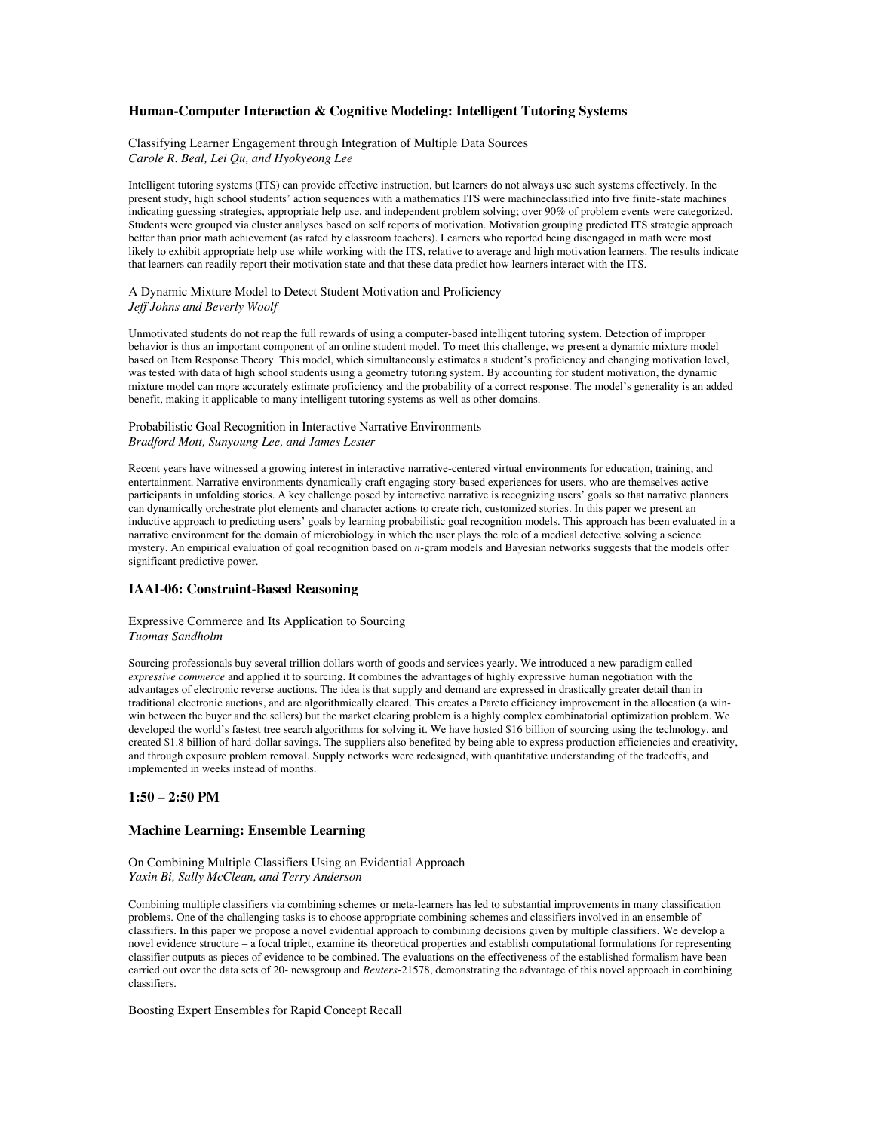## **Human-Computer Interaction & Cognitive Modeling: Intelligent Tutoring Systems**

## Classifying Learner Engagement through Integration of Multiple Data Sources *Carole R. Beal, Lei Qu, and Hyokyeong Lee*

Intelligent tutoring systems (ITS) can provide effective instruction, but learners do not always use such systems effectively. In the present study, high school students' action sequences with a mathematics ITS were machineclassified into five finite-state machines indicating guessing strategies, appropriate help use, and independent problem solving; over 90% of problem events were categorized. Students were grouped via cluster analyses based on self reports of motivation. Motivation grouping predicted ITS strategic approach better than prior math achievement (as rated by classroom teachers). Learners who reported being disengaged in math were most likely to exhibit appropriate help use while working with the ITS, relative to average and high motivation learners. The results indicate that learners can readily report their motivation state and that these data predict how learners interact with the ITS.

### A Dynamic Mixture Model to Detect Student Motivation and Proficiency *Jeff Johns and Beverly Woolf*

Unmotivated students do not reap the full rewards of using a computer-based intelligent tutoring system. Detection of improper behavior is thus an important component of an online student model. To meet this challenge, we present a dynamic mixture model based on Item Response Theory. This model, which simultaneously estimates a student's proficiency and changing motivation level, was tested with data of high school students using a geometry tutoring system. By accounting for student motivation, the dynamic mixture model can more accurately estimate proficiency and the probability of a correct response. The model's generality is an added benefit, making it applicable to many intelligent tutoring systems as well as other domains.

#### Probabilistic Goal Recognition in Interactive Narrative Environments *Bradford Mott, Sunyoung Lee, and James Lester*

Recent years have witnessed a growing interest in interactive narrative-centered virtual environments for education, training, and entertainment. Narrative environments dynamically craft engaging story-based experiences for users, who are themselves active participants in unfolding stories. A key challenge posed by interactive narrative is recognizing users' goals so that narrative planners can dynamically orchestrate plot elements and character actions to create rich, customized stories. In this paper we present an inductive approach to predicting users' goals by learning probabilistic goal recognition models. This approach has been evaluated in a narrative environment for the domain of microbiology in which the user plays the role of a medical detective solving a science mystery. An empirical evaluation of goal recognition based on *n*-gram models and Bayesian networks suggests that the models offer significant predictive power.

# **IAAI-06: Constraint-Based Reasoning**

### Expressive Commerce and Its Application to Sourcing *Tuomas Sandholm*

Sourcing professionals buy several trillion dollars worth of goods and services yearly. We introduced a new paradigm called *expressive commerce* and applied it to sourcing. It combines the advantages of highly expressive human negotiation with the advantages of electronic reverse auctions. The idea is that supply and demand are expressed in drastically greater detail than in traditional electronic auctions, and are algorithmically cleared. This creates a Pareto efficiency improvement in the allocation (a winwin between the buyer and the sellers) but the market clearing problem is a highly complex combinatorial optimization problem. We developed the world's fastest tree search algorithms for solving it. We have hosted \$16 billion of sourcing using the technology, and created \$1.8 billion of hard-dollar savings. The suppliers also benefited by being able to express production efficiencies and creativity, and through exposure problem removal. Supply networks were redesigned, with quantitative understanding of the tradeoffs, and implemented in weeks instead of months.

# **1:50 – 2:50 PM**

## **Machine Learning: Ensemble Learning**

On Combining Multiple Classifiers Using an Evidential Approach *Yaxin Bi, Sally McClean, and Terry Anderson*

Combining multiple classifiers via combining schemes or meta-learners has led to substantial improvements in many classification problems. One of the challenging tasks is to choose appropriate combining schemes and classifiers involved in an ensemble of classifiers. In this paper we propose a novel evidential approach to combining decisions given by multiple classifiers. We develop a novel evidence structure – a focal triplet, examine its theoretical properties and establish computational formulations for representing classifier outputs as pieces of evidence to be combined. The evaluations on the effectiveness of the established formalism have been carried out over the data sets of 20- newsgroup and *Reuters*-21578, demonstrating the advantage of this novel approach in combining classifiers.

Boosting Expert Ensembles for Rapid Concept Recall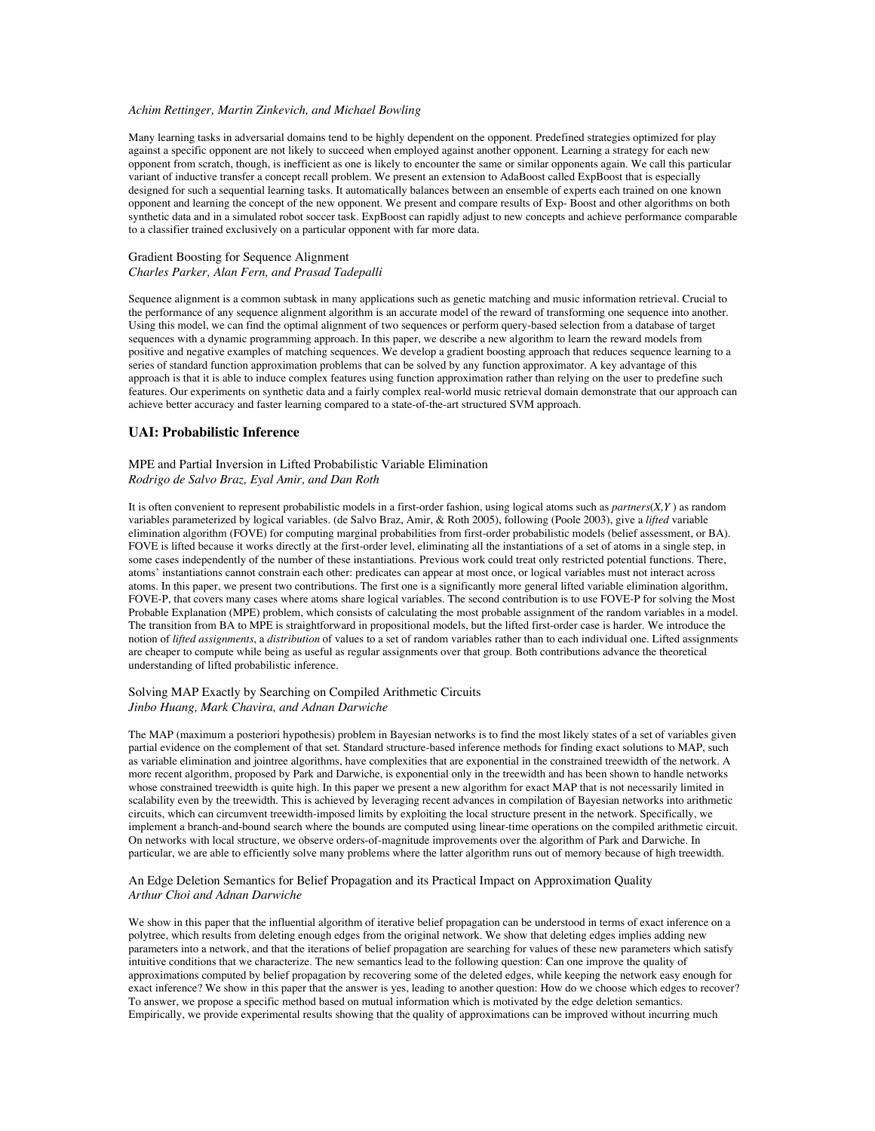#### *Achim Rettinger, Martin Zinkevich, and Michael Bowling*

Many learning tasks in adversarial domains tend to be highly dependent on the opponent. Predefined strategies optimized for play against a specific opponent are not likely to succeed when employed against another opponent. Learning a strategy for each new opponent from scratch, though, is inefficient as one is likely to encounter the same or similar opponents again. We call this particular variant of inductive transfer a concept recall problem. We present an extension to AdaBoost called ExpBoost that is especially designed for such a sequential learning tasks. It automatically balances between an ensemble of experts each trained on one known opponent and learning the concept of the new opponent. We present and compare results of Exp- Boost and other algorithms on both synthetic data and in a simulated robot soccer task. ExpBoost can rapidly adjust to new concepts and achieve performance comparable to a classifier trained exclusively on a particular opponent with far more data.

### Gradient Boosting for Sequence Alignment *Charles Parker, Alan Fern, and Prasad Tadepalli*

Sequence alignment is a common subtask in many applications such as genetic matching and music information retrieval. Crucial to the performance of any sequence alignment algorithm is an accurate model of the reward of transforming one sequence into another. Using this model, we can find the optimal alignment of two sequences or perform query-based selection from a database of target sequences with a dynamic programming approach. In this paper, we describe a new algorithm to learn the reward models from positive and negative examples of matching sequences. We develop a gradient boosting approach that reduces sequence learning to a series of standard function approximation problems that can be solved by any function approximator. A key advantage of this approach is that it is able to induce complex features using function approximation rather than relying on the user to predefine such features. Our experiments on synthetic data and a fairly complex real-world music retrieval domain demonstrate that our approach can achieve better accuracy and faster learning compared to a state-of-the-art structured SVM approach.

## **UAI: Probabilistic Inference**

## MPE and Partial Inversion in Lifted Probabilistic Variable Elimination *Rodrigo de Salvo Braz, Eyal Amir, and Dan Roth*

It is often convenient to represent probabilistic models in a first-order fashion, using logical atoms such as *partners*(*X,Y* ) as random variables parameterized by logical variables. (de Salvo Braz, Amir, & Roth 2005), following (Poole 2003), give a *lifted* variable elimination algorithm (FOVE) for computing marginal probabilities from first-order probabilistic models (belief assessment, or BA). FOVE is lifted because it works directly at the first-order level, eliminating all the instantiations of a set of atoms in a single step, in some cases independently of the number of these instantiations. Previous work could treat only restricted potential functions. There, atoms' instantiations cannot constrain each other: predicates can appear at most once, or logical variables must not interact across atoms. In this paper, we present two contributions. The first one is a significantly more general lifted variable elimination algorithm, FOVE-P, that covers many cases where atoms share logical variables. The second contribution is to use FOVE-P for solving the Most Probable Explanation (MPE) problem, which consists of calculating the most probable assignment of the random variables in a model. The transition from BA to MPE is straightforward in propositional models, but the lifted first-order case is harder. We introduce the notion of *lifted assignments*, a *distribution* of values to a set of random variables rather than to each individual one. Lifted assignments are cheaper to compute while being as useful as regular assignments over that group. Both contributions advance the theoretical understanding of lifted probabilistic inference.

### Solving MAP Exactly by Searching on Compiled Arithmetic Circuits *Jinbo Huang, Mark Chavira, and Adnan Darwiche*

The MAP (maximum a posteriori hypothesis) problem in Bayesian networks is to find the most likely states of a set of variables given partial evidence on the complement of that set. Standard structure-based inference methods for finding exact solutions to MAP, such as variable elimination and jointree algorithms, have complexities that are exponential in the constrained treewidth of the network. A more recent algorithm, proposed by Park and Darwiche, is exponential only in the treewidth and has been shown to handle networks whose constrained treewidth is quite high. In this paper we present a new algorithm for exact MAP that is not necessarily limited in scalability even by the treewidth. This is achieved by leveraging recent advances in compilation of Bayesian networks into arithmetic circuits, which can circumvent treewidth-imposed limits by exploiting the local structure present in the network. Specifically, we implement a branch-and-bound search where the bounds are computed using linear-time operations on the compiled arithmetic circuit. On networks with local structure, we observe orders-of-magnitude improvements over the algorithm of Park and Darwiche. In particular, we are able to efficiently solve many problems where the latter algorithm runs out of memory because of high treewidth.

### An Edge Deletion Semantics for Belief Propagation and its Practical Impact on Approximation Quality *Arthur Choi and Adnan Darwiche*

We show in this paper that the influential algorithm of iterative belief propagation can be understood in terms of exact inference on a polytree, which results from deleting enough edges from the original network. We show that deleting edges implies adding new parameters into a network, and that the iterations of belief propagation are searching for values of these new parameters which satisfy intuitive conditions that we characterize. The new semantics lead to the following question: Can one improve the quality of approximations computed by belief propagation by recovering some of the deleted edges, while keeping the network easy enough for exact inference? We show in this paper that the answer is yes, leading to another question: How do we choose which edges to recover? To answer, we propose a specific method based on mutual information which is motivated by the edge deletion semantics. Empirically, we provide experimental results showing that the quality of approximations can be improved without incurring much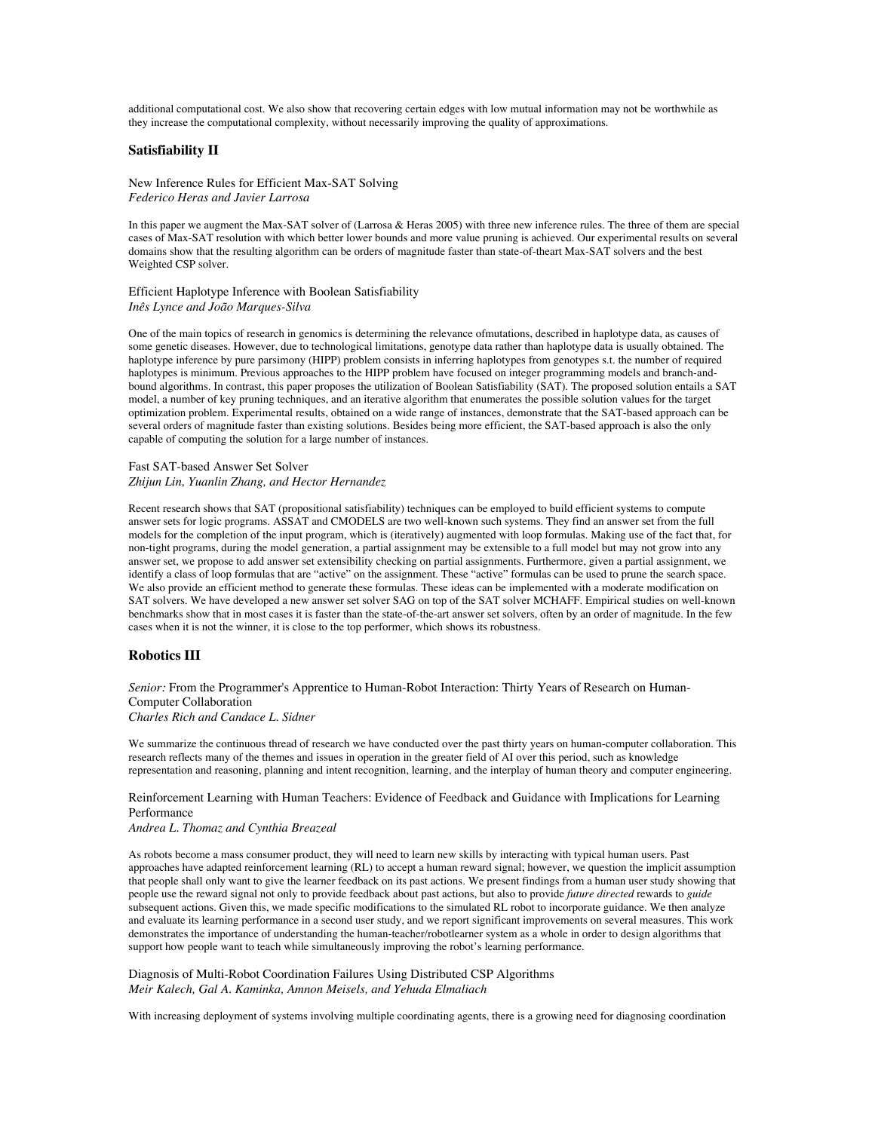additional computational cost. We also show that recovering certain edges with low mutual information may not be worthwhile as they increase the computational complexity, without necessarily improving the quality of approximations.

### **Satisfiability II**

New Inference Rules for Efficient Max-SAT Solving *Federico Heras and Javier Larrosa*

In this paper we augment the Max-SAT solver of (Larrosa & Heras 2005) with three new inference rules. The three of them are special cases of Max-SAT resolution with which better lower bounds and more value pruning is achieved. Our experimental results on several domains show that the resulting algorithm can be orders of magnitude faster than state-of-theart Max-SAT solvers and the best Weighted CSP solver.

Efficient Haplotype Inference with Boolean Satisfiability *Inês Lynce and João Marques-Silva*

One of the main topics of research in genomics is determining the relevance ofmutations, described in haplotype data, as causes of some genetic diseases. However, due to technological limitations, genotype data rather than haplotype data is usually obtained. The haplotype inference by pure parsimony (HIPP) problem consists in inferring haplotypes from genotypes s.t. the number of required haplotypes is minimum. Previous approaches to the HIPP problem have focused on integer programming models and branch-andbound algorithms. In contrast, this paper proposes the utilization of Boolean Satisfiability (SAT). The proposed solution entails a SAT model, a number of key pruning techniques, and an iterative algorithm that enumerates the possible solution values for the target optimization problem. Experimental results, obtained on a wide range of instances, demonstrate that the SAT-based approach can be several orders of magnitude faster than existing solutions. Besides being more efficient, the SAT-based approach is also the only capable of computing the solution for a large number of instances.

Fast SAT-based Answer Set Solver *Zhijun Lin, Yuanlin Zhang, and Hector Hernandez*

Recent research shows that SAT (propositional satisfiability) techniques can be employed to build efficient systems to compute answer sets for logic programs. ASSAT and CMODELS are two well-known such systems. They find an answer set from the full models for the completion of the input program, which is (iteratively) augmented with loop formulas. Making use of the fact that, for non-tight programs, during the model generation, a partial assignment may be extensible to a full model but may not grow into any answer set, we propose to add answer set extensibility checking on partial assignments. Furthermore, given a partial assignment, we identify a class of loop formulas that are "active" on the assignment. These "active" formulas can be used to prune the search space. We also provide an efficient method to generate these formulas. These ideas can be implemented with a moderate modification on SAT solvers. We have developed a new answer set solver SAG on top of the SAT solver MCHAFF. Empirical studies on well-known benchmarks show that in most cases it is faster than the state-of-the-art answer set solvers, often by an order of magnitude. In the few cases when it is not the winner, it is close to the top performer, which shows its robustness.

#### **Robotics III**

*Senior:* From the Programmer's Apprentice to Human-Robot Interaction: Thirty Years of Research on Human-Computer Collaboration

*Charles Rich and Candace L. Sidner*

We summarize the continuous thread of research we have conducted over the past thirty years on human-computer collaboration. This research reflects many of the themes and issues in operation in the greater field of AI over this period, such as knowledge representation and reasoning, planning and intent recognition, learning, and the interplay of human theory and computer engineering.

Reinforcement Learning with Human Teachers: Evidence of Feedback and Guidance with Implications for Learning Performance

*Andrea L. Thomaz and Cynthia Breazeal*

As robots become a mass consumer product, they will need to learn new skills by interacting with typical human users. Past approaches have adapted reinforcement learning (RL) to accept a human reward signal; however, we question the implicit assumption that people shall only want to give the learner feedback on its past actions. We present findings from a human user study showing that people use the reward signal not only to provide feedback about past actions, but also to provide *future directed* rewards to *guide* subsequent actions. Given this, we made specific modifications to the simulated RL robot to incorporate guidance. We then analyze and evaluate its learning performance in a second user study, and we report significant improvements on several measures. This work demonstrates the importance of understanding the human-teacher/robotlearner system as a whole in order to design algorithms that support how people want to teach while simultaneously improving the robot's learning performance.

Diagnosis of Multi-Robot Coordination Failures Using Distributed CSP Algorithms *Meir Kalech, Gal A. Kaminka, Amnon Meisels, and Yehuda Elmaliach*

With increasing deployment of systems involving multiple coordinating agents, there is a growing need for diagnosing coordination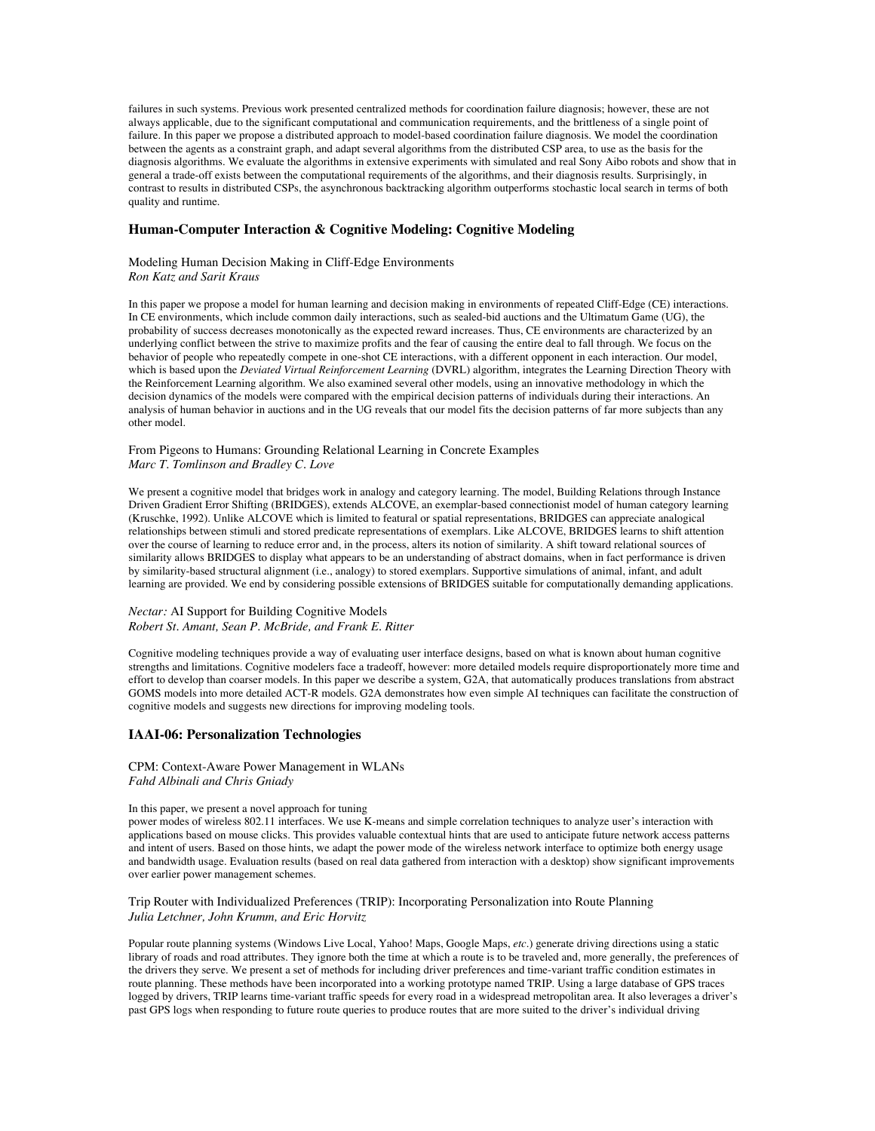failures in such systems. Previous work presented centralized methods for coordination failure diagnosis; however, these are not always applicable, due to the significant computational and communication requirements, and the brittleness of a single point of failure. In this paper we propose a distributed approach to model-based coordination failure diagnosis. We model the coordination between the agents as a constraint graph, and adapt several algorithms from the distributed CSP area, to use as the basis for the diagnosis algorithms. We evaluate the algorithms in extensive experiments with simulated and real Sony Aibo robots and show that in general a trade-off exists between the computational requirements of the algorithms, and their diagnosis results. Surprisingly, in contrast to results in distributed CSPs, the asynchronous backtracking algorithm outperforms stochastic local search in terms of both quality and runtime.

### **Human-Computer Interaction & Cognitive Modeling: Cognitive Modeling**

Modeling Human Decision Making in Cliff-Edge Environments *Ron Katz and Sarit Kraus*

In this paper we propose a model for human learning and decision making in environments of repeated Cliff-Edge (CE) interactions. In CE environments, which include common daily interactions, such as sealed-bid auctions and the Ultimatum Game (UG), the probability of success decreases monotonically as the expected reward increases. Thus, CE environments are characterized by an underlying conflict between the strive to maximize profits and the fear of causing the entire deal to fall through. We focus on the behavior of people who repeatedly compete in one-shot CE interactions, with a different opponent in each interaction. Our model, which is based upon the *Deviated Virtual Reinforcement Learning* (DVRL) algorithm, integrates the Learning Direction Theory with the Reinforcement Learning algorithm. We also examined several other models, using an innovative methodology in which the decision dynamics of the models were compared with the empirical decision patterns of individuals during their interactions. An analysis of human behavior in auctions and in the UG reveals that our model fits the decision patterns of far more subjects than any other model.

## From Pigeons to Humans: Grounding Relational Learning in Concrete Examples *Marc T. Tomlinson and Bradley C. Love*

We present a cognitive model that bridges work in analogy and category learning. The model, Building Relations through Instance Driven Gradient Error Shifting (BRIDGES), extends ALCOVE, an exemplar-based connectionist model of human category learning (Kruschke, 1992). Unlike ALCOVE which is limited to featural or spatial representations, BRIDGES can appreciate analogical relationships between stimuli and stored predicate representations of exemplars. Like ALCOVE, BRIDGES learns to shift attention over the course of learning to reduce error and, in the process, alters its notion of similarity. A shift toward relational sources of similarity allows BRIDGES to display what appears to be an understanding of abstract domains, when in fact performance is driven by similarity-based structural alignment (i.e., analogy) to stored exemplars. Supportive simulations of animal, infant, and adult learning are provided. We end by considering possible extensions of BRIDGES suitable for computationally demanding applications.

## *Nectar:* AI Support for Building Cognitive Models *Robert St. Amant, Sean P. McBride, and Frank E. Ritter*

Cognitive modeling techniques provide a way of evaluating user interface designs, based on what is known about human cognitive strengths and limitations. Cognitive modelers face a tradeoff, however: more detailed models require disproportionately more time and effort to develop than coarser models. In this paper we describe a system, G2A, that automatically produces translations from abstract GOMS models into more detailed ACT-R models. G2A demonstrates how even simple AI techniques can facilitate the construction of cognitive models and suggests new directions for improving modeling tools.

## **IAAI-06: Personalization Technologies**

CPM: Context-Aware Power Management in WLANs *Fahd Albinali and Chris Gniady*

### In this paper, we present a novel approach for tuning

power modes of wireless 802.11 interfaces. We use K-means and simple correlation techniques to analyze user's interaction with applications based on mouse clicks. This provides valuable contextual hints that are used to anticipate future network access patterns and intent of users. Based on those hints, we adapt the power mode of the wireless network interface to optimize both energy usage and bandwidth usage. Evaluation results (based on real data gathered from interaction with a desktop) show significant improvements over earlier power management schemes.

Trip Router with Individualized Preferences (TRIP): Incorporating Personalization into Route Planning *Julia Letchner, John Krumm, and Eric Horvitz*

Popular route planning systems (Windows Live Local, Yahoo! Maps, Google Maps, *etc.*) generate driving directions using a static library of roads and road attributes. They ignore both the time at which a route is to be traveled and, more generally, the preferences of the drivers they serve. We present a set of methods for including driver preferences and time-variant traffic condition estimates in route planning. These methods have been incorporated into a working prototype named TRIP. Using a large database of GPS traces logged by drivers, TRIP learns time-variant traffic speeds for every road in a widespread metropolitan area. It also leverages a driver's past GPS logs when responding to future route queries to produce routes that are more suited to the driver's individual driving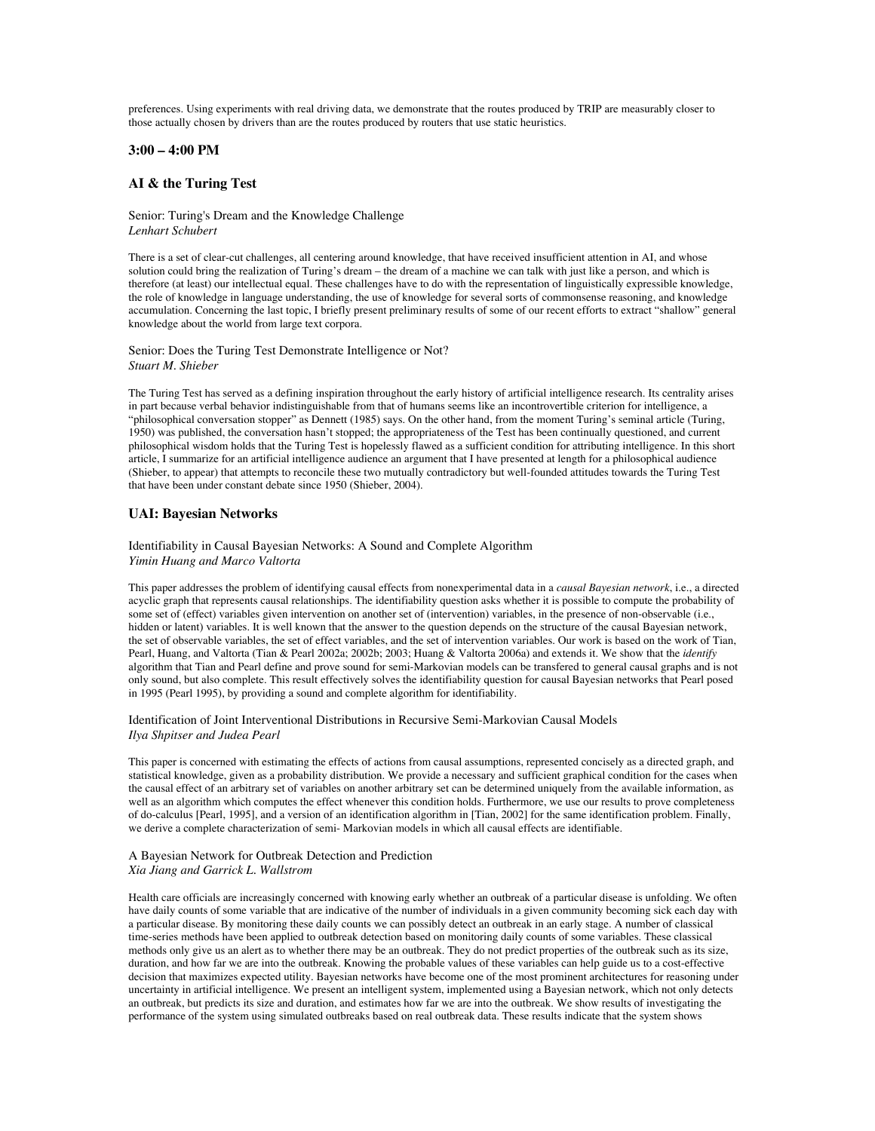preferences. Using experiments with real driving data, we demonstrate that the routes produced by TRIP are measurably closer to those actually chosen by drivers than are the routes produced by routers that use static heuristics.

### **3:00 – 4:00 PM**

## **AI & the Turing Test**

Senior: Turing's Dream and the Knowledge Challenge *Lenhart Schubert*

There is a set of clear-cut challenges, all centering around knowledge, that have received insufficient attention in AI, and whose solution could bring the realization of Turing's dream – the dream of a machine we can talk with just like a person, and which is therefore (at least) our intellectual equal. These challenges have to do with the representation of linguistically expressible knowledge, the role of knowledge in language understanding, the use of knowledge for several sorts of commonsense reasoning, and knowledge accumulation. Concerning the last topic, I briefly present preliminary results of some of our recent efforts to extract "shallow" general knowledge about the world from large text corpora.

Senior: Does the Turing Test Demonstrate Intelligence or Not? *Stuart M. Shieber*

The Turing Test has served as a defining inspiration throughout the early history of artificial intelligence research. Its centrality arises in part because verbal behavior indistinguishable from that of humans seems like an incontrovertible criterion for intelligence, a "philosophical conversation stopper" as Dennett (1985) says. On the other hand, from the moment Turing's seminal article (Turing, 1950) was published, the conversation hasn't stopped; the appropriateness of the Test has been continually questioned, and current philosophical wisdom holds that the Turing Test is hopelessly flawed as a sufficient condition for attributing intelligence. In this short article, I summarize for an artificial intelligence audience an argument that I have presented at length for a philosophical audience (Shieber, to appear) that attempts to reconcile these two mutually contradictory but well-founded attitudes towards the Turing Test that have been under constant debate since 1950 (Shieber, 2004).

## **UAI: Bayesian Networks**

### Identifiability in Causal Bayesian Networks: A Sound and Complete Algorithm *Yimin Huang and Marco Valtorta*

This paper addresses the problem of identifying causal effects from nonexperimental data in a *causal Bayesian network*, i.e., a directed acyclic graph that represents causal relationships. The identifiability question asks whether it is possible to compute the probability of some set of (effect) variables given intervention on another set of (intervention) variables, in the presence of non-observable (i.e., hidden or latent) variables. It is well known that the answer to the question depends on the structure of the causal Bayesian network, the set of observable variables, the set of effect variables, and the set of intervention variables. Our work is based on the work of Tian, Pearl, Huang, and Valtorta (Tian & Pearl 2002a; 2002b; 2003; Huang & Valtorta 2006a) and extends it. We show that the *identify* algorithm that Tian and Pearl define and prove sound for semi-Markovian models can be transfered to general causal graphs and is not only sound, but also complete. This result effectively solves the identifiability question for causal Bayesian networks that Pearl posed in 1995 (Pearl 1995), by providing a sound and complete algorithm for identifiability.

Identification of Joint Interventional Distributions in Recursive Semi-Markovian Causal Models *Ilya Shpitser and Judea Pearl*

This paper is concerned with estimating the effects of actions from causal assumptions, represented concisely as a directed graph, and statistical knowledge, given as a probability distribution. We provide a necessary and sufficient graphical condition for the cases when the causal effect of an arbitrary set of variables on another arbitrary set can be determined uniquely from the available information, as well as an algorithm which computes the effect whenever this condition holds. Furthermore, we use our results to prove completeness of do-calculus [Pearl, 1995], and a version of an identification algorithm in [Tian, 2002] for the same identification problem. Finally, we derive a complete characterization of semi- Markovian models in which all causal effects are identifiable.

### A Bayesian Network for Outbreak Detection and Prediction *Xia Jiang and Garrick L. Wallstrom*

Health care officials are increasingly concerned with knowing early whether an outbreak of a particular disease is unfolding. We often have daily counts of some variable that are indicative of the number of individuals in a given community becoming sick each day with a particular disease. By monitoring these daily counts we can possibly detect an outbreak in an early stage. A number of classical time-series methods have been applied to outbreak detection based on monitoring daily counts of some variables. These classical methods only give us an alert as to whether there may be an outbreak. They do not predict properties of the outbreak such as its size, duration, and how far we are into the outbreak. Knowing the probable values of these variables can help guide us to a cost-effective decision that maximizes expected utility. Bayesian networks have become one of the most prominent architectures for reasoning under uncertainty in artificial intelligence. We present an intelligent system, implemented using a Bayesian network, which not only detects an outbreak, but predicts its size and duration, and estimates how far we are into the outbreak. We show results of investigating the performance of the system using simulated outbreaks based on real outbreak data. These results indicate that the system shows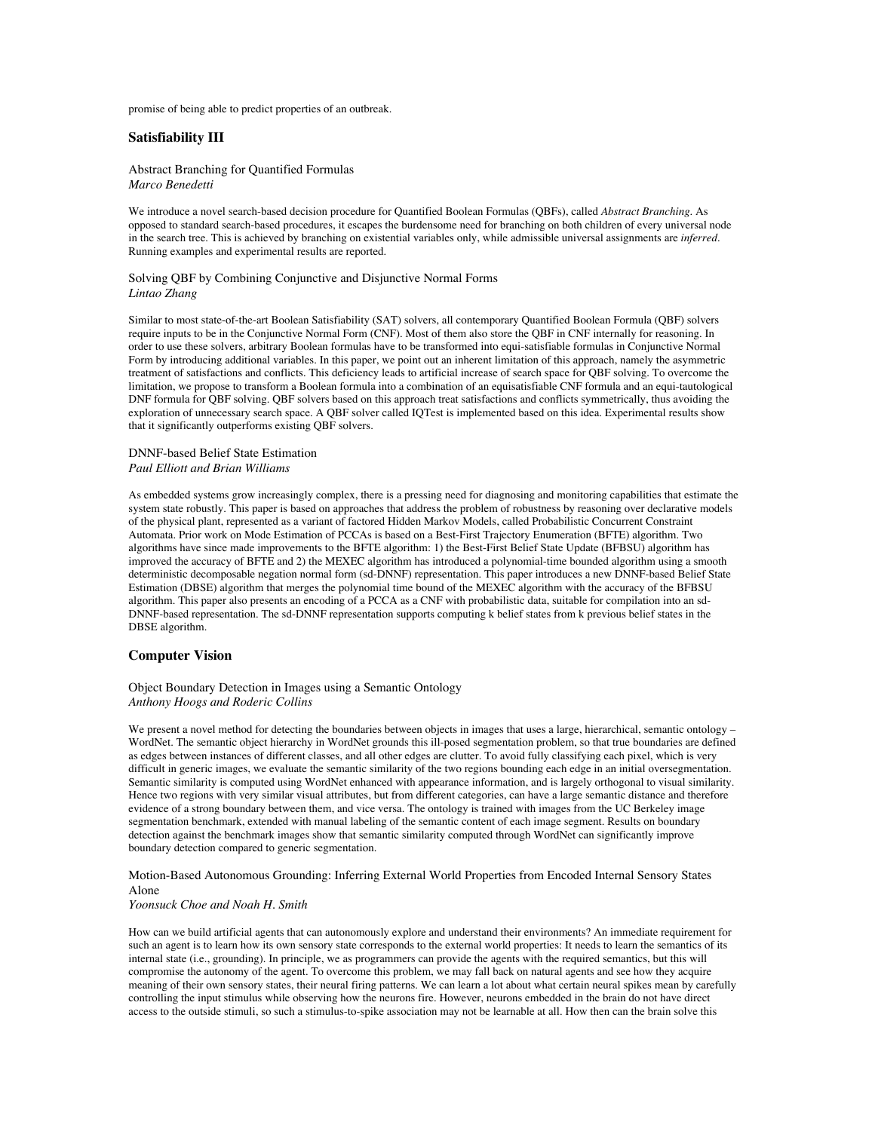promise of being able to predict properties of an outbreak.

## **Satisfiability III**

Abstract Branching for Quantified Formulas *Marco Benedetti*

We introduce a novel search-based decision procedure for Quantified Boolean Formulas (QBFs), called *Abstract Branching*. As opposed to standard search-based procedures, it escapes the burdensome need for branching on both children of every universal node in the search tree. This is achieved by branching on existential variables only, while admissible universal assignments are *inferred*. Running examples and experimental results are reported.

#### Solving QBF by Combining Conjunctive and Disjunctive Normal Forms *Lintao Zhang*

Similar to most state-of-the-art Boolean Satisfiability (SAT) solvers, all contemporary Quantified Boolean Formula (QBF) solvers require inputs to be in the Conjunctive Normal Form (CNF). Most of them also store the QBF in CNF internally for reasoning. In order to use these solvers, arbitrary Boolean formulas have to be transformed into equi-satisfiable formulas in Conjunctive Normal Form by introducing additional variables. In this paper, we point out an inherent limitation of this approach, namely the asymmetric treatment of satisfactions and conflicts. This deficiency leads to artificial increase of search space for QBF solving. To overcome the limitation, we propose to transform a Boolean formula into a combination of an equisatisfiable CNF formula and an equi-tautological DNF formula for QBF solving. QBF solvers based on this approach treat satisfactions and conflicts symmetrically, thus avoiding the exploration of unnecessary search space. A QBF solver called IQTest is implemented based on this idea. Experimental results show that it significantly outperforms existing QBF solvers.

#### DNNF-based Belief State Estimation *Paul Elliott and Brian Williams*

As embedded systems grow increasingly complex, there is a pressing need for diagnosing and monitoring capabilities that estimate the system state robustly. This paper is based on approaches that address the problem of robustness by reasoning over declarative models of the physical plant, represented as a variant of factored Hidden Markov Models, called Probabilistic Concurrent Constraint Automata. Prior work on Mode Estimation of PCCAs is based on a Best-First Trajectory Enumeration (BFTE) algorithm. Two algorithms have since made improvements to the BFTE algorithm: 1) the Best-First Belief State Update (BFBSU) algorithm has improved the accuracy of BFTE and 2) the MEXEC algorithm has introduced a polynomial-time bounded algorithm using a smooth deterministic decomposable negation normal form (sd-DNNF) representation. This paper introduces a new DNNF-based Belief State Estimation (DBSE) algorithm that merges the polynomial time bound of the MEXEC algorithm with the accuracy of the BFBSU algorithm. This paper also presents an encoding of a PCCA as a CNF with probabilistic data, suitable for compilation into an sd-DNNF-based representation. The sd-DNNF representation supports computing k belief states from k previous belief states in the DBSE algorithm.

#### **Computer Vision**

### Object Boundary Detection in Images using a Semantic Ontology *Anthony Hoogs and Roderic Collins*

We present a novel method for detecting the boundaries between objects in images that uses a large, hierarchical, semantic ontology – WordNet. The semantic object hierarchy in WordNet grounds this ill-posed segmentation problem, so that true boundaries are defined as edges between instances of different classes, and all other edges are clutter. To avoid fully classifying each pixel, which is very difficult in generic images, we evaluate the semantic similarity of the two regions bounding each edge in an initial oversegmentation. Semantic similarity is computed using WordNet enhanced with appearance information, and is largely orthogonal to visual similarity. Hence two regions with very similar visual attributes, but from different categories, can have a large semantic distance and therefore evidence of a strong boundary between them, and vice versa. The ontology is trained with images from the UC Berkeley image segmentation benchmark, extended with manual labeling of the semantic content of each image segment. Results on boundary detection against the benchmark images show that semantic similarity computed through WordNet can significantly improve boundary detection compared to generic segmentation.

#### Motion-Based Autonomous Grounding: Inferring External World Properties from Encoded Internal Sensory States Alone

#### *Yoonsuck Choe and Noah H. Smith*

How can we build artificial agents that can autonomously explore and understand their environments? An immediate requirement for such an agent is to learn how its own sensory state corresponds to the external world properties: It needs to learn the semantics of its internal state (i.e., grounding). In principle, we as programmers can provide the agents with the required semantics, but this will compromise the autonomy of the agent. To overcome this problem, we may fall back on natural agents and see how they acquire meaning of their own sensory states, their neural firing patterns. We can learn a lot about what certain neural spikes mean by carefully controlling the input stimulus while observing how the neurons fire. However, neurons embedded in the brain do not have direct access to the outside stimuli, so such a stimulus-to-spike association may not be learnable at all. How then can the brain solve this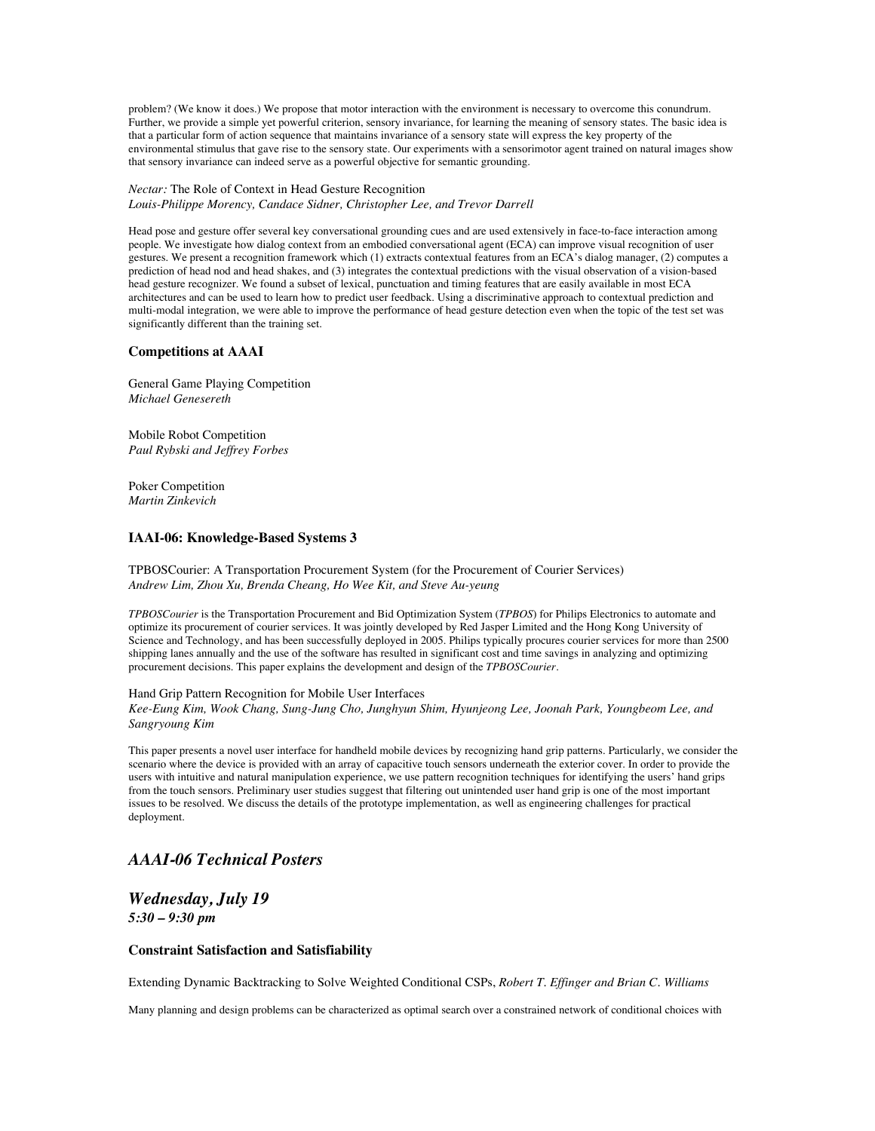problem? (We know it does.) We propose that motor interaction with the environment is necessary to overcome this conundrum. Further, we provide a simple yet powerful criterion, sensory invariance, for learning the meaning of sensory states. The basic idea is that a particular form of action sequence that maintains invariance of a sensory state will express the key property of the environmental stimulus that gave rise to the sensory state. Our experiments with a sensorimotor agent trained on natural images show that sensory invariance can indeed serve as a powerful objective for semantic grounding.

#### *Nectar:* The Role of Context in Head Gesture Recognition *Louis-Philippe Morency, Candace Sidner, Christopher Lee, and Trevor Darrell*

Head pose and gesture offer several key conversational grounding cues and are used extensively in face-to-face interaction among people. We investigate how dialog context from an embodied conversational agent (ECA) can improve visual recognition of user gestures. We present a recognition framework which (1) extracts contextual features from an ECA's dialog manager, (2) computes a prediction of head nod and head shakes, and (3) integrates the contextual predictions with the visual observation of a vision-based head gesture recognizer. We found a subset of lexical, punctuation and timing features that are easily available in most ECA architectures and can be used to learn how to predict user feedback. Using a discriminative approach to contextual prediction and multi-modal integration, we were able to improve the performance of head gesture detection even when the topic of the test set was significantly different than the training set.

## **Competitions at AAAI**

General Game Playing Competition *Michael Genesereth*

Mobile Robot Competition *Paul Rybski and Jeffrey Forbes*

Poker Competition *Martin Zinkevich*

## **IAAI-06: Knowledge-Based Systems 3**

TPBOSCourier: A Transportation Procurement System (for the Procurement of Courier Services) *Andrew Lim, Zhou Xu, Brenda Cheang, Ho Wee Kit, and Steve Au-yeung*

*TPBOSCourier* is the Transportation Procurement and Bid Optimization System (*TPBOS*) for Philips Electronics to automate and optimize its procurement of courier services. It was jointly developed by Red Jasper Limited and the Hong Kong University of Science and Technology, and has been successfully deployed in 2005. Philips typically procures courier services for more than 2500 shipping lanes annually and the use of the software has resulted in significant cost and time savings in analyzing and optimizing procurement decisions. This paper explains the development and design of the *TPBOSCourier*.

#### Hand Grip Pattern Recognition for Mobile User Interfaces

*Kee-Eung Kim, Wook Chang, Sung-Jung Cho, Junghyun Shim, Hyunjeong Lee, Joonah Park, Youngbeom Lee, and Sangryoung Kim*

This paper presents a novel user interface for handheld mobile devices by recognizing hand grip patterns. Particularly, we consider the scenario where the device is provided with an array of capacitive touch sensors underneath the exterior cover. In order to provide the users with intuitive and natural manipulation experience, we use pattern recognition techniques for identifying the users' hand grips from the touch sensors. Preliminary user studies suggest that filtering out unintended user hand grip is one of the most important issues to be resolved. We discuss the details of the prototype implementation, as well as engineering challenges for practical deployment.

# *AAAI-06 Technical Posters*

# *Wednesday, July 19 5:30 – 9:30 pm*

## **Constraint Satisfaction and Satisfiability**

Extending Dynamic Backtracking to Solve Weighted Conditional CSPs, *Robert T. Effinger and Brian C. Williams*

Many planning and design problems can be characterized as optimal search over a constrained network of conditional choices with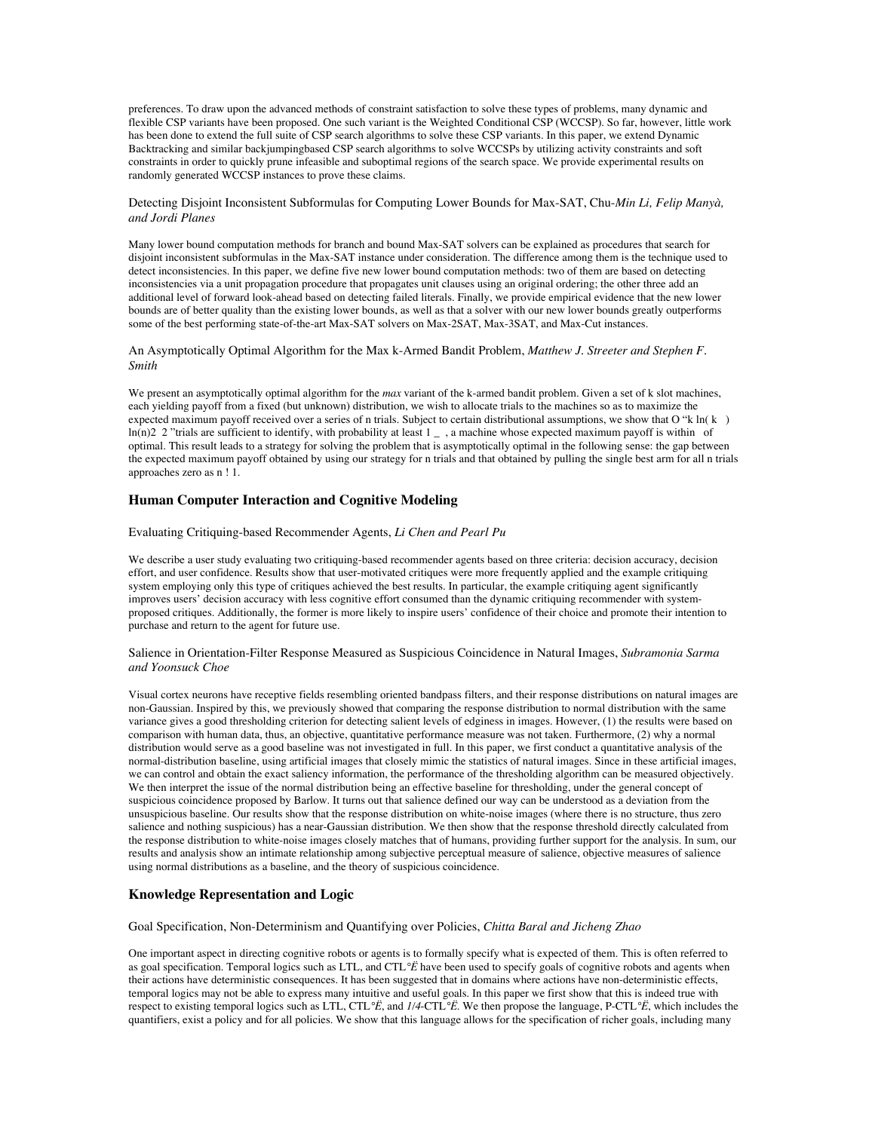preferences. To draw upon the advanced methods of constraint satisfaction to solve these types of problems, many dynamic and flexible CSP variants have been proposed. One such variant is the Weighted Conditional CSP (WCCSP). So far, however, little work has been done to extend the full suite of CSP search algorithms to solve these CSP variants. In this paper, we extend Dynamic Backtracking and similar backjumpingbased CSP search algorithms to solve WCCSPs by utilizing activity constraints and soft constraints in order to quickly prune infeasible and suboptimal regions of the search space. We provide experimental results on randomly generated WCCSP instances to prove these claims.

## Detecting Disjoint Inconsistent Subformulas for Computing Lower Bounds for Max-SAT, Chu-*Min Li, Felip Manyà, and Jordi Planes*

Many lower bound computation methods for branch and bound Max-SAT solvers can be explained as procedures that search for disjoint inconsistent subformulas in the Max-SAT instance under consideration. The difference among them is the technique used to detect inconsistencies. In this paper, we define five new lower bound computation methods: two of them are based on detecting inconsistencies via a unit propagation procedure that propagates unit clauses using an original ordering; the other three add an additional level of forward look-ahead based on detecting failed literals. Finally, we provide empirical evidence that the new lower bounds are of better quality than the existing lower bounds, as well as that a solver with our new lower bounds greatly outperforms some of the best performing state-of-the-art Max-SAT solvers on Max-2SAT, Max-3SAT, and Max-Cut instances.

An Asymptotically Optimal Algorithm for the Max k-Armed Bandit Problem, *Matthew J. Streeter and Stephen F. Smith*

We present an asymptotically optimal algorithm for the *max* variant of the k-armed bandit problem. Given a set of k slot machines, each yielding payoff from a fixed (but unknown) distribution, we wish to allocate trials to the machines so as to maximize the expected maximum payoff received over a series of n trials. Subject to certain distributional assumptions, we show that O "k ln( k ln(n)2 2 "trials are sufficient to identify, with probability at least 1 \_ , a machine whose expected maximum payoff is within of optimal. This result leads to a strategy for solving the problem that is asymptotically optimal in the following sense: the gap between the expected maximum payoff obtained by using our strategy for n trials and that obtained by pulling the single best arm for all n trials approaches zero as n ! 1.

## **Human Computer Interaction and Cognitive Modeling**

### Evaluating Critiquing-based Recommender Agents, *Li Chen and Pearl Pu*

We describe a user study evaluating two critiquing-based recommender agents based on three criteria: decision accuracy, decision effort, and user confidence. Results show that user-motivated critiques were more frequently applied and the example critiquing system employing only this type of critiques achieved the best results. In particular, the example critiquing agent significantly improves users' decision accuracy with less cognitive effort consumed than the dynamic critiquing recommender with systemproposed critiques. Additionally, the former is more likely to inspire users' confidence of their choice and promote their intention to purchase and return to the agent for future use.

## Salience in Orientation-Filter Response Measured as Suspicious Coincidence in Natural Images, *Subramonia Sarma and Yoonsuck Choe*

Visual cortex neurons have receptive fields resembling oriented bandpass filters, and their response distributions on natural images are non-Gaussian. Inspired by this, we previously showed that comparing the response distribution to normal distribution with the same variance gives a good thresholding criterion for detecting salient levels of edginess in images. However, (1) the results were based on comparison with human data, thus, an objective, quantitative performance measure was not taken. Furthermore, (2) why a normal distribution would serve as a good baseline was not investigated in full. In this paper, we first conduct a quantitative analysis of the normal-distribution baseline, using artificial images that closely mimic the statistics of natural images. Since in these artificial images, we can control and obtain the exact saliency information, the performance of the thresholding algorithm can be measured objectively. We then interpret the issue of the normal distribution being an effective baseline for thresholding, under the general concept of suspicious coincidence proposed by Barlow. It turns out that salience defined our way can be understood as a deviation from the unsuspicious baseline. Our results show that the response distribution on white-noise images (where there is no structure, thus zero salience and nothing suspicious) has a near-Gaussian distribution. We then show that the response threshold directly calculated from the response distribution to white-noise images closely matches that of humans, providing further support for the analysis. In sum, our results and analysis show an intimate relationship among subjective perceptual measure of salience, objective measures of salience using normal distributions as a baseline, and the theory of suspicious coincidence.

## **Knowledge Representation and Logic**

Goal Specification, Non-Determinism and Quantifying over Policies, *Chitta Baral and Jicheng Zhao*

One important aspect in directing cognitive robots or agents is to formally specify what is expected of them. This is often referred to as goal specification. Temporal logics such as LTL, and CTL*°Ë* have been used to specify goals of cognitive robots and agents when their actions have deterministic consequences. It has been suggested that in domains where actions have non-deterministic effects, temporal logics may not be able to express many intuitive and useful goals. In this paper we first show that this is indeed true with respect to existing temporal logics such as LTL, CTL*°Ë*, and *1/4*-CTL*°Ë*. We then propose the language, P-CTL*°Ë*, which includes the quantifiers, exist a policy and for all policies. We show that this language allows for the specification of richer goals, including many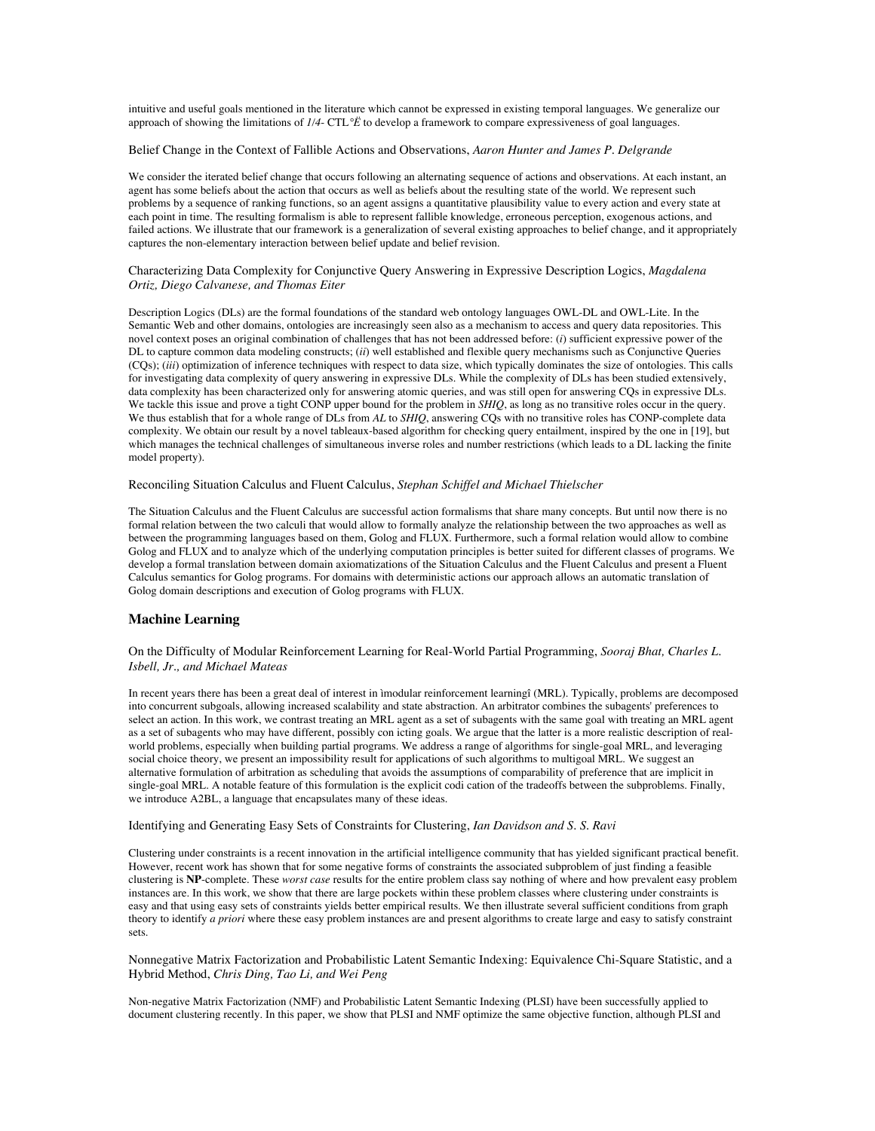intuitive and useful goals mentioned in the literature which cannot be expressed in existing temporal languages. We generalize our approach of showing the limitations of *1/4*- CTL*°Ë* to develop a framework to compare expressiveness of goal languages.

#### Belief Change in the Context of Fallible Actions and Observations, *Aaron Hunter and James P. Delgrande*

We consider the iterated belief change that occurs following an alternating sequence of actions and observations. At each instant, an agent has some beliefs about the action that occurs as well as beliefs about the resulting state of the world. We represent such problems by a sequence of ranking functions, so an agent assigns a quantitative plausibility value to every action and every state at each point in time. The resulting formalism is able to represent fallible knowledge, erroneous perception, exogenous actions, and failed actions. We illustrate that our framework is a generalization of several existing approaches to belief change, and it appropriately captures the non-elementary interaction between belief update and belief revision.

### Characterizing Data Complexity for Conjunctive Query Answering in Expressive Description Logics, *Magdalena Ortiz, Diego Calvanese, and Thomas Eiter*

Description Logics (DLs) are the formal foundations of the standard web ontology languages OWL-DL and OWL-Lite. In the Semantic Web and other domains, ontologies are increasingly seen also as a mechanism to access and query data repositories. This novel context poses an original combination of challenges that has not been addressed before: (*i*) sufficient expressive power of the DL to capture common data modeling constructs; (*ii*) well established and flexible query mechanisms such as Conjunctive Queries (CQs); (*iii*) optimization of inference techniques with respect to data size, which typically dominates the size of ontologies. This calls for investigating data complexity of query answering in expressive DLs. While the complexity of DLs has been studied extensively, data complexity has been characterized only for answering atomic queries, and was still open for answering CQs in expressive DLs. We tackle this issue and prove a tight CONP upper bound for the problem in *SHIQ*, as long as no transitive roles occur in the query. We thus establish that for a whole range of DLs from *AL* to *SHIQ*, answering CQs with no transitive roles has CONP-complete data complexity. We obtain our result by a novel tableaux-based algorithm for checking query entailment, inspired by the one in [19], but which manages the technical challenges of simultaneous inverse roles and number restrictions (which leads to a DL lacking the finite model property).

Reconciling Situation Calculus and Fluent Calculus, *Stephan Schiffel and Michael Thielscher*

The Situation Calculus and the Fluent Calculus are successful action formalisms that share many concepts. But until now there is no formal relation between the two calculi that would allow to formally analyze the relationship between the two approaches as well as between the programming languages based on them, Golog and FLUX. Furthermore, such a formal relation would allow to combine Golog and FLUX and to analyze which of the underlying computation principles is better suited for different classes of programs. We develop a formal translation between domain axiomatizations of the Situation Calculus and the Fluent Calculus and present a Fluent Calculus semantics for Golog programs. For domains with deterministic actions our approach allows an automatic translation of Golog domain descriptions and execution of Golog programs with FLUX.

## **Machine Learning**

On the Difficulty of Modular Reinforcement Learning for Real-World Partial Programming, *Sooraj Bhat, Charles L. Isbell, Jr., and Michael Mateas*

In recent years there has been a great deal of interest in ìmodular reinforcement learningî (MRL). Typically, problems are decomposed into concurrent subgoals, allowing increased scalability and state abstraction. An arbitrator combines the subagents' preferences to select an action. In this work, we contrast treating an MRL agent as a set of subagents with the same goal with treating an MRL agent as a set of subagents who may have different, possibly con icting goals. We argue that the latter is a more realistic description of realworld problems, especially when building partial programs. We address a range of algorithms for single-goal MRL, and leveraging social choice theory, we present an impossibility result for applications of such algorithms to multigoal MRL. We suggest an alternative formulation of arbitration as scheduling that avoids the assumptions of comparability of preference that are implicit in single-goal MRL. A notable feature of this formulation is the explicit codi cation of the tradeoffs between the subproblems. Finally, we introduce A2BL, a language that encapsulates many of these ideas.

Identifying and Generating Easy Sets of Constraints for Clustering, *Ian Davidson and S. S. Ravi*

Clustering under constraints is a recent innovation in the artificial intelligence community that has yielded significant practical benefit. However, recent work has shown that for some negative forms of constraints the associated subproblem of just finding a feasible clustering is **NP**-complete. These *worst case* results for the entire problem class say nothing of where and how prevalent easy problem instances are. In this work, we show that there are large pockets within these problem classes where clustering under constraints is easy and that using easy sets of constraints yields better empirical results. We then illustrate several sufficient conditions from graph theory to identify *a priori* where these easy problem instances are and present algorithms to create large and easy to satisfy constraint sets.

Nonnegative Matrix Factorization and Probabilistic Latent Semantic Indexing: Equivalence Chi-Square Statistic, and a Hybrid Method, *Chris Ding, Tao Li, and Wei Peng*

Non-negative Matrix Factorization (NMF) and Probabilistic Latent Semantic Indexing (PLSI) have been successfully applied to document clustering recently. In this paper, we show that PLSI and NMF optimize the same objective function, although PLSI and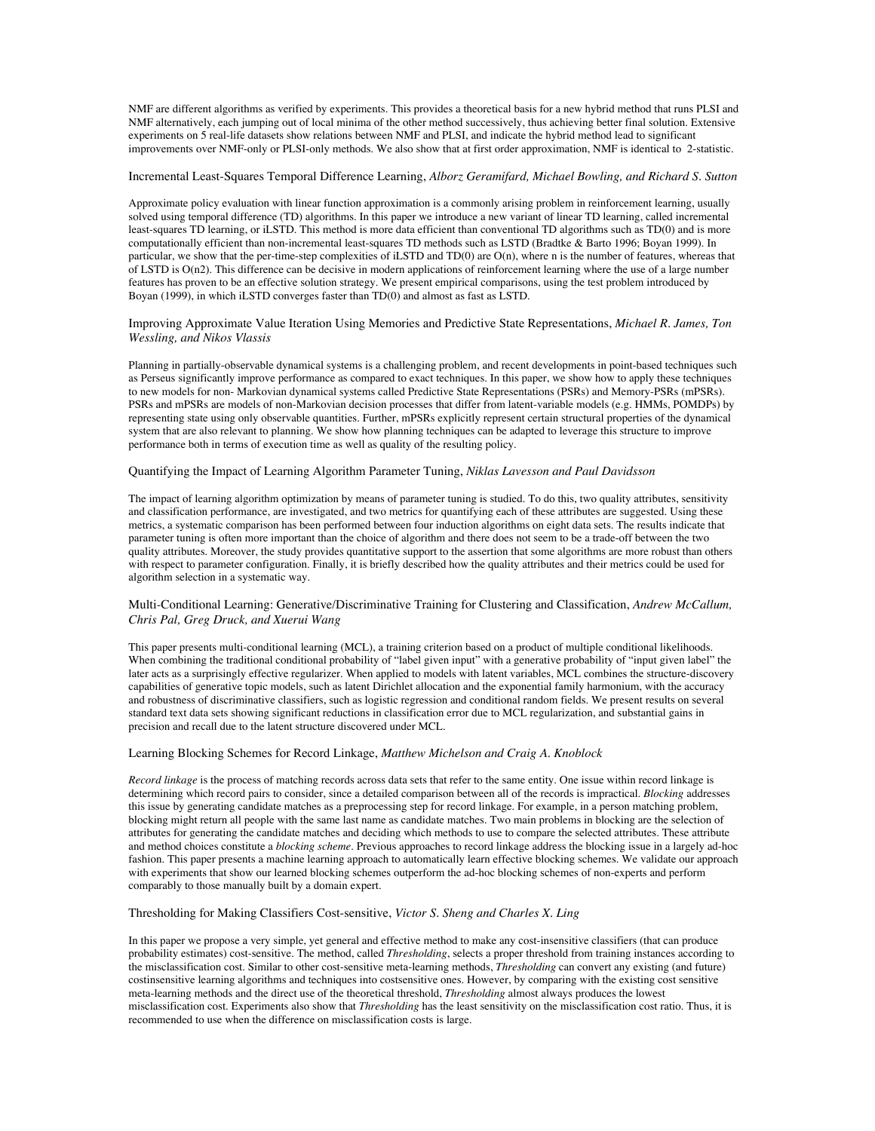NMF are different algorithms as verified by experiments. This provides a theoretical basis for a new hybrid method that runs PLSI and NMF alternatively, each jumping out of local minima of the other method successively, thus achieving better final solution. Extensive experiments on 5 real-life datasets show relations between NMF and PLSI, and indicate the hybrid method lead to significant improvements over NMF-only or PLSI-only methods. We also show that at first order approximation, NMF is identical to 2-statistic.

#### Incremental Least-Squares Temporal Difference Learning, *Alborz Geramifard, Michael Bowling, and Richard S. Sutton*

Approximate policy evaluation with linear function approximation is a commonly arising problem in reinforcement learning, usually solved using temporal difference (TD) algorithms. In this paper we introduce a new variant of linear TD learning, called incremental least-squares TD learning, or iLSTD. This method is more data efficient than conventional TD algorithms such as TD(0) and is more computationally efficient than non-incremental least-squares TD methods such as LSTD (Bradtke & Barto 1996; Boyan 1999). In particular, we show that the per-time-step complexities of iLSTD and TD(0) are O(n), where n is the number of features, whereas that of LSTD is O(n2). This difference can be decisive in modern applications of reinforcement learning where the use of a large number features has proven to be an effective solution strategy. We present empirical comparisons, using the test problem introduced by Boyan (1999), in which iLSTD converges faster than TD(0) and almost as fast as LSTD.

Improving Approximate Value Iteration Using Memories and Predictive State Representations, *Michael R. James, Ton Wessling, and Nikos Vlassis*

Planning in partially-observable dynamical systems is a challenging problem, and recent developments in point-based techniques such as Perseus significantly improve performance as compared to exact techniques. In this paper, we show how to apply these techniques to new models for non- Markovian dynamical systems called Predictive State Representations (PSRs) and Memory-PSRs (mPSRs). PSRs and mPSRs are models of non-Markovian decision processes that differ from latent-variable models (e.g. HMMs, POMDPs) by representing state using only observable quantities. Further, mPSRs explicitly represent certain structural properties of the dynamical system that are also relevant to planning. We show how planning techniques can be adapted to leverage this structure to improve performance both in terms of execution time as well as quality of the resulting policy.

#### Quantifying the Impact of Learning Algorithm Parameter Tuning, *Niklas Lavesson and Paul Davidsson*

The impact of learning algorithm optimization by means of parameter tuning is studied. To do this, two quality attributes, sensitivity and classification performance, are investigated, and two metrics for quantifying each of these attributes are suggested. Using these metrics, a systematic comparison has been performed between four induction algorithms on eight data sets. The results indicate that parameter tuning is often more important than the choice of algorithm and there does not seem to be a trade-off between the two quality attributes. Moreover, the study provides quantitative support to the assertion that some algorithms are more robust than others with respect to parameter configuration. Finally, it is briefly described how the quality attributes and their metrics could be used for algorithm selection in a systematic way.

## Multi-Conditional Learning: Generative/Discriminative Training for Clustering and Classification, *Andrew McCallum, Chris Pal, Greg Druck, and Xuerui Wang*

This paper presents multi-conditional learning (MCL), a training criterion based on a product of multiple conditional likelihoods. When combining the traditional conditional probability of "label given input" with a generative probability of "input given label" the later acts as a surprisingly effective regularizer. When applied to models with latent variables, MCL combines the structure-discovery capabilities of generative topic models, such as latent Dirichlet allocation and the exponential family harmonium, with the accuracy and robustness of discriminative classifiers, such as logistic regression and conditional random fields. We present results on several standard text data sets showing significant reductions in classification error due to MCL regularization, and substantial gains in precision and recall due to the latent structure discovered under MCL.

#### Learning Blocking Schemes for Record Linkage, *Matthew Michelson and Craig A. Knoblock*

*Record linkage* is the process of matching records across data sets that refer to the same entity. One issue within record linkage is determining which record pairs to consider, since a detailed comparison between all of the records is impractical. *Blocking* addresses this issue by generating candidate matches as a preprocessing step for record linkage. For example, in a person matching problem, blocking might return all people with the same last name as candidate matches. Two main problems in blocking are the selection of attributes for generating the candidate matches and deciding which methods to use to compare the selected attributes. These attribute and method choices constitute a *blocking scheme*. Previous approaches to record linkage address the blocking issue in a largely ad-hoc fashion. This paper presents a machine learning approach to automatically learn effective blocking schemes. We validate our approach with experiments that show our learned blocking schemes outperform the ad-hoc blocking schemes of non-experts and perform comparably to those manually built by a domain expert.

### Thresholding for Making Classifiers Cost-sensitive, *Victor S. Sheng and Charles X. Ling*

In this paper we propose a very simple, yet general and effective method to make any cost-insensitive classifiers (that can produce probability estimates) cost-sensitive. The method, called *Thresholding*, selects a proper threshold from training instances according to the misclassification cost. Similar to other cost-sensitive meta-learning methods, *Thresholding* can convert any existing (and future) costinsensitive learning algorithms and techniques into costsensitive ones. However, by comparing with the existing cost sensitive meta-learning methods and the direct use of the theoretical threshold, *Thresholding* almost always produces the lowest misclassification cost. Experiments also show that *Thresholding* has the least sensitivity on the misclassification cost ratio. Thus, it is recommended to use when the difference on misclassification costs is large.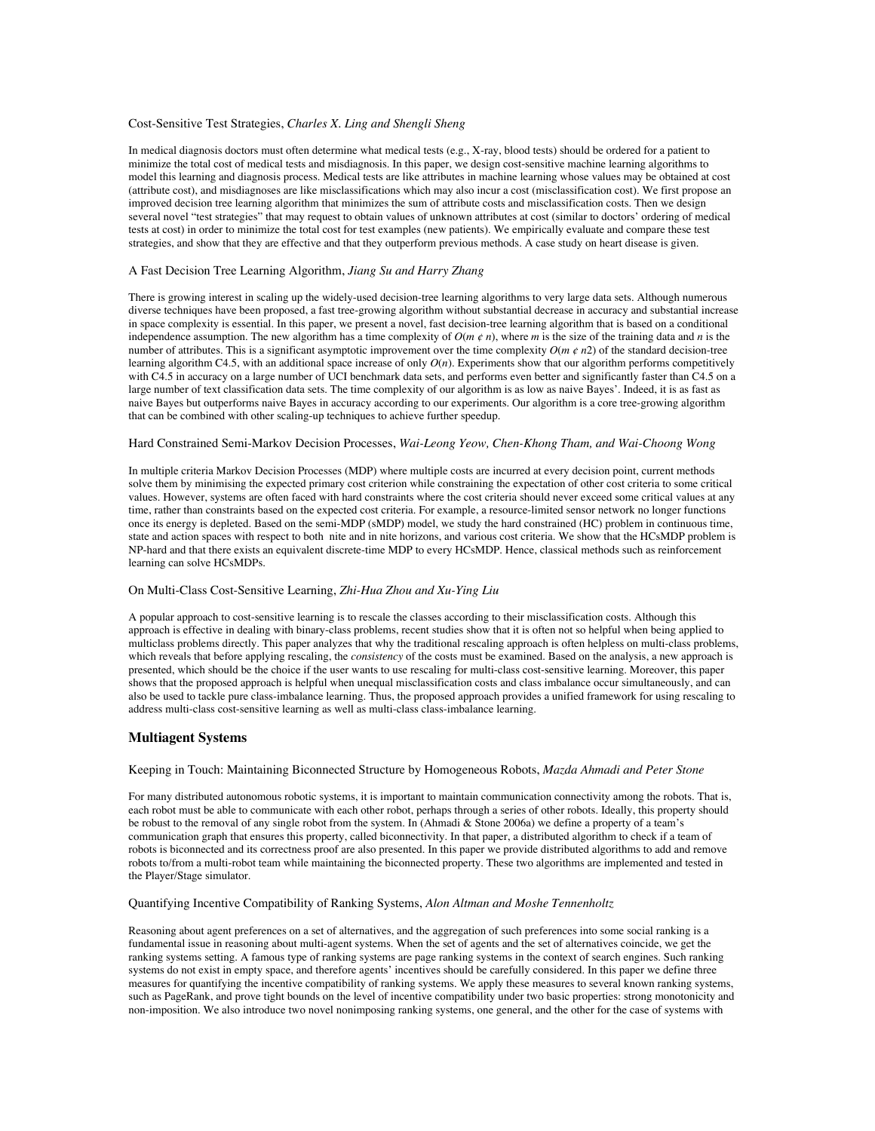#### Cost-Sensitive Test Strategies, *Charles X. Ling and Shengli Sheng*

In medical diagnosis doctors must often determine what medical tests (e.g., X-ray, blood tests) should be ordered for a patient to minimize the total cost of medical tests and misdiagnosis. In this paper, we design cost-sensitive machine learning algorithms to model this learning and diagnosis process. Medical tests are like attributes in machine learning whose values may be obtained at cost (attribute cost), and misdiagnoses are like misclassifications which may also incur a cost (misclassification cost). We first propose an improved decision tree learning algorithm that minimizes the sum of attribute costs and misclassification costs. Then we design several novel "test strategies" that may request to obtain values of unknown attributes at cost (similar to doctors' ordering of medical tests at cost) in order to minimize the total cost for test examples (new patients). We empirically evaluate and compare these test strategies, and show that they are effective and that they outperform previous methods. A case study on heart disease is given.

#### A Fast Decision Tree Learning Algorithm, *Jiang Su and Harry Zhang*

There is growing interest in scaling up the widely-used decision-tree learning algorithms to very large data sets. Although numerous diverse techniques have been proposed, a fast tree-growing algorithm without substantial decrease in accuracy and substantial increase in space complexity is essential. In this paper, we present a novel, fast decision-tree learning algorithm that is based on a conditional independence assumption. The new algorithm has a time complexity of  $O(m \phi n)$ , where *m* is the size of the training data and *n* is the number of attributes. This is a significant asymptotic improvement over the time complexity  $O(m \phi n^2)$  of the standard decision-tree learning algorithm C4.5, with an additional space increase of only  $O(n)$ . Experiments show that our algorithm performs competitively with C4.5 in accuracy on a large number of UCI benchmark data sets, and performs even better and significantly faster than C4.5 on a large number of text classification data sets. The time complexity of our algorithm is as low as naive Bayes'. Indeed, it is as fast as naive Bayes but outperforms naive Bayes in accuracy according to our experiments. Our algorithm is a core tree-growing algorithm that can be combined with other scaling-up techniques to achieve further speedup.

#### Hard Constrained Semi-Markov Decision Processes, *Wai-Leong Yeow, Chen-Khong Tham, and Wai-Choong Wong*

In multiple criteria Markov Decision Processes (MDP) where multiple costs are incurred at every decision point, current methods solve them by minimising the expected primary cost criterion while constraining the expectation of other cost criteria to some critical values. However, systems are often faced with hard constraints where the cost criteria should never exceed some critical values at any time, rather than constraints based on the expected cost criteria. For example, a resource-limited sensor network no longer functions once its energy is depleted. Based on the semi-MDP (sMDP) model, we study the hard constrained (HC) problem in continuous time, state and action spaces with respect to both nite and in nite horizons, and various cost criteria. We show that the HCsMDP problem is NP-hard and that there exists an equivalent discrete-time MDP to every HCsMDP. Hence, classical methods such as reinforcement learning can solve HCsMDPs.

#### On Multi-Class Cost-Sensitive Learning, *Zhi-Hua Zhou and Xu-Ying Liu*

A popular approach to cost-sensitive learning is to rescale the classes according to their misclassification costs. Although this approach is effective in dealing with binary-class problems, recent studies show that it is often not so helpful when being applied to multiclass problems directly. This paper analyzes that why the traditional rescaling approach is often helpless on multi-class problems, which reveals that before applying rescaling, the *consistency* of the costs must be examined. Based on the analysis, a new approach is presented, which should be the choice if the user wants to use rescaling for multi-class cost-sensitive learning. Moreover, this paper shows that the proposed approach is helpful when unequal misclassification costs and class imbalance occur simultaneously, and can also be used to tackle pure class-imbalance learning. Thus, the proposed approach provides a unified framework for using rescaling to address multi-class cost-sensitive learning as well as multi-class class-imbalance learning.

### **Multiagent Systems**

## Keeping in Touch: Maintaining Biconnected Structure by Homogeneous Robots, *Mazda Ahmadi and Peter Stone*

For many distributed autonomous robotic systems, it is important to maintain communication connectivity among the robots. That is, each robot must be able to communicate with each other robot, perhaps through a series of other robots. Ideally, this property should be robust to the removal of any single robot from the system. In (Ahmadi & Stone 2006a) we define a property of a team's communication graph that ensures this property, called biconnectivity. In that paper, a distributed algorithm to check if a team of robots is biconnected and its correctness proof are also presented. In this paper we provide distributed algorithms to add and remove robots to/from a multi-robot team while maintaining the biconnected property. These two algorithms are implemented and tested in the Player/Stage simulator.

#### Quantifying Incentive Compatibility of Ranking Systems, *Alon Altman and Moshe Tennenholtz*

Reasoning about agent preferences on a set of alternatives, and the aggregation of such preferences into some social ranking is a fundamental issue in reasoning about multi-agent systems. When the set of agents and the set of alternatives coincide, we get the ranking systems setting. A famous type of ranking systems are page ranking systems in the context of search engines. Such ranking systems do not exist in empty space, and therefore agents' incentives should be carefully considered. In this paper we define three measures for quantifying the incentive compatibility of ranking systems. We apply these measures to several known ranking systems, such as PageRank, and prove tight bounds on the level of incentive compatibility under two basic properties: strong monotonicity and non-imposition. We also introduce two novel nonimposing ranking systems, one general, and the other for the case of systems with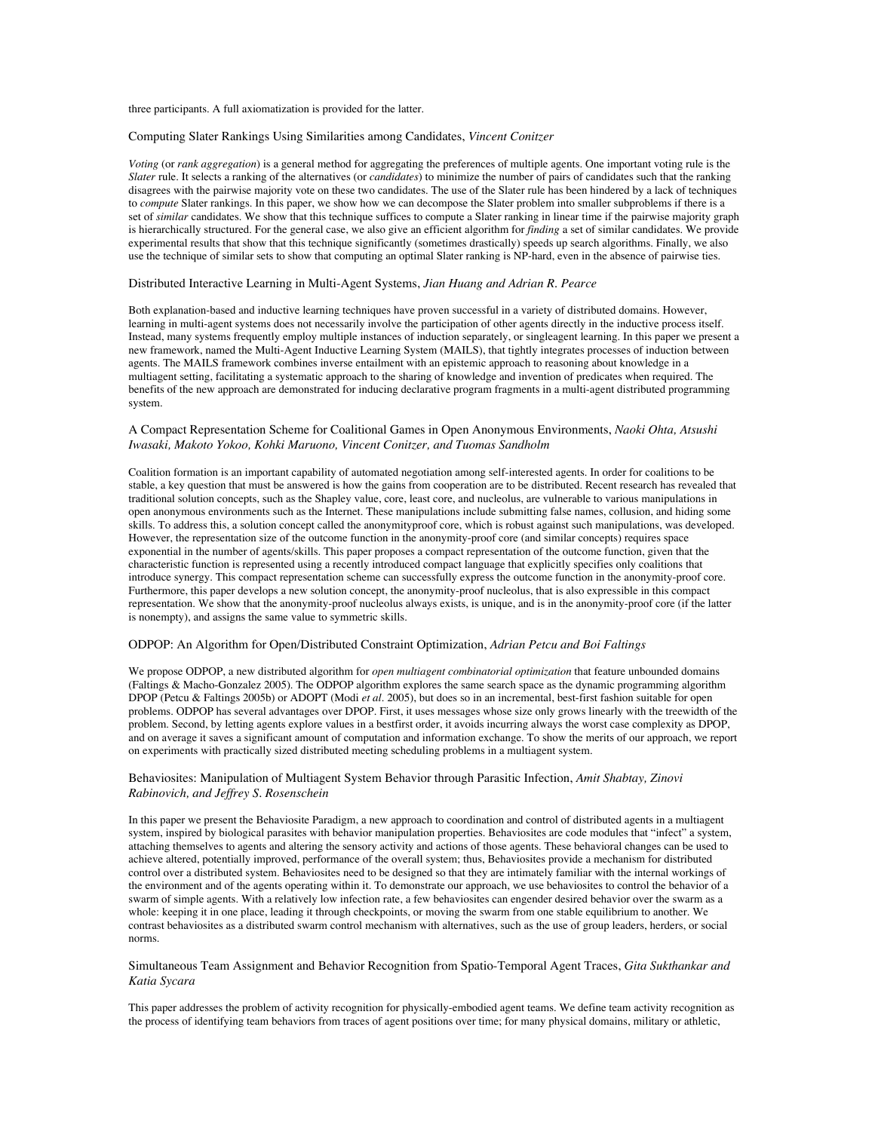three participants. A full axiomatization is provided for the latter.

#### Computing Slater Rankings Using Similarities among Candidates, *Vincent Conitzer*

*Voting* (or *rank aggregation*) is a general method for aggregating the preferences of multiple agents. One important voting rule is the *Slater* rule. It selects a ranking of the alternatives (or *candidates*) to minimize the number of pairs of candidates such that the ranking disagrees with the pairwise majority vote on these two candidates. The use of the Slater rule has been hindered by a lack of techniques to *compute* Slater rankings. In this paper, we show how we can decompose the Slater problem into smaller subproblems if there is a set of *similar* candidates. We show that this technique suffices to compute a Slater ranking in linear time if the pairwise majority graph is hierarchically structured. For the general case, we also give an efficient algorithm for *finding* a set of similar candidates. We provide experimental results that show that this technique significantly (sometimes drastically) speeds up search algorithms. Finally, we also use the technique of similar sets to show that computing an optimal Slater ranking is NP-hard, even in the absence of pairwise ties.

### Distributed Interactive Learning in Multi-Agent Systems, *Jian Huang and Adrian R. Pearce*

Both explanation-based and inductive learning techniques have proven successful in a variety of distributed domains. However, learning in multi-agent systems does not necessarily involve the participation of other agents directly in the inductive process itself. Instead, many systems frequently employ multiple instances of induction separately, or singleagent learning. In this paper we present a new framework, named the Multi-Agent Inductive Learning System (MAILS), that tightly integrates processes of induction between agents. The MAILS framework combines inverse entailment with an epistemic approach to reasoning about knowledge in a multiagent setting, facilitating a systematic approach to the sharing of knowledge and invention of predicates when required. The benefits of the new approach are demonstrated for inducing declarative program fragments in a multi-agent distributed programming system.

## A Compact Representation Scheme for Coalitional Games in Open Anonymous Environments, *Naoki Ohta, Atsushi Iwasaki, Makoto Yokoo, Kohki Maruono, Vincent Conitzer, and Tuomas Sandholm*

Coalition formation is an important capability of automated negotiation among self-interested agents. In order for coalitions to be stable, a key question that must be answered is how the gains from cooperation are to be distributed. Recent research has revealed that traditional solution concepts, such as the Shapley value, core, least core, and nucleolus, are vulnerable to various manipulations in open anonymous environments such as the Internet. These manipulations include submitting false names, collusion, and hiding some skills. To address this, a solution concept called the anonymityproof core, which is robust against such manipulations, was developed. However, the representation size of the outcome function in the anonymity-proof core (and similar concepts) requires space exponential in the number of agents/skills. This paper proposes a compact representation of the outcome function, given that the characteristic function is represented using a recently introduced compact language that explicitly specifies only coalitions that introduce synergy. This compact representation scheme can successfully express the outcome function in the anonymity-proof core. Furthermore, this paper develops a new solution concept, the anonymity-proof nucleolus, that is also expressible in this compact representation. We show that the anonymity-proof nucleolus always exists, is unique, and is in the anonymity-proof core (if the latter is nonempty), and assigns the same value to symmetric skills.

## ODPOP: An Algorithm for Open/Distributed Constraint Optimization, *Adrian Petcu and Boi Faltings*

We propose ODPOP, a new distributed algorithm for *open multiagent combinatorial optimization* that feature unbounded domains (Faltings & Macho-Gonzalez 2005). The ODPOP algorithm explores the same search space as the dynamic programming algorithm DPOP (Petcu & Faltings 2005b) or ADOPT (Modi *et al.* 2005), but does so in an incremental, best-first fashion suitable for open problems. ODPOP has several advantages over DPOP. First, it uses messages whose size only grows linearly with the treewidth of the problem. Second, by letting agents explore values in a bestfirst order, it avoids incurring always the worst case complexity as DPOP, and on average it saves a significant amount of computation and information exchange. To show the merits of our approach, we report on experiments with practically sized distributed meeting scheduling problems in a multiagent system.

#### Behaviosites: Manipulation of Multiagent System Behavior through Parasitic Infection, *Amit Shabtay, Zinovi Rabinovich, and Jeffrey S. Rosenschein*

In this paper we present the Behaviosite Paradigm, a new approach to coordination and control of distributed agents in a multiagent system, inspired by biological parasites with behavior manipulation properties. Behaviosites are code modules that "infect" a system, attaching themselves to agents and altering the sensory activity and actions of those agents. These behavioral changes can be used to achieve altered, potentially improved, performance of the overall system; thus, Behaviosites provide a mechanism for distributed control over a distributed system. Behaviosites need to be designed so that they are intimately familiar with the internal workings of the environment and of the agents operating within it. To demonstrate our approach, we use behaviosites to control the behavior of a swarm of simple agents. With a relatively low infection rate, a few behaviosites can engender desired behavior over the swarm as a whole: keeping it in one place, leading it through checkpoints, or moving the swarm from one stable equilibrium to another. We contrast behaviosites as a distributed swarm control mechanism with alternatives, such as the use of group leaders, herders, or social norms.

### Simultaneous Team Assignment and Behavior Recognition from Spatio-Temporal Agent Traces, *Gita Sukthankar and Katia Sycara*

This paper addresses the problem of activity recognition for physically-embodied agent teams. We define team activity recognition as the process of identifying team behaviors from traces of agent positions over time; for many physical domains, military or athletic,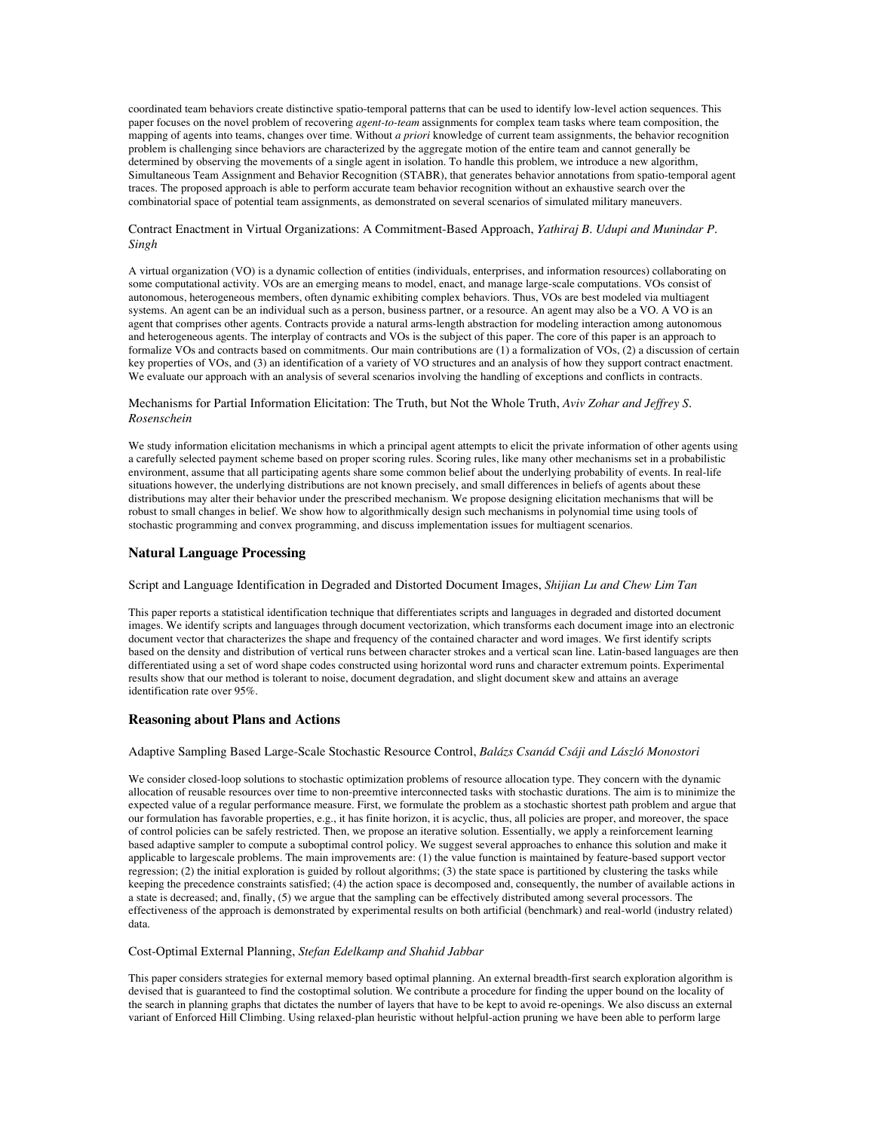coordinated team behaviors create distinctive spatio-temporal patterns that can be used to identify low-level action sequences. This paper focuses on the novel problem of recovering *agent-to-team* assignments for complex team tasks where team composition, the mapping of agents into teams, changes over time. Without *a priori* knowledge of current team assignments, the behavior recognition problem is challenging since behaviors are characterized by the aggregate motion of the entire team and cannot generally be determined by observing the movements of a single agent in isolation. To handle this problem, we introduce a new algorithm, Simultaneous Team Assignment and Behavior Recognition (STABR), that generates behavior annotations from spatio-temporal agent traces. The proposed approach is able to perform accurate team behavior recognition without an exhaustive search over the combinatorial space of potential team assignments, as demonstrated on several scenarios of simulated military maneuvers.

#### Contract Enactment in Virtual Organizations: A Commitment-Based Approach, *Yathiraj B. Udupi and Munindar P. Singh*

A virtual organization (VO) is a dynamic collection of entities (individuals, enterprises, and information resources) collaborating on some computational activity. VOs are an emerging means to model, enact, and manage large-scale computations. VOs consist of autonomous, heterogeneous members, often dynamic exhibiting complex behaviors. Thus, VOs are best modeled via multiagent systems. An agent can be an individual such as a person, business partner, or a resource. An agent may also be a VO. A VO is an agent that comprises other agents. Contracts provide a natural arms-length abstraction for modeling interaction among autonomous and heterogeneous agents. The interplay of contracts and VOs is the subject of this paper. The core of this paper is an approach to formalize VOs and contracts based on commitments. Our main contributions are (1) a formalization of VOs, (2) a discussion of certain key properties of VOs, and (3) an identification of a variety of VO structures and an analysis of how they support contract enactment. We evaluate our approach with an analysis of several scenarios involving the handling of exceptions and conflicts in contracts.

### Mechanisms for Partial Information Elicitation: The Truth, but Not the Whole Truth, *Aviv Zohar and Jeffrey S. Rosenschein*

We study information elicitation mechanisms in which a principal agent attempts to elicit the private information of other agents using a carefully selected payment scheme based on proper scoring rules. Scoring rules, like many other mechanisms set in a probabilistic environment, assume that all participating agents share some common belief about the underlying probability of events. In real-life situations however, the underlying distributions are not known precisely, and small differences in beliefs of agents about these distributions may alter their behavior under the prescribed mechanism. We propose designing elicitation mechanisms that will be robust to small changes in belief. We show how to algorithmically design such mechanisms in polynomial time using tools of stochastic programming and convex programming, and discuss implementation issues for multiagent scenarios.

## **Natural Language Processing**

## Script and Language Identification in Degraded and Distorted Document Images, *Shijian Lu and Chew Lim Tan*

This paper reports a statistical identification technique that differentiates scripts and languages in degraded and distorted document images. We identify scripts and languages through document vectorization, which transforms each document image into an electronic document vector that characterizes the shape and frequency of the contained character and word images. We first identify scripts based on the density and distribution of vertical runs between character strokes and a vertical scan line. Latin-based languages are then differentiated using a set of word shape codes constructed using horizontal word runs and character extremum points. Experimental results show that our method is tolerant to noise, document degradation, and slight document skew and attains an average identification rate over 95%.

## **Reasoning about Plans and Actions**

### Adaptive Sampling Based Large-Scale Stochastic Resource Control, *Balázs Csanád Csáji and László Monostori*

We consider closed-loop solutions to stochastic optimization problems of resource allocation type. They concern with the dynamic allocation of reusable resources over time to non-preemtive interconnected tasks with stochastic durations. The aim is to minimize the expected value of a regular performance measure. First, we formulate the problem as a stochastic shortest path problem and argue that our formulation has favorable properties, e.g., it has finite horizon, it is acyclic, thus, all policies are proper, and moreover, the space of control policies can be safely restricted. Then, we propose an iterative solution. Essentially, we apply a reinforcement learning based adaptive sampler to compute a suboptimal control policy. We suggest several approaches to enhance this solution and make it applicable to largescale problems. The main improvements are: (1) the value function is maintained by feature-based support vector  $r_{\text{e}}$  regression; (2) the initial exploration is guided by rollout algorithms; (3) the state space is partitioned by clustering the tasks while keeping the precedence constraints satisfied; (4) the action space is decomposed and, consequently, the number of available actions in a state is decreased; and, finally, (5) we argue that the sampling can be effectively distributed among several processors. The effectiveness of the approach is demonstrated by experimental results on both artificial (benchmark) and real-world (industry related) data.

### Cost-Optimal External Planning, *Stefan Edelkamp and Shahid Jabbar*

This paper considers strategies for external memory based optimal planning. An external breadth-first search exploration algorithm is devised that is guaranteed to find the costoptimal solution. We contribute a procedure for finding the upper bound on the locality of the search in planning graphs that dictates the number of layers that have to be kept to avoid re-openings. We also discuss an external variant of Enforced Hill Climbing. Using relaxed-plan heuristic without helpful-action pruning we have been able to perform large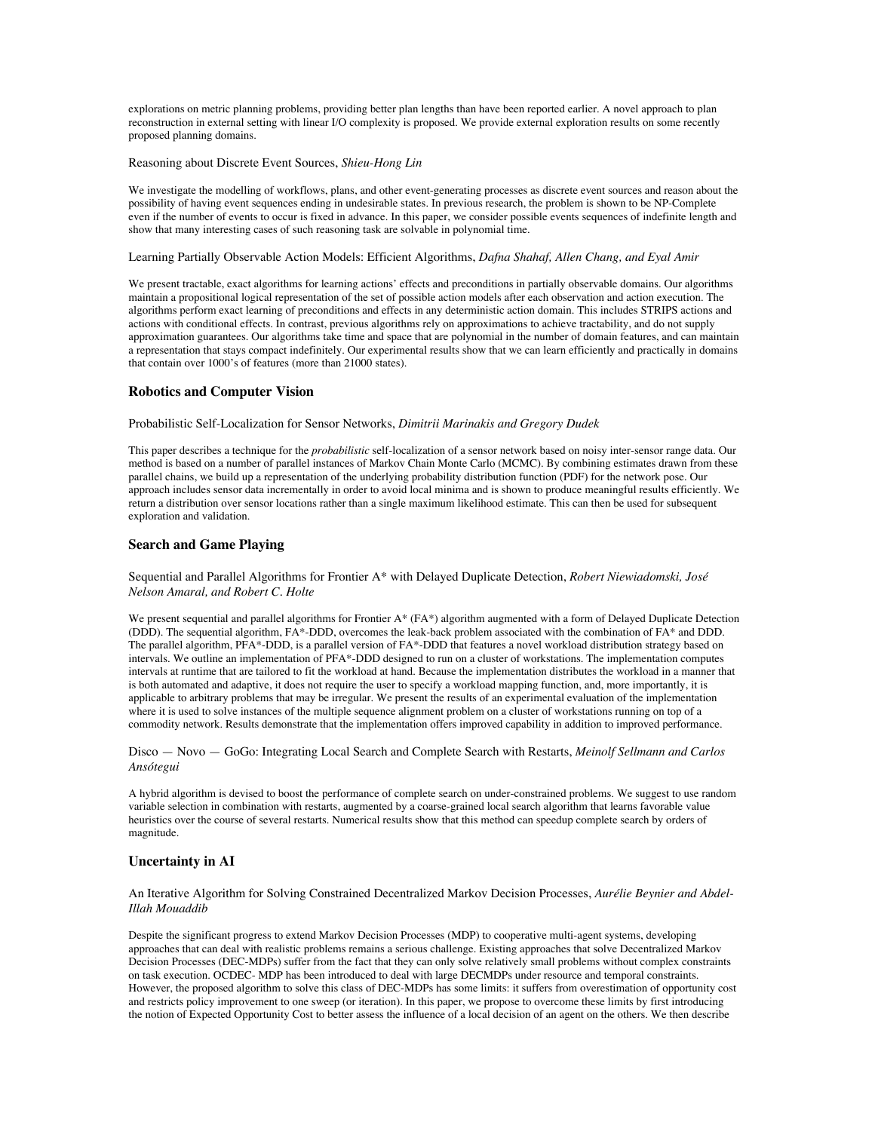explorations on metric planning problems, providing better plan lengths than have been reported earlier. A novel approach to plan reconstruction in external setting with linear I/O complexity is proposed. We provide external exploration results on some recently proposed planning domains.

## Reasoning about Discrete Event Sources, *Shieu-Hong Lin*

We investigate the modelling of workflows, plans, and other event-generating processes as discrete event sources and reason about the possibility of having event sequences ending in undesirable states. In previous research, the problem is shown to be NP-Complete even if the number of events to occur is fixed in advance. In this paper, we consider possible events sequences of indefinite length and show that many interesting cases of such reasoning task are solvable in polynomial time.

### Learning Partially Observable Action Models: Efficient Algorithms, *Dafna Shahaf, Allen Chang, and Eyal Amir*

We present tractable, exact algorithms for learning actions' effects and preconditions in partially observable domains. Our algorithms maintain a propositional logical representation of the set of possible action models after each observation and action execution. The algorithms perform exact learning of preconditions and effects in any deterministic action domain. This includes STRIPS actions and actions with conditional effects. In contrast, previous algorithms rely on approximations to achieve tractability, and do not supply approximation guarantees. Our algorithms take time and space that are polynomial in the number of domain features, and can maintain a representation that stays compact indefinitely. Our experimental results show that we can learn efficiently and practically in domains that contain over 1000's of features (more than 21000 states).

### **Robotics and Computer Vision**

Probabilistic Self-Localization for Sensor Networks, *Dimitrii Marinakis and Gregory Dudek*

This paper describes a technique for the *probabilistic* self-localization of a sensor network based on noisy inter-sensor range data. Our method is based on a number of parallel instances of Markov Chain Monte Carlo (MCMC). By combining estimates drawn from these parallel chains, we build up a representation of the underlying probability distribution function (PDF) for the network pose. Our approach includes sensor data incrementally in order to avoid local minima and is shown to produce meaningful results efficiently. We return a distribution over sensor locations rather than a single maximum likelihood estimate. This can then be used for subsequent exploration and validation.

#### **Search and Game Playing**

#### Sequential and Parallel Algorithms for Frontier A\* with Delayed Duplicate Detection, *Robert Niewiadomski, José Nelson Amaral, and Robert C. Holte*

We present sequential and parallel algorithms for Frontier A\* (FA\*) algorithm augmented with a form of Delayed Duplicate Detection (DDD). The sequential algorithm, FA\*-DDD, overcomes the leak-back problem associated with the combination of FA\* and DDD. The parallel algorithm, PFA\*-DDD, is a parallel version of FA\*-DDD that features a novel workload distribution strategy based on intervals. We outline an implementation of PFA\*-DDD designed to run on a cluster of workstations. The implementation computes intervals at runtime that are tailored to fit the workload at hand. Because the implementation distributes the workload in a manner that is both automated and adaptive, it does not require the user to specify a workload mapping function, and, more importantly, it is applicable to arbitrary problems that may be irregular. We present the results of an experimental evaluation of the implementation where it is used to solve instances of the multiple sequence alignment problem on a cluster of workstations running on top of a commodity network. Results demonstrate that the implementation offers improved capability in addition to improved performance.

Disco — Novo — GoGo: Integrating Local Search and Complete Search with Restarts, *Meinolf Sellmann and Carlos Ansótegui*

A hybrid algorithm is devised to boost the performance of complete search on under-constrained problems. We suggest to use random variable selection in combination with restarts, augmented by a coarse-grained local search algorithm that learns favorable value heuristics over the course of several restarts. Numerical results show that this method can speedup complete search by orders of magnitude.

## **Uncertainty in AI**

An Iterative Algorithm for Solving Constrained Decentralized Markov Decision Processes, *Aurélie Beynier and Abdel-Illah Mouaddib*

Despite the significant progress to extend Markov Decision Processes (MDP) to cooperative multi-agent systems, developing approaches that can deal with realistic problems remains a serious challenge. Existing approaches that solve Decentralized Markov Decision Processes (DEC-MDPs) suffer from the fact that they can only solve relatively small problems without complex constraints on task execution. OCDEC- MDP has been introduced to deal with large DECMDPs under resource and temporal constraints. However, the proposed algorithm to solve this class of DEC-MDPs has some limits: it suffers from overestimation of opportunity cost and restricts policy improvement to one sweep (or iteration). In this paper, we propose to overcome these limits by first introducing the notion of Expected Opportunity Cost to better assess the influence of a local decision of an agent on the others. We then describe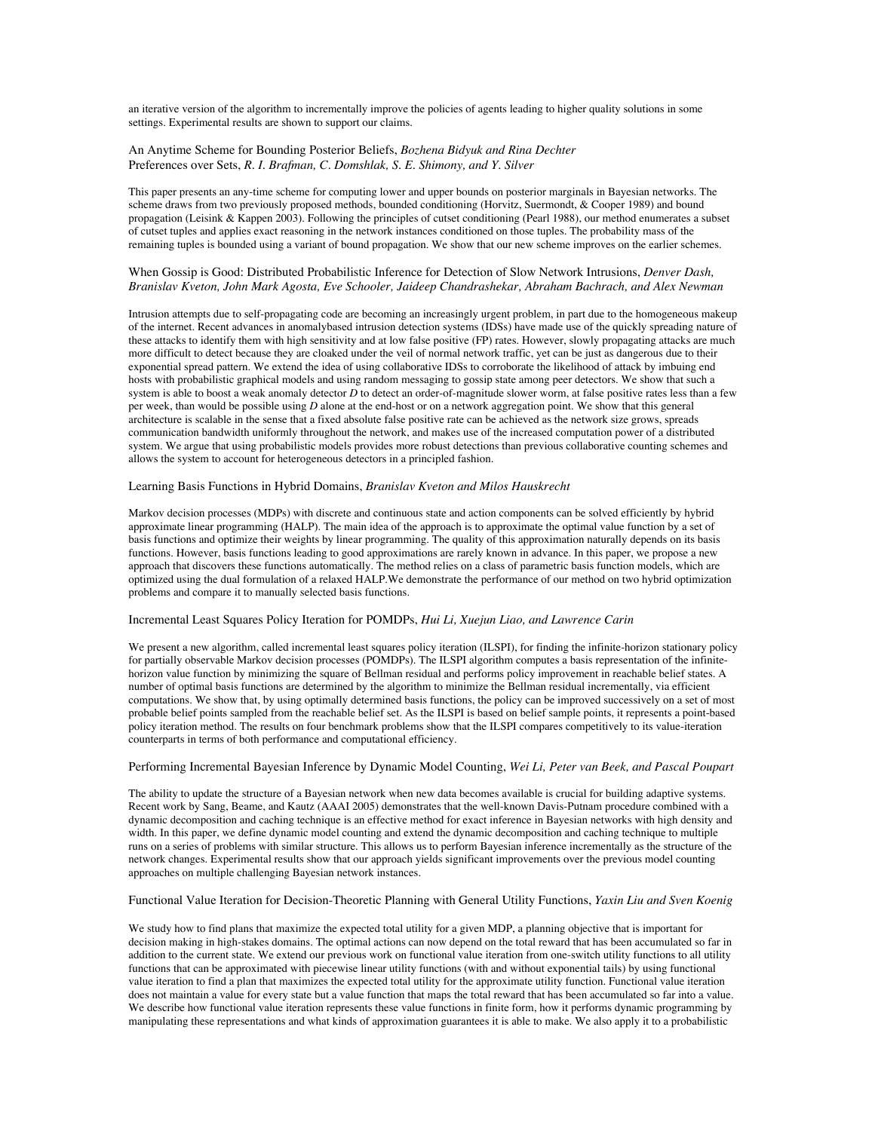an iterative version of the algorithm to incrementally improve the policies of agents leading to higher quality solutions in some settings. Experimental results are shown to support our claims.

### An Anytime Scheme for Bounding Posterior Beliefs, *Bozhena Bidyuk and Rina Dechter* Preferences over Sets, *R. I. Brafman, C. Domshlak, S. E. Shimony, and Y. Silver*

This paper presents an any-time scheme for computing lower and upper bounds on posterior marginals in Bayesian networks. The scheme draws from two previously proposed methods, bounded conditioning (Horvitz, Suermondt, & Cooper 1989) and bound propagation (Leisink & Kappen 2003). Following the principles of cutset conditioning (Pearl 1988), our method enumerates a subset of cutset tuples and applies exact reasoning in the network instances conditioned on those tuples. The probability mass of the remaining tuples is bounded using a variant of bound propagation. We show that our new scheme improves on the earlier schemes.

## When Gossip is Good: Distributed Probabilistic Inference for Detection of Slow Network Intrusions, *Denver Dash, Branislav Kveton, John Mark Agosta, Eve Schooler, Jaideep Chandrashekar, Abraham Bachrach, and Alex Newman*

Intrusion attempts due to self-propagating code are becoming an increasingly urgent problem, in part due to the homogeneous makeup of the internet. Recent advances in anomalybased intrusion detection systems (IDSs) have made use of the quickly spreading nature of these attacks to identify them with high sensitivity and at low false positive (FP) rates. However, slowly propagating attacks are much more difficult to detect because they are cloaked under the veil of normal network traffic, yet can be just as dangerous due to their exponential spread pattern. We extend the idea of using collaborative IDSs to corroborate the likelihood of attack by imbuing end hosts with probabilistic graphical models and using random messaging to gossip state among peer detectors. We show that such a system is able to boost a weak anomaly detector *D* to detect an order-of-magnitude slower worm, at false positive rates less than a few per week, than would be possible using *D* alone at the end-host or on a network aggregation point. We show that this general architecture is scalable in the sense that a fixed absolute false positive rate can be achieved as the network size grows, spreads communication bandwidth uniformly throughout the network, and makes use of the increased computation power of a distributed system. We argue that using probabilistic models provides more robust detections than previous collaborative counting schemes and allows the system to account for heterogeneous detectors in a principled fashion.

### Learning Basis Functions in Hybrid Domains, *Branislav Kveton and Milos Hauskrecht*

Markov decision processes (MDPs) with discrete and continuous state and action components can be solved efficiently by hybrid approximate linear programming (HALP). The main idea of the approach is to approximate the optimal value function by a set of basis functions and optimize their weights by linear programming. The quality of this approximation naturally depends on its basis functions. However, basis functions leading to good approximations are rarely known in advance. In this paper, we propose a new approach that discovers these functions automatically. The method relies on a class of parametric basis function models, which are optimized using the dual formulation of a relaxed HALP.We demonstrate the performance of our method on two hybrid optimization problems and compare it to manually selected basis functions.

#### Incremental Least Squares Policy Iteration for POMDPs, *Hui Li, Xuejun Liao, and Lawrence Carin*

We present a new algorithm, called incremental least squares policy iteration (ILSPI), for finding the infinite-horizon stationary policy for partially observable Markov decision processes (POMDPs). The ILSPI algorithm computes a basis representation of the infinitehorizon value function by minimizing the square of Bellman residual and performs policy improvement in reachable belief states. A number of optimal basis functions are determined by the algorithm to minimize the Bellman residual incrementally, via efficient computations. We show that, by using optimally determined basis functions, the policy can be improved successively on a set of most probable belief points sampled from the reachable belief set. As the ILSPI is based on belief sample points, it represents a point-based policy iteration method. The results on four benchmark problems show that the ILSPI compares competitively to its value-iteration counterparts in terms of both performance and computational efficiency.

#### Performing Incremental Bayesian Inference by Dynamic Model Counting, *Wei Li, Peter van Beek, and Pascal Poupart*

The ability to update the structure of a Bayesian network when new data becomes available is crucial for building adaptive systems. Recent work by Sang, Beame, and Kautz (AAAI 2005) demonstrates that the well-known Davis-Putnam procedure combined with a dynamic decomposition and caching technique is an effective method for exact inference in Bayesian networks with high density and width. In this paper, we define dynamic model counting and extend the dynamic decomposition and caching technique to multiple runs on a series of problems with similar structure. This allows us to perform Bayesian inference incrementally as the structure of the network changes. Experimental results show that our approach yields significant improvements over the previous model counting approaches on multiple challenging Bayesian network instances.

#### Functional Value Iteration for Decision-Theoretic Planning with General Utility Functions, *Yaxin Liu and Sven Koenig*

We study how to find plans that maximize the expected total utility for a given MDP, a planning objective that is important for decision making in high-stakes domains. The optimal actions can now depend on the total reward that has been accumulated so far in addition to the current state. We extend our previous work on functional value iteration from one-switch utility functions to all utility functions that can be approximated with piecewise linear utility functions (with and without exponential tails) by using functional value iteration to find a plan that maximizes the expected total utility for the approximate utility function. Functional value iteration does not maintain a value for every state but a value function that maps the total reward that has been accumulated so far into a value. We describe how functional value iteration represents these value functions in finite form, how it performs dynamic programming by manipulating these representations and what kinds of approximation guarantees it is able to make. We also apply it to a probabilistic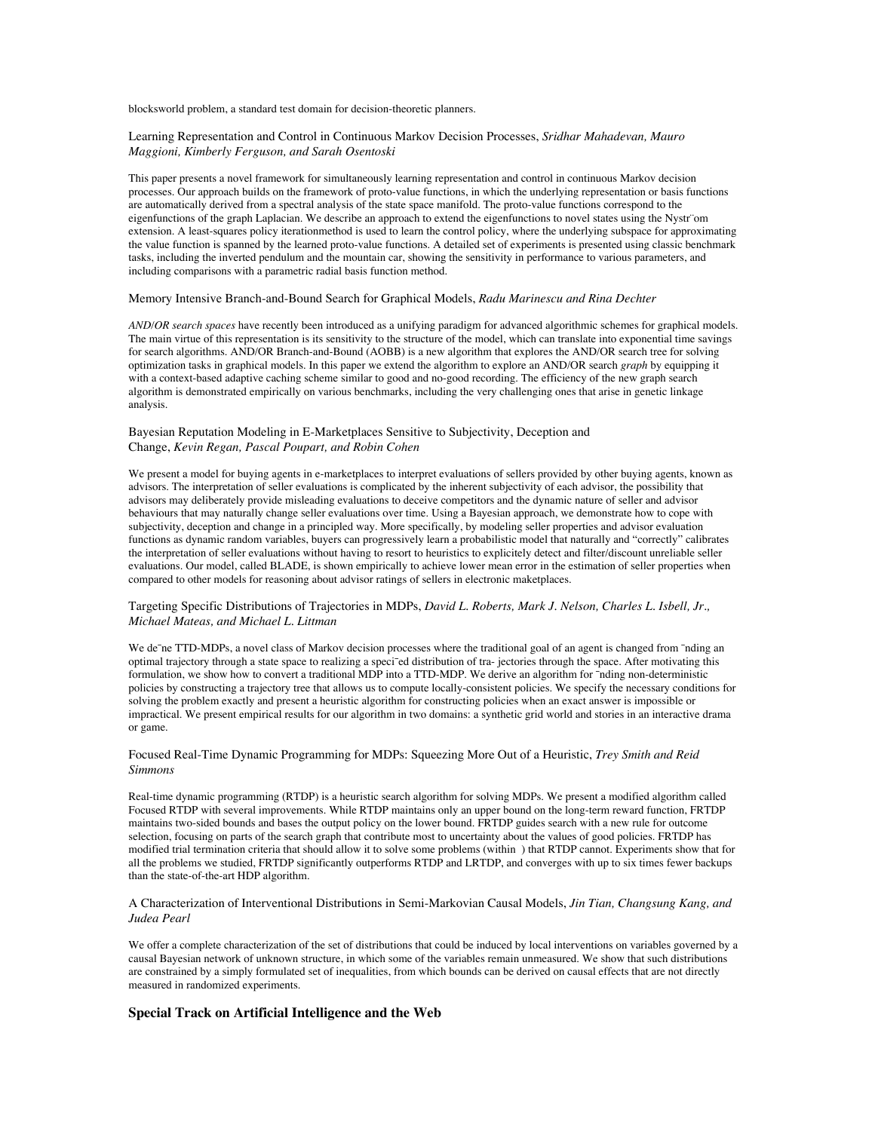blocksworld problem, a standard test domain for decision-theoretic planners.

#### Learning Representation and Control in Continuous Markov Decision Processes, *Sridhar Mahadevan, Mauro Maggioni, Kimberly Ferguson, and Sarah Osentoski*

This paper presents a novel framework for simultaneously learning representation and control in continuous Markov decision processes. Our approach builds on the framework of proto-value functions, in which the underlying representation or basis functions are automatically derived from a spectral analysis of the state space manifold. The proto-value functions correspond to the eigenfunctions of the graph Laplacian. We describe an approach to extend the eigenfunctions to novel states using the Nystr¨om extension. A least-squares policy iterationmethod is used to learn the control policy, where the underlying subspace for approximating the value function is spanned by the learned proto-value functions. A detailed set of experiments is presented using classic benchmark tasks, including the inverted pendulum and the mountain car, showing the sensitivity in performance to various parameters, and including comparisons with a parametric radial basis function method.

## Memory Intensive Branch-and-Bound Search for Graphical Models, *Radu Marinescu and Rina Dechter*

*AND/OR search spaces* have recently been introduced as a unifying paradigm for advanced algorithmic schemes for graphical models. The main virtue of this representation is its sensitivity to the structure of the model, which can translate into exponential time savings for search algorithms. AND/OR Branch-and-Bound (AOBB) is a new algorithm that explores the AND/OR search tree for solving optimization tasks in graphical models. In this paper we extend the algorithm to explore an AND/OR search *graph* by equipping it with a context-based adaptive caching scheme similar to good and no-good recording. The efficiency of the new graph search algorithm is demonstrated empirically on various benchmarks, including the very challenging ones that arise in genetic linkage analysis.

### Bayesian Reputation Modeling in E-Marketplaces Sensitive to Subjectivity, Deception and Change, *Kevin Regan, Pascal Poupart, and Robin Cohen*

We present a model for buying agents in e-marketplaces to interpret evaluations of sellers provided by other buying agents, known as advisors. The interpretation of seller evaluations is complicated by the inherent subjectivity of each advisor, the possibility that advisors may deliberately provide misleading evaluations to deceive competitors and the dynamic nature of seller and advisor behaviours that may naturally change seller evaluations over time. Using a Bayesian approach, we demonstrate how to cope with subjectivity, deception and change in a principled way. More specifically, by modeling seller properties and advisor evaluation functions as dynamic random variables, buyers can progressively learn a probabilistic model that naturally and "correctly" calibrates the interpretation of seller evaluations without having to resort to heuristics to explicitely detect and filter/discount unreliable seller evaluations. Our model, called BLADE, is shown empirically to achieve lower mean error in the estimation of seller properties when compared to other models for reasoning about advisor ratings of sellers in electronic maketplaces.

### Targeting Specific Distributions of Trajectories in MDPs, *David L. Roberts, Mark J. Nelson, Charles L. Isbell, Jr., Michael Mateas, and Michael L. Littman*

We de<sup>-</sup>ne TTD-MDPs, a novel class of Markov decision processes where the traditional goal of an agent is changed from <sup>-</sup>nding an optimal trajectory through a state space to realizing a speci¯ed distribution of tra- jectories through the space. After motivating this formulation, we show how to convert a traditional MDP into a TTD-MDP. We derive an algorithm for  $\hat{}$ nding non-deterministic policies by constructing a trajectory tree that allows us to compute locally-consistent policies. We specify the necessary conditions for solving the problem exactly and present a heuristic algorithm for constructing policies when an exact answer is impossible or impractical. We present empirical results for our algorithm in two domains: a synthetic grid world and stories in an interactive drama or game.

## Focused Real-Time Dynamic Programming for MDPs: Squeezing More Out of a Heuristic, *Trey Smith and Reid Simmons*

Real-time dynamic programming (RTDP) is a heuristic search algorithm for solving MDPs. We present a modified algorithm called Focused RTDP with several improvements. While RTDP maintains only an upper bound on the long-term reward function, FRTDP maintains two-sided bounds and bases the output policy on the lower bound. FRTDP guides search with a new rule for outcome selection, focusing on parts of the search graph that contribute most to uncertainty about the values of good policies. FRTDP has modified trial termination criteria that should allow it to solve some problems (within ) that RTDP cannot. Experiments show that for all the problems we studied, FRTDP significantly outperforms RTDP and LRTDP, and converges with up to six times fewer backups than the state-of-the-art HDP algorithm.

#### A Characterization of Interventional Distributions in Semi-Markovian Causal Models, *Jin Tian, Changsung Kang, and Judea Pearl*

We offer a complete characterization of the set of distributions that could be induced by local interventions on variables governed by a causal Bayesian network of unknown structure, in which some of the variables remain unmeasured. We show that such distributions are constrained by a simply formulated set of inequalities, from which bounds can be derived on causal effects that are not directly measured in randomized experiments.

## **Special Track on Artificial Intelligence and the Web**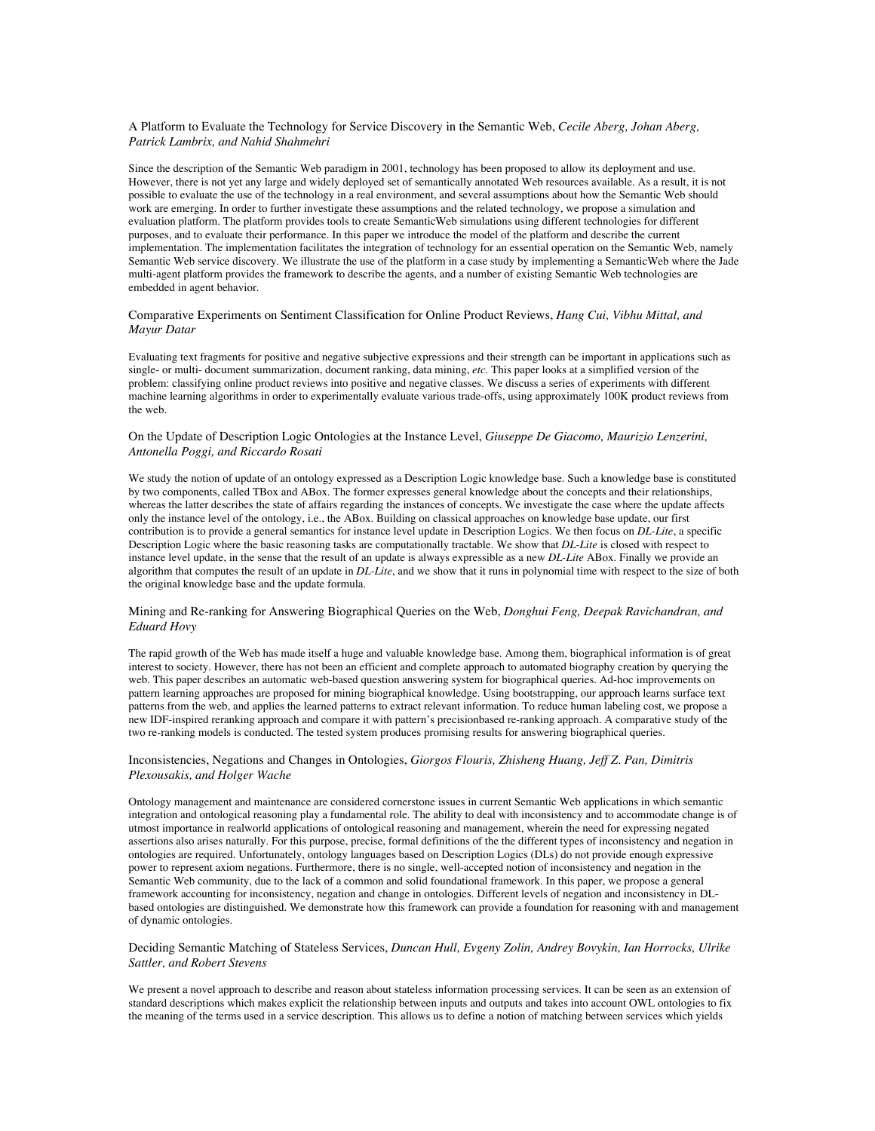#### A Platform to Evaluate the Technology for Service Discovery in the Semantic Web, *Cecile Aberg, Johan Aberg, Patrick Lambrix, and Nahid Shahmehri*

Since the description of the Semantic Web paradigm in 2001, technology has been proposed to allow its deployment and use. However, there is not yet any large and widely deployed set of semantically annotated Web resources available. As a result, it is not possible to evaluate the use of the technology in a real environment, and several assumptions about how the Semantic Web should work are emerging. In order to further investigate these assumptions and the related technology, we propose a simulation and evaluation platform. The platform provides tools to create SemanticWeb simulations using different technologies for different purposes, and to evaluate their performance. In this paper we introduce the model of the platform and describe the current implementation. The implementation facilitates the integration of technology for an essential operation on the Semantic Web, namely Semantic Web service discovery. We illustrate the use of the platform in a case study by implementing a SemanticWeb where the Jade multi-agent platform provides the framework to describe the agents, and a number of existing Semantic Web technologies are embedded in agent behavior.

#### Comparative Experiments on Sentiment Classification for Online Product Reviews, *Hang Cui, Vibhu Mittal, and Mayur Datar*

Evaluating text fragments for positive and negative subjective expressions and their strength can be important in applications such as single- or multi- document summarization, document ranking, data mining, *etc*. This paper looks at a simplified version of the problem: classifying online product reviews into positive and negative classes. We discuss a series of experiments with different machine learning algorithms in order to experimentally evaluate various trade-offs, using approximately 100K product reviews from the web.

### On the Update of Description Logic Ontologies at the Instance Level, *Giuseppe De Giacomo, Maurizio Lenzerini, Antonella Poggi, and Riccardo Rosati*

We study the notion of update of an ontology expressed as a Description Logic knowledge base. Such a knowledge base is constituted by two components, called TBox and ABox. The former expresses general knowledge about the concepts and their relationships, whereas the latter describes the state of affairs regarding the instances of concepts. We investigate the case where the update affects only the instance level of the ontology, i.e., the ABox. Building on classical approaches on knowledge base update, our first contribution is to provide a general semantics for instance level update in Description Logics. We then focus on *DL-Lite*, a specific Description Logic where the basic reasoning tasks are computationally tractable. We show that *DL-Lite* is closed with respect to instance level update, in the sense that the result of an update is always expressible as a new *DL-Lite* ABox. Finally we provide an algorithm that computes the result of an update in *DL-Lite*, and we show that it runs in polynomial time with respect to the size of both the original knowledge base and the update formula.

## Mining and Re-ranking for Answering Biographical Queries on the Web, *Donghui Feng, Deepak Ravichandran, and Eduard Hovy*

The rapid growth of the Web has made itself a huge and valuable knowledge base. Among them, biographical information is of great interest to society. However, there has not been an efficient and complete approach to automated biography creation by querying the web. This paper describes an automatic web-based question answering system for biographical queries. Ad-hoc improvements on pattern learning approaches are proposed for mining biographical knowledge. Using bootstrapping, our approach learns surface text patterns from the web, and applies the learned patterns to extract relevant information. To reduce human labeling cost, we propose a new IDF-inspired reranking approach and compare it with pattern's precisionbased re-ranking approach. A comparative study of the two re-ranking models is conducted. The tested system produces promising results for answering biographical queries.

### Inconsistencies, Negations and Changes in Ontologies, *Giorgos Flouris, Zhisheng Huang, Jeff Z. Pan, Dimitris Plexousakis, and Holger Wache*

Ontology management and maintenance are considered cornerstone issues in current Semantic Web applications in which semantic integration and ontological reasoning play a fundamental role. The ability to deal with inconsistency and to accommodate change is of utmost importance in realworld applications of ontological reasoning and management, wherein the need for expressing negated assertions also arises naturally. For this purpose, precise, formal definitions of the the different types of inconsistency and negation in ontologies are required. Unfortunately, ontology languages based on Description Logics (DLs) do not provide enough expressive power to represent axiom negations. Furthermore, there is no single, well-accepted notion of inconsistency and negation in the Semantic Web community, due to the lack of a common and solid foundational framework. In this paper, we propose a general framework accounting for inconsistency, negation and change in ontologies. Different levels of negation and inconsistency in DLbased ontologies are distinguished. We demonstrate how this framework can provide a foundation for reasoning with and management of dynamic ontologies.

#### Deciding Semantic Matching of Stateless Services, *Duncan Hull, Evgeny Zolin, Andrey Bovykin, Ian Horrocks, Ulrike Sattler, and Robert Stevens*

We present a novel approach to describe and reason about stateless information processing services. It can be seen as an extension of standard descriptions which makes explicit the relationship between inputs and outputs and takes into account OWL ontologies to fix the meaning of the terms used in a service description. This allows us to define a notion of matching between services which yields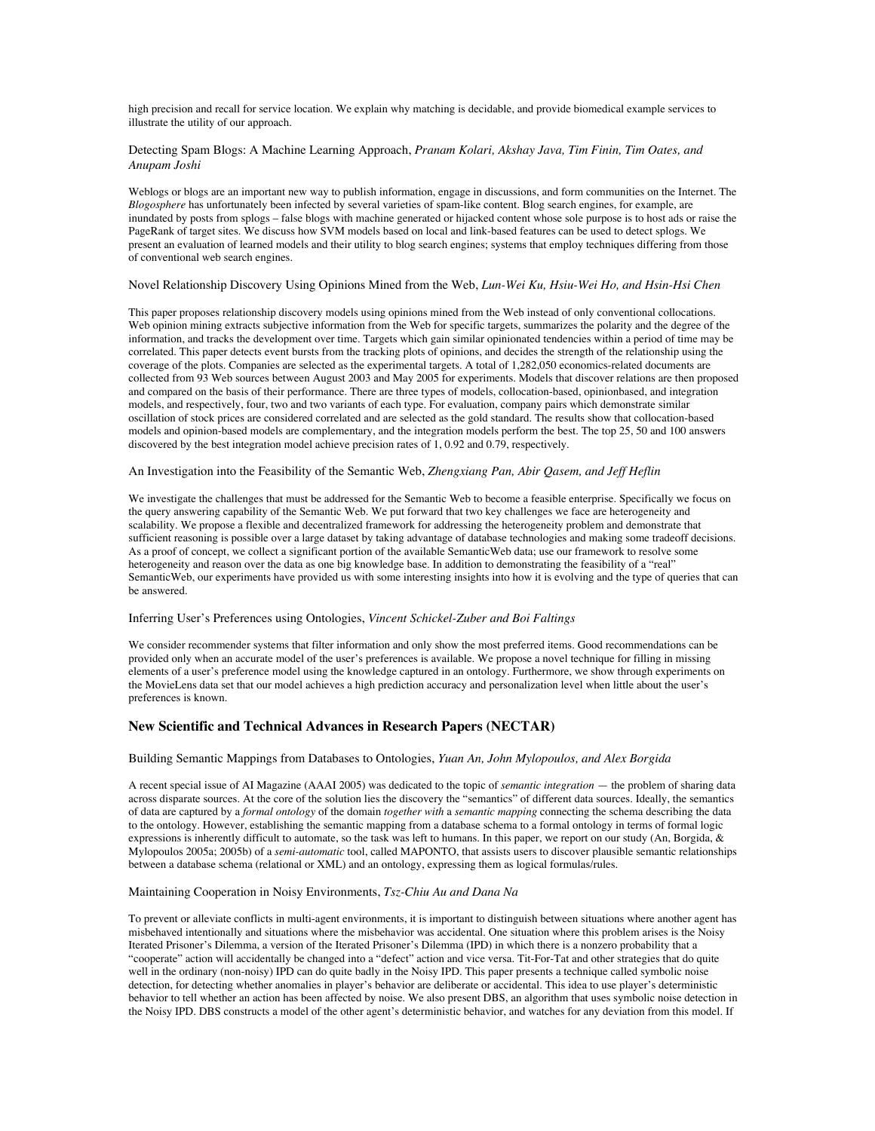high precision and recall for service location. We explain why matching is decidable, and provide biomedical example services to illustrate the utility of our approach.

### Detecting Spam Blogs: A Machine Learning Approach, *Pranam Kolari, Akshay Java, Tim Finin, Tim Oates, and Anupam Joshi*

Weblogs or blogs are an important new way to publish information, engage in discussions, and form communities on the Internet. The *Blogosphere* has unfortunately been infected by several varieties of spam-like content. Blog search engines, for example, are inundated by posts from splogs – false blogs with machine generated or hijacked content whose sole purpose is to host ads or raise the PageRank of target sites. We discuss how SVM models based on local and link-based features can be used to detect splogs. We present an evaluation of learned models and their utility to blog search engines; systems that employ techniques differing from those of conventional web search engines.

#### Novel Relationship Discovery Using Opinions Mined from the Web, *Lun-Wei Ku, Hsiu-Wei Ho, and Hsin-Hsi Chen*

This paper proposes relationship discovery models using opinions mined from the Web instead of only conventional collocations. Web opinion mining extracts subjective information from the Web for specific targets, summarizes the polarity and the degree of the information, and tracks the development over time. Targets which gain similar opinionated tendencies within a period of time may be correlated. This paper detects event bursts from the tracking plots of opinions, and decides the strength of the relationship using the coverage of the plots. Companies are selected as the experimental targets. A total of 1,282,050 economics-related documents are collected from 93 Web sources between August 2003 and May 2005 for experiments. Models that discover relations are then proposed and compared on the basis of their performance. There are three types of models, collocation-based, opinionbased, and integration models, and respectively, four, two and two variants of each type. For evaluation, company pairs which demonstrate similar oscillation of stock prices are considered correlated and are selected as the gold standard. The results show that collocation-based models and opinion-based models are complementary, and the integration models perform the best. The top 25, 50 and 100 answers discovered by the best integration model achieve precision rates of 1, 0.92 and 0.79, respectively.

## An Investigation into the Feasibility of the Semantic Web, *Zhengxiang Pan, Abir Qasem, and Jeff Heflin*

We investigate the challenges that must be addressed for the Semantic Web to become a feasible enterprise. Specifically we focus on the query answering capability of the Semantic Web. We put forward that two key challenges we face are heterogeneity and scalability. We propose a flexible and decentralized framework for addressing the heterogeneity problem and demonstrate that sufficient reasoning is possible over a large dataset by taking advantage of database technologies and making some tradeoff decisions. As a proof of concept, we collect a significant portion of the available SemanticWeb data; use our framework to resolve some heterogeneity and reason over the data as one big knowledge base. In addition to demonstrating the feasibility of a "real" SemanticWeb, our experiments have provided us with some interesting insights into how it is evolving and the type of queries that can be answered.

#### Inferring User's Preferences using Ontologies, *Vincent Schickel-Zuber and Boi Faltings*

We consider recommender systems that filter information and only show the most preferred items. Good recommendations can be provided only when an accurate model of the user's preferences is available. We propose a novel technique for filling in missing elements of a user's preference model using the knowledge captured in an ontology. Furthermore, we show through experiments on the MovieLens data set that our model achieves a high prediction accuracy and personalization level when little about the user's preferences is known.

## **New Scientific and Technical Advances in Research Papers (NECTAR)**

#### Building Semantic Mappings from Databases to Ontologies, *Yuan An, John Mylopoulos, and Alex Borgida*

A recent special issue of AI Magazine (AAAI 2005) was dedicated to the topic of *semantic integration* — the problem of sharing data across disparate sources. At the core of the solution lies the discovery the "semantics" of different data sources. Ideally, the semantics of data are captured by a *formal ontology* of the domain *together with* a *semantic mapping* connecting the schema describing the data to the ontology. However, establishing the semantic mapping from a database schema to a formal ontology in terms of formal logic expressions is inherently difficult to automate, so the task was left to humans. In this paper, we report on our study (An, Borgida,  $\&$ Mylopoulos 2005a; 2005b) of a *semi-automatic* tool, called MAPONTO, that assists users to discover plausible semantic relationships between a database schema (relational or XML) and an ontology, expressing them as logical formulas/rules.

#### Maintaining Cooperation in Noisy Environments, *Tsz-Chiu Au and Dana Na*

To prevent or alleviate conflicts in multi-agent environments, it is important to distinguish between situations where another agent has misbehaved intentionally and situations where the misbehavior was accidental. One situation where this problem arises is the Noisy Iterated Prisoner's Dilemma, a version of the Iterated Prisoner's Dilemma (IPD) in which there is a nonzero probability that a "cooperate" action will accidentally be changed into a "defect" action and vice versa. Tit-For-Tat and other strategies that do quite well in the ordinary (non-noisy) IPD can do quite badly in the Noisy IPD. This paper presents a technique called symbolic noise detection, for detecting whether anomalies in player's behavior are deliberate or accidental. This idea to use player's deterministic behavior to tell whether an action has been affected by noise. We also present DBS, an algorithm that uses symbolic noise detection in the Noisy IPD. DBS constructs a model of the other agent's deterministic behavior, and watches for any deviation from this model. If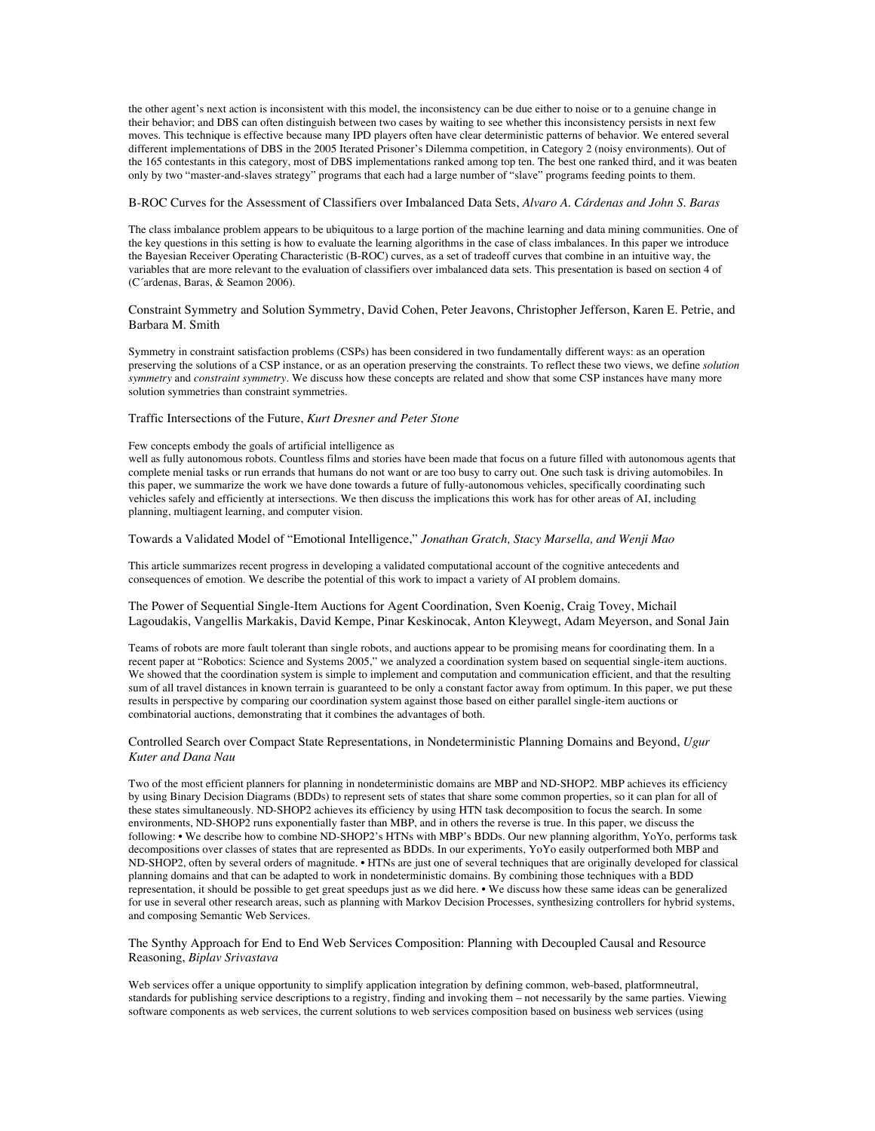the other agent's next action is inconsistent with this model, the inconsistency can be due either to noise or to a genuine change in their behavior; and DBS can often distinguish between two cases by waiting to see whether this inconsistency persists in next few moves. This technique is effective because many IPD players often have clear deterministic patterns of behavior. We entered several different implementations of DBS in the 2005 Iterated Prisoner's Dilemma competition, in Category 2 (noisy environments). Out of the 165 contestants in this category, most of DBS implementations ranked among top ten. The best one ranked third, and it was beaten only by two "master-and-slaves strategy" programs that each had a large number of "slave" programs feeding points to them.

#### B-ROC Curves for the Assessment of Classifiers over Imbalanced Data Sets, *Alvaro A. Cárdenas and John S. Baras*

The class imbalance problem appears to be ubiquitous to a large portion of the machine learning and data mining communities. One of the key questions in this setting is how to evaluate the learning algorithms in the case of class imbalances. In this paper we introduce the Bayesian Receiver Operating Characteristic (B-ROC) curves, as a set of tradeoff curves that combine in an intuitive way, the variables that are more relevant to the evaluation of classifiers over imbalanced data sets. This presentation is based on section 4 of (C´ardenas, Baras, & Seamon 2006).

Constraint Symmetry and Solution Symmetry, David Cohen, Peter Jeavons, Christopher Jefferson, Karen E. Petrie, and Barbara M. Smith

Symmetry in constraint satisfaction problems (CSPs) has been considered in two fundamentally different ways: as an operation preserving the solutions of a CSP instance, or as an operation preserving the constraints. To reflect these two views, we define *solution symmetry* and *constraint symmetry*. We discuss how these concepts are related and show that some CSP instances have many more solution symmetries than constraint symmetries.

Traffic Intersections of the Future, *Kurt Dresner and Peter Stone*

### Few concepts embody the goals of artificial intelligence as

well as fully autonomous robots. Countless films and stories have been made that focus on a future filled with autonomous agents that complete menial tasks or run errands that humans do not want or are too busy to carry out. One such task is driving automobiles. In this paper, we summarize the work we have done towards a future of fully-autonomous vehicles, specifically coordinating such vehicles safely and efficiently at intersections. We then discuss the implications this work has for other areas of AI, including planning, multiagent learning, and computer vision.

#### Towards a Validated Model of "Emotional Intelligence," *Jonathan Gratch, Stacy Marsella, and Wenji Mao*

This article summarizes recent progress in developing a validated computational account of the cognitive antecedents and consequences of emotion. We describe the potential of this work to impact a variety of AI problem domains.

The Power of Sequential Single-Item Auctions for Agent Coordination, Sven Koenig, Craig Tovey, Michail Lagoudakis, Vangellis Markakis, David Kempe, Pinar Keskinocak, Anton Kleywegt, Adam Meyerson, and Sonal Jain

Teams of robots are more fault tolerant than single robots, and auctions appear to be promising means for coordinating them. In a recent paper at "Robotics: Science and Systems 2005," we analyzed a coordination system based on sequential single-item auctions. We showed that the coordination system is simple to implement and computation and communication efficient, and that the resulting sum of all travel distances in known terrain is guaranteed to be only a constant factor away from optimum. In this paper, we put these results in perspective by comparing our coordination system against those based on either parallel single-item auctions or combinatorial auctions, demonstrating that it combines the advantages of both.

#### Controlled Search over Compact State Representations, in Nondeterministic Planning Domains and Beyond, *Ugur Kuter and Dana Nau*

Two of the most efficient planners for planning in nondeterministic domains are MBP and ND-SHOP2. MBP achieves its efficiency by using Binary Decision Diagrams (BDDs) to represent sets of states that share some common properties, so it can plan for all of these states simultaneously. ND-SHOP2 achieves its efficiency by using HTN task decomposition to focus the search. In some environments, ND-SHOP2 runs exponentially faster than MBP, and in others the reverse is true. In this paper, we discuss the following: • We describe how to combine ND-SHOP2's HTNs with MBP's BDDs. Our new planning algorithm, YoYo, performs task decompositions over classes of states that are represented as BDDs. In our experiments, YoYo easily outperformed both MBP and ND-SHOP2, often by several orders of magnitude. • HTNs are just one of several techniques that are originally developed for classical planning domains and that can be adapted to work in nondeterministic domains. By combining those techniques with a BDD representation, it should be possible to get great speedups just as we did here. • We discuss how these same ideas can be generalized for use in several other research areas, such as planning with Markov Decision Processes, synthesizing controllers for hybrid systems, and composing Semantic Web Services.

## The Synthy Approach for End to End Web Services Composition: Planning with Decoupled Causal and Resource Reasoning, *Biplav Srivastava*

Web services offer a unique opportunity to simplify application integration by defining common, web-based, platformneutral, standards for publishing service descriptions to a registry, finding and invoking them – not necessarily by the same parties. Viewing software components as web services, the current solutions to web services composition based on business web services (using